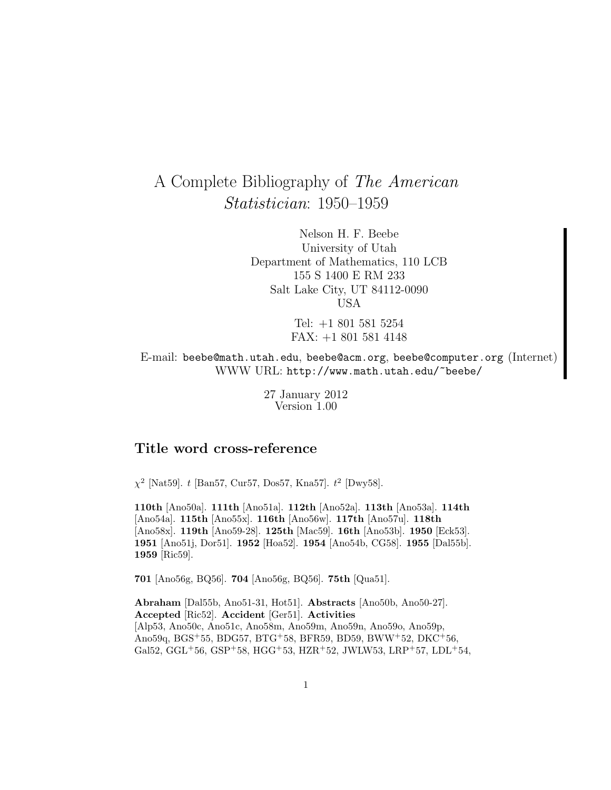# A Complete Bibliography of The American Statistician: 1950–1959

Nelson H. F. Beebe University of Utah Department of Mathematics, 110 LCB 155 S 1400 E RM 233 Salt Lake City, UT 84112-0090 USA

> Tel: +1 801 581 5254 FAX: +1 801 581 4148

E-mail: beebe@math.utah.edu, beebe@acm.org, beebe@computer.org (Internet) WWW URL: http://www.math.utah.edu/~beebe/

> 27 January 2012 Version 1.00

# **Title word cross-reference**

 $\chi^2$  [Nat59]. t [Ban57, Cur57, Dos57, Kna57].  $t^2$  [Dwy58].

**110th** [Ano50a]. **111th** [Ano51a]. **112th** [Ano52a]. **113th** [Ano53a]. **114th** [Ano54a]. **115th** [Ano55x]. **116th** [Ano56w]. **117th** [Ano57u]. **118th** [Ano58x]. **119th** [Ano59-28]. **125th** [Mac59]. **16th** [Ano53b]. **1950** [Eck53]. **1951** [Ano51j, Dor51]. **1952** [Hoa52]. **1954** [Ano54b, CG58]. **1955** [Dal55b]. **1959** [Ric59].

**701** [Ano56g, BQ56]. **704** [Ano56g, BQ56]. **75th** [Qua51].

**Abraham** [Dal55b, Ano51-31, Hot51]. **Abstracts** [Ano50b, Ano50-27]. **Accepted** [Ric52]. **Accident** [Ger51]. **Activities** [Alp53, Ano50c, Ano51c, Ano58m, Ano59m, Ano59n, Ano59o, Ano59p, Ano59q, BGS<sup>+</sup>55, BDG57, BTG<sup>+</sup>58, BFR59, BD59, BWW<sup>+</sup>52, DKC<sup>+</sup>56, Gal52, GGL<sup>+</sup>56, GSP<sup>+</sup>58, HGG<sup>+</sup>53, HZR<sup>+</sup>52, JWLW53, LRP<sup>+</sup>57, LDL<sup>+</sup>54,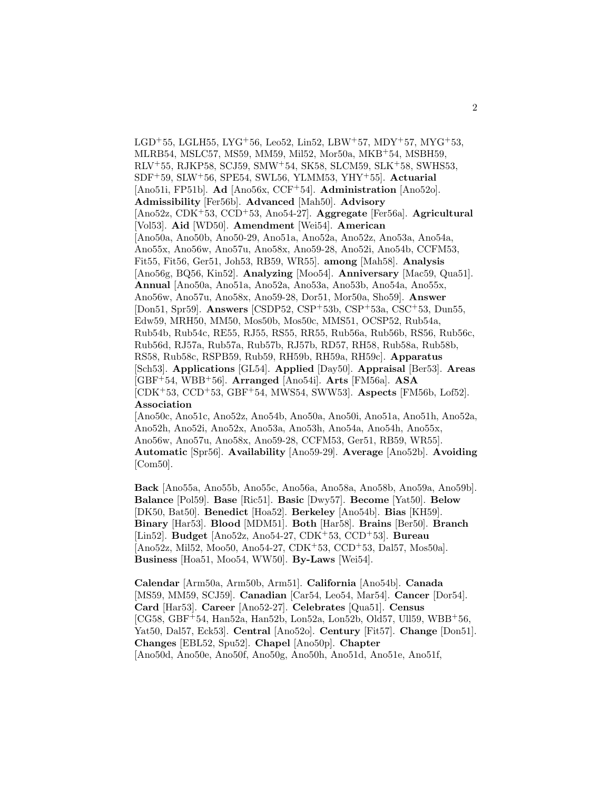LGD<sup>+</sup>55, LGLH55, LYG<sup>+</sup>56, Leo52, Lin52, LBW<sup>+</sup>57, MDY<sup>+</sup>57, MYG<sup>+</sup>53, MLRB54, MSLC57, MS59, MM59, Mil52, Mor50a, MKB<sup>+</sup>54, MSBH59, RLV<sup>+</sup>55, RJKP58, SCJ59, SMW<sup>+</sup>54, SK58, SLCM59, SLK<sup>+</sup>58, SWHS53, SDF<sup>+</sup>59, SLW<sup>+</sup>56, SPE54, SWL56, YLMM53, YHY<sup>+</sup>55]. **Actuarial** [Ano51i, FP51b]. **Ad** [Ano56x, CCF<sup>+</sup>54]. **Administration** [Ano52o]. **Admissibility** [Fer56b]. **Advanced** [Mah50]. **Advisory** [Ano52z, CDK<sup>+</sup>53, CCD<sup>+</sup>53, Ano54-27]. **Aggregate** [Fer56a]. **Agricultural** [Vol53]. **Aid** [WD50]. **Amendment** [Wei54]. **American** [Ano50a, Ano50b, Ano50-29, Ano51a, Ano52a, Ano52z, Ano53a, Ano54a, Ano55x, Ano56w, Ano57u, Ano58x, Ano59-28, Ano52i, Ano54b, CCFM53, Fit55, Fit56, Ger51, Joh53, RB59, WR55]. **among** [Mah58]. **Analysis** [Ano56g, BQ56, Kin52]. **Analyzing** [Moo54]. **Anniversary** [Mac59, Qua51]. **Annual** [Ano50a, Ano51a, Ano52a, Ano53a, Ano53b, Ano54a, Ano55x, Ano56w, Ano57u, Ano58x, Ano59-28, Dor51, Mor50a, Sho59]. **Answer** [Don51, Spr59]. **Answers** [CSDP52, CSP<sup>+</sup>53b, CSP<sup>+</sup>53a, CSC<sup>+</sup>53, Dun55, Edw59, MRH50, MM50, Mos50b, Mos50c, MMS51, OCSP52, Rub54a, Rub54b, Rub54c, RE55, RJ55, RS55, RR55, Rub56a, Rub56b, RS56, Rub56c, Rub56d, RJ57a, Rub57a, Rub57b, RJ57b, RD57, RH58, Rub58a, Rub58b, RS58, Rub58c, RSPB59, Rub59, RH59b, RH59a, RH59c]. **Apparatus** [Sch53]. **Applications** [GL54]. **Applied** [Day50]. **Appraisal** [Ber53]. **Areas** [GBF<sup>+</sup>54, WBB<sup>+</sup>56]. **Arranged** [Ano54i]. **Arts** [FM56a]. **ASA** [CDK<sup>+</sup>53, CCD<sup>+</sup>53, GBF<sup>+</sup>54, MWS54, SWW53]. **Aspects** [FM56b, Lof52]. **Association**

[Ano50c, Ano51c, Ano52z, Ano54b, Ano50a, Ano50i, Ano51a, Ano51h, Ano52a, Ano52h, Ano52i, Ano52x, Ano53a, Ano53h, Ano54a, Ano54h, Ano55x, Ano56w, Ano57u, Ano58x, Ano59-28, CCFM53, Ger51, RB59, WR55]. **Automatic** [Spr56]. **Availability** [Ano59-29]. **Average** [Ano52b]. **Avoiding** [Com50].

**Back** [Ano55a, Ano55b, Ano55c, Ano56a, Ano58a, Ano58b, Ano59a, Ano59b]. **Balance** [Pol59]. **Base** [Ric51]. **Basic** [Dwy57]. **Become** [Yat50]. **Below** [DK50, Bat50]. **Benedict** [Hoa52]. **Berkeley** [Ano54b]. **Bias** [KH59]. **Binary** [Har53]. **Blood** [MDM51]. **Both** [Har58]. **Brains** [Ber50]. **Branch** [Lin52]. **Budget** [Ano52z, Ano54-27, CDK<sup>+</sup>53, CCD<sup>+</sup>53]. **Bureau** [Ano52z, Mil52, Moo50, Ano54-27, CDK<sup>+</sup>53, CCD<sup>+</sup>53, Dal57, Mos50a]. **Business** [Hoa51, Moo54, WW50]. **By-Laws** [Wei54].

**Calendar** [Arm50a, Arm50b, Arm51]. **California** [Ano54b]. **Canada** [MS59, MM59, SCJ59]. **Canadian** [Car54, Leo54, Mar54]. **Cancer** [Dor54]. **Card** [Har53]. **Career** [Ano52-27]. **Celebrates** [Qua51]. **Census** [CG58, GBF<sup>+</sup>54, Han52a, Han52b, Lon52a, Lon52b, Old57, Ull59, WBB<sup>+</sup>56, Yat50, Dal57, Eck53]. **Central** [Ano52o]. **Century** [Fit57]. **Change** [Don51]. **Changes** [EBL52, Spu52]. **Chapel** [Ano50p]. **Chapter** [Ano50d, Ano50e, Ano50f, Ano50g, Ano50h, Ano51d, Ano51e, Ano51f,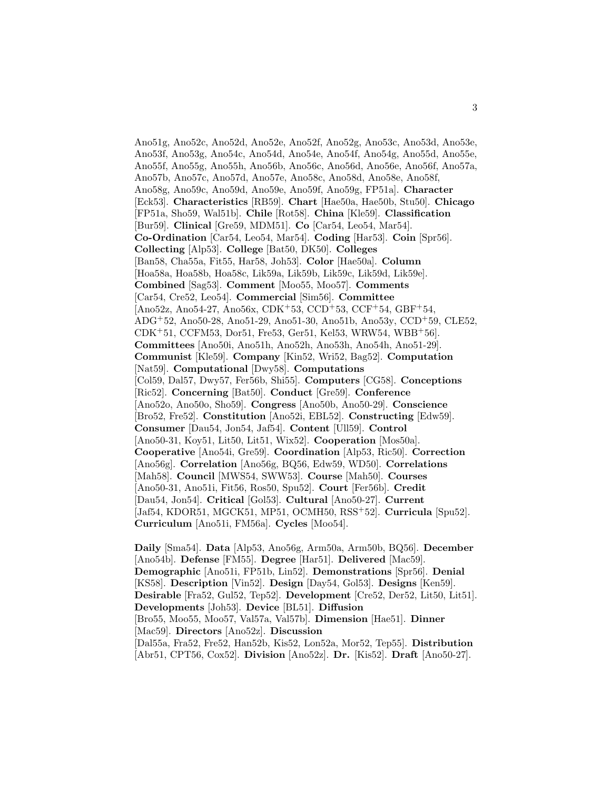Ano51g, Ano52c, Ano52d, Ano52e, Ano52f, Ano52g, Ano53c, Ano53d, Ano53e, Ano53f, Ano53g, Ano54c, Ano54d, Ano54e, Ano54f, Ano54g, Ano55d, Ano55e, Ano55f, Ano55g, Ano55h, Ano56b, Ano56c, Ano56d, Ano56e, Ano56f, Ano57a, Ano57b, Ano57c, Ano57d, Ano57e, Ano58c, Ano58d, Ano58e, Ano58f, Ano58g, Ano59c, Ano59d, Ano59e, Ano59f, Ano59g, FP51a]. **Character** [Eck53]. **Characteristics** [RB59]. **Chart** [Hae50a, Hae50b, Stu50]. **Chicago** [FP51a, Sho59, Wal51b]. **Chile** [Rot58]. **China** [Kle59]. **Classification** [Bur59]. **Clinical** [Gre59, MDM51]. **Co** [Car54, Leo54, Mar54]. **Co-Ordination** [Car54, Leo54, Mar54]. **Coding** [Har53]. **Coin** [Spr56]. **Collecting** [Alp53]. **College** [Bat50, DK50]. **Colleges** [Ban58, Cha55a, Fit55, Har58, Joh53]. **Color** [Hae50a]. **Column** [Hoa58a, Hoa58b, Hoa58c, Lik59a, Lik59b, Lik59c, Lik59d, Lik59e]. **Combined** [Sag53]. **Comment** [Moo55, Moo57]. **Comments** [Car54, Cre52, Leo54]. **Commercial** [Sim56]. **Committee** [Ano52z, Ano54-27, Ano56x, CDK<sup>+</sup>53, CCD<sup>+</sup>53, CCF<sup>+</sup>54, GBF<sup>+</sup>54, ADG<sup>+</sup>52, Ano50-28, Ano51-29, Ano51-30, Ano51b, Ano53y, CCD<sup>+</sup>59, CLE52, CDK<sup>+</sup>51, CCFM53, Dor51, Fre53, Ger51, Kel53, WRW54, WBB<sup>+</sup>56]. **Committees** [Ano50i, Ano51h, Ano52h, Ano53h, Ano54h, Ano51-29]. **Communist** [Kle59]. **Company** [Kin52, Wri52, Bag52]. **Computation** [Nat59]. **Computational** [Dwy58]. **Computations** [Col59, Dal57, Dwy57, Fer56b, Shi55]. **Computers** [CG58]. **Conceptions** [Ric52]. **Concerning** [Bat50]. **Conduct** [Gre59]. **Conference** [Ano52o, Ano50o, Sho59]. **Congress** [Ano50b, Ano50-29]. **Conscience** [Bro52, Fre52]. **Constitution** [Ano52i, EBL52]. **Constructing** [Edw59]. **Consumer** [Dau54, Jon54, Jaf54]. **Content** [Ull59]. **Control** [Ano50-31, Koy51, Lit50, Lit51, Wix52]. **Cooperation** [Mos50a]. **Cooperative** [Ano54i, Gre59]. **Coordination** [Alp53, Ric50]. **Correction** [Ano56g]. **Correlation** [Ano56g, BQ56, Edw59, WD50]. **Correlations** [Mah58]. **Council** [MWS54, SWW53]. **Course** [Mah50]. **Courses** [Ano50-31, Ano51i, Fit56, Ros50, Spu52]. **Court** [Fer56b]. **Credit** [Dau54, Jon54]. **Critical** [Gol53]. **Cultural** [Ano50-27]. **Current** [Jaf54, KDOR51, MGCK51, MP51, OCMH50, RSS<sup>+</sup>52]. **Curricula** [Spu52]. **Curriculum** [Ano51i, FM56a]. **Cycles** [Moo54].

**Daily** [Sma54]. **Data** [Alp53, Ano56g, Arm50a, Arm50b, BQ56]. **December** [Ano54b]. **Defense** [FM55]. **Degree** [Har51]. **Delivered** [Mac59]. **Demographic** [Ano51i, FP51b, Lin52]. **Demonstrations** [Spr56]. **Denial** [KS58]. **Description** [Vin52]. **Design** [Day54, Gol53]. **Designs** [Ken59]. **Desirable** [Fra52, Gul52, Tep52]. **Development** [Cre52, Der52, Lit50, Lit51]. **Developments** [Joh53]. **Device** [BL51]. **Diffusion** [Bro55, Moo55, Moo57, Val57a, Val57b]. **Dimension** [Hae51]. **Dinner** [Mac59]. **Directors** [Ano52z]. **Discussion** [Dal55a, Fra52, Fre52, Han52b, Kis52, Lon52a, Mor52, Tep55]. **Distribution** [Abr51, CPT56, Cox52]. **Division** [Ano52z]. **Dr.** [Kis52]. **Draft** [Ano50-27].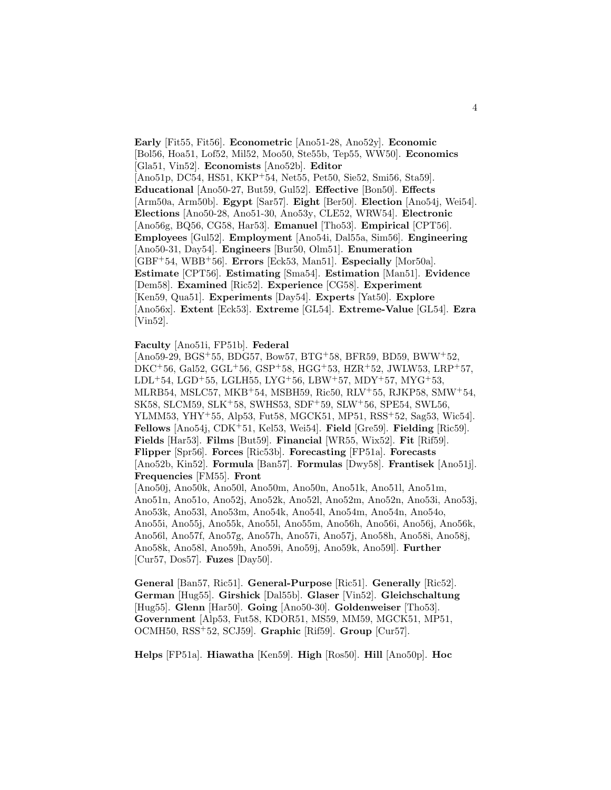**Early** [Fit55, Fit56]. **Econometric** [Ano51-28, Ano52y]. **Economic** [Bol56, Hoa51, Lof52, Mil52, Moo50, Ste55b, Tep55, WW50]. **Economics** [Gla51, Vin52]. **Economists** [Ano52b]. **Editor** [Ano51p, DC54, HS51, KKP<sup>+</sup>54, Net55, Pet50, Sie52, Smi56, Sta59]. **Educational** [Ano50-27, But59, Gul52]. **Effective** [Bon50]. **Effects** [Arm50a, Arm50b]. **Egypt** [Sar57]. **Eight** [Ber50]. **Election** [Ano54j, Wei54]. **Elections** [Ano50-28, Ano51-30, Ano53y, CLE52, WRW54]. **Electronic** [Ano56g, BQ56, CG58, Har53]. **Emanuel** [Tho53]. **Empirical** [CPT56]. **Employees** [Gul52]. **Employment** [Ano54i, Dal55a, Sim56]. **Engineering** [Ano50-31, Day54]. **Engineers** [Bur50, Olm51]. **Enumeration** [GBF<sup>+</sup>54, WBB<sup>+</sup>56]. **Errors** [Eck53, Man51]. **Especially** [Mor50a]. **Estimate** [CPT56]. **Estimating** [Sma54]. **Estimation** [Man51]. **Evidence** [Dem58]. **Examined** [Ric52]. **Experience** [CG58]. **Experiment** [Ken59, Qua51]. **Experiments** [Day54]. **Experts** [Yat50]. **Explore** [Ano56x]. **Extent** [Eck53]. **Extreme** [GL54]. **Extreme-Value** [GL54]. **Ezra** [Vin52].

#### **Faculty** [Ano51i, FP51b]. **Federal**

[Ano59-29, BGS<sup>+</sup>55, BDG57, Bow57, BTG<sup>+</sup>58, BFR59, BD59, BWW<sup>+</sup>52, DKC<sup>+</sup>56, Gal52, GGL<sup>+</sup>56, GSP<sup>+</sup>58, HGG<sup>+</sup>53, HZR<sup>+</sup>52, JWLW53, LRP<sup>+</sup>57, LDL+54, LGD+55, LGLH55, LYG+56, LBW+57, MDY+57, MYG+53, MLRB54, MSLC57, MKB<sup>+</sup>54, MSBH59, Ric50, RLV<sup>+</sup>55, RJKP58, SMW<sup>+</sup>54, SK58, SLCM59, SLK<sup>+</sup>58, SWHS53, SDF<sup>+</sup>59, SLW<sup>+</sup>56, SPE54, SWL56, YLMM53, YHY<sup>+</sup>55, Alp53, Fut58, MGCK51, MP51, RSS<sup>+</sup>52, Sag53, Wic54]. **Fellows** [Ano54j, CDK<sup>+</sup>51, Kel53, Wei54]. **Field** [Gre59]. **Fielding** [Ric59]. **Fields** [Har53]. **Films** [But59]. **Financial** [WR55, Wix52]. **Fit** [Rif59]. **Flipper** [Spr56]. **Forces** [Ric53b]. **Forecasting** [FP51a]. **Forecasts** [Ano52b, Kin52]. **Formula** [Ban57]. **Formulas** [Dwy58]. **Frantisek** [Ano51j]. **Frequencies** [FM55]. **Front**

[Ano50j, Ano50k, Ano50l, Ano50m, Ano50n, Ano51k, Ano51l, Ano51m, Ano51n, Ano51o, Ano52j, Ano52k, Ano52l, Ano52m, Ano52n, Ano53i, Ano53j, Ano53k, Ano53l, Ano53m, Ano54k, Ano54l, Ano54m, Ano54n, Ano54o, Ano55i, Ano55j, Ano55k, Ano55l, Ano55m, Ano56h, Ano56i, Ano56j, Ano56k, Ano56l, Ano57f, Ano57g, Ano57h, Ano57i, Ano57j, Ano58h, Ano58i, Ano58j, Ano58k, Ano58l, Ano59h, Ano59i, Ano59j, Ano59k, Ano59l]. **Further** [Cur57, Dos57]. **Fuzes** [Day50].

**General** [Ban57, Ric51]. **General-Purpose** [Ric51]. **Generally** [Ric52]. **German** [Hug55]. **Girshick** [Dal55b]. **Glaser** [Vin52]. **Gleichschaltung** [Hug55]. **Glenn** [Har50]. **Going** [Ano50-30]. **Goldenweiser** [Tho53]. **Government** [Alp53, Fut58, KDOR51, MS59, MM59, MGCK51, MP51, OCMH50, RSS<sup>+</sup>52, SCJ59]. **Graphic** [Rif59]. **Group** [Cur57].

**Helps** [FP51a]. **Hiawatha** [Ken59]. **High** [Ros50]. **Hill** [Ano50p]. **Hoc**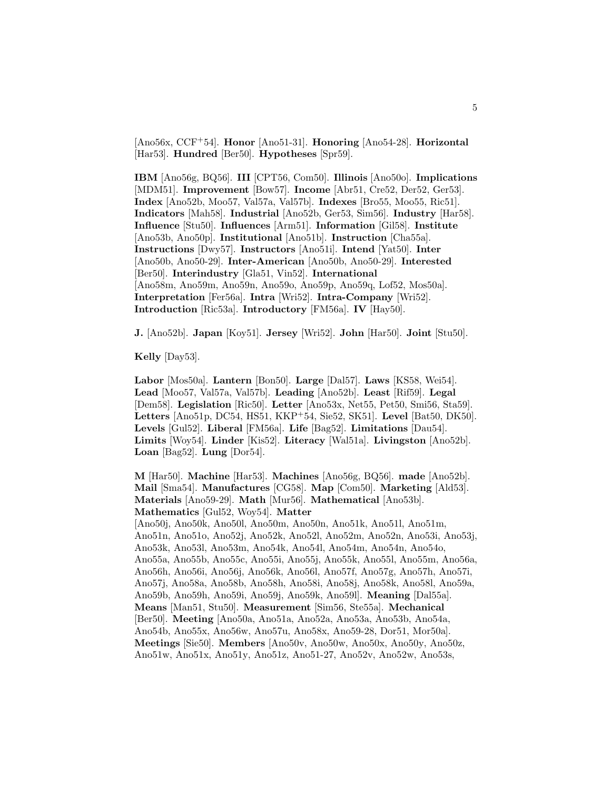[Ano56x, CCF<sup>+</sup>54]. **Honor** [Ano51-31]. **Honoring** [Ano54-28]. **Horizontal** [Har53]. **Hundred** [Ber50]. **Hypotheses** [Spr59].

**IBM** [Ano56g, BQ56]. **III** [CPT56, Com50]. **Illinois** [Ano50o]. **Implications** [MDM51]. **Improvement** [Bow57]. **Income** [Abr51, Cre52, Der52, Ger53]. **Index** [Ano52b, Moo57, Val57a, Val57b]. **Indexes** [Bro55, Moo55, Ric51]. **Indicators** [Mah58]. **Industrial** [Ano52b, Ger53, Sim56]. **Industry** [Har58]. **Influence** [Stu50]. **Influences** [Arm51]. **Information** [Gil58]. **Institute** [Ano53b, Ano50p]. **Institutional** [Ano51b]. **Instruction** [Cha55a]. **Instructions** [Dwy57]. **Instructors** [Ano51i]. **Intend** [Yat50]. **Inter** [Ano50b, Ano50-29]. **Inter-American** [Ano50b, Ano50-29]. **Interested** [Ber50]. **Interindustry** [Gla51, Vin52]. **International** [Ano58m, Ano59m, Ano59n, Ano59o, Ano59p, Ano59q, Lof52, Mos50a]. **Interpretation** [Fer56a]. **Intra** [Wri52]. **Intra-Company** [Wri52]. **Introduction** [Ric53a]. **Introductory** [FM56a]. **IV** [Hay50].

**J.** [Ano52b]. **Japan** [Koy51]. **Jersey** [Wri52]. **John** [Har50]. **Joint** [Stu50].

**Kelly** [Day53].

**Labor** [Mos50a]. **Lantern** [Bon50]. **Large** [Dal57]. **Laws** [KS58, Wei54]. **Lead** [Moo57, Val57a, Val57b]. **Leading** [Ano52b]. **Least** [Rif59]. **Legal** [Dem58]. **Legislation** [Ric50]. **Letter** [Ano53x, Net55, Pet50, Smi56, Sta59]. **Letters** [Ano51p, DC54, HS51, KKP<sup>+</sup>54, Sie52, SK51]. **Level** [Bat50, DK50]. **Levels** [Gul52]. **Liberal** [FM56a]. **Life** [Bag52]. **Limitations** [Dau54]. **Limits** [Woy54]. **Linder** [Kis52]. **Literacy** [Wal51a]. **Livingston** [Ano52b]. **Loan** [Bag52]. **Lung** [Dor54].

**M** [Har50]. **Machine** [Har53]. **Machines** [Ano56g, BQ56]. **made** [Ano52b]. **Mail** [Sma54]. **Manufactures** [CG58]. **Map** [Com50]. **Marketing** [Ald53]. **Materials** [Ano59-29]. **Math** [Mur56]. **Mathematical** [Ano53b]. **Mathematics** [Gul52, Woy54]. **Matter** [Ano50j, Ano50k, Ano50l, Ano50m, Ano50n, Ano51k, Ano51l, Ano51m, Ano51n, Ano51o, Ano52j, Ano52k, Ano52l, Ano52m, Ano52n, Ano53i, Ano53j, Ano53k, Ano53l, Ano53m, Ano54k, Ano54l, Ano54m, Ano54n, Ano54o, Ano55a, Ano55b, Ano55c, Ano55i, Ano55j, Ano55k, Ano55l, Ano55m, Ano56a, Ano56h, Ano56i, Ano56j, Ano56k, Ano56l, Ano57f, Ano57g, Ano57h, Ano57i, Ano57j, Ano58a, Ano58b, Ano58h, Ano58i, Ano58j, Ano58k, Ano58l, Ano59a, Ano59b, Ano59h, Ano59i, Ano59j, Ano59k, Ano59l]. **Meaning** [Dal55a]. **Means** [Man51, Stu50]. **Measurement** [Sim56, Ste55a]. **Mechanical** [Ber50]. **Meeting** [Ano50a, Ano51a, Ano52a, Ano53a, Ano53b, Ano54a, Ano54b, Ano55x, Ano56w, Ano57u, Ano58x, Ano59-28, Dor51, Mor50a]. **Meetings** [Sie50]. **Members** [Ano50v, Ano50w, Ano50x, Ano50y, Ano50z,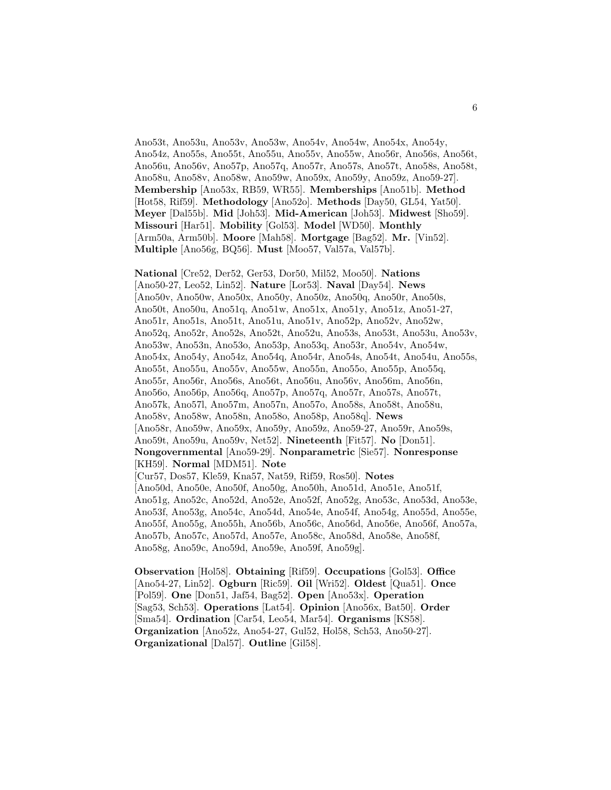Ano53t, Ano53u, Ano53v, Ano53w, Ano54v, Ano54w, Ano54x, Ano54y, Ano54z, Ano55s, Ano55t, Ano55u, Ano55v, Ano55w, Ano56r, Ano56s, Ano56t, Ano56u, Ano56v, Ano57p, Ano57q, Ano57r, Ano57s, Ano57t, Ano58s, Ano58t, Ano58u, Ano58v, Ano58w, Ano59w, Ano59x, Ano59y, Ano59z, Ano59-27]. **Membership** [Ano53x, RB59, WR55]. **Memberships** [Ano51b]. **Method** [Hot58, Rif59]. **Methodology** [Ano52o]. **Methods** [Day50, GL54, Yat50]. **Meyer** [Dal55b]. **Mid** [Joh53]. **Mid-American** [Joh53]. **Midwest** [Sho59]. **Missouri** [Har51]. **Mobility** [Gol53]. **Model** [WD50]. **Monthly** [Arm50a, Arm50b]. **Moore** [Mah58]. **Mortgage** [Bag52]. **Mr.** [Vin52]. **Multiple** [Ano56g, BQ56]. **Must** [Moo57, Val57a, Val57b].

**National** [Cre52, Der52, Ger53, Dor50, Mil52, Moo50]. **Nations** [Ano50-27, Leo52, Lin52]. **Nature** [Lor53]. **Naval** [Day54]. **News** [Ano50v, Ano50w, Ano50x, Ano50y, Ano50z, Ano50q, Ano50r, Ano50s, Ano50t, Ano50u, Ano51q, Ano51w, Ano51x, Ano51y, Ano51z, Ano51-27, Ano51r, Ano51s, Ano51t, Ano51u, Ano51v, Ano52p, Ano52v, Ano52w, Ano52q, Ano52r, Ano52s, Ano52t, Ano52u, Ano53s, Ano53t, Ano53u, Ano53v, Ano53w, Ano53n, Ano53o, Ano53p, Ano53q, Ano53r, Ano54v, Ano54w, Ano54x, Ano54y, Ano54z, Ano54q, Ano54r, Ano54s, Ano54t, Ano54u, Ano55s, Ano55t, Ano55u, Ano55v, Ano55w, Ano55n, Ano55o, Ano55p, Ano55q, Ano55r, Ano56r, Ano56s, Ano56t, Ano56u, Ano56v, Ano56m, Ano56n, Ano56o, Ano56p, Ano56q, Ano57p, Ano57q, Ano57r, Ano57s, Ano57t, Ano57k, Ano57l, Ano57m, Ano57n, Ano57o, Ano58s, Ano58t, Ano58u, Ano58v, Ano58w, Ano58n, Ano58o, Ano58p, Ano58q]. **News** [Ano58r, Ano59w, Ano59x, Ano59y, Ano59z, Ano59-27, Ano59r, Ano59s, Ano59t, Ano59u, Ano59v, Net52]. **Nineteenth** [Fit57]. **No** [Don51]. **Nongovernmental** [Ano59-29]. **Nonparametric** [Sie57]. **Nonresponse** [KH59]. **Normal** [MDM51]. **Note** [Cur57, Dos57, Kle59, Kna57, Nat59, Rif59, Ros50]. **Notes** [Ano50d, Ano50e, Ano50f, Ano50g, Ano50h, Ano51d, Ano51e, Ano51f, Ano51g, Ano52c, Ano52d, Ano52e, Ano52f, Ano52g, Ano53c, Ano53d, Ano53e, Ano53f, Ano53g, Ano54c, Ano54d, Ano54e, Ano54f, Ano54g, Ano55d, Ano55e, Ano55f, Ano55g, Ano55h, Ano56b, Ano56c, Ano56d, Ano56e, Ano56f, Ano57a, Ano57b, Ano57c, Ano57d, Ano57e, Ano58c, Ano58d, Ano58e, Ano58f, Ano58g, Ano59c, Ano59d, Ano59e, Ano59f, Ano59g].

**Observation** [Hol58]. **Obtaining** [Rif59]. **Occupations** [Gol53]. **Office** [Ano54-27, Lin52]. **Ogburn** [Ric59]. **Oil** [Wri52]. **Oldest** [Qua51]. **Once** [Pol59]. **One** [Don51, Jaf54, Bag52]. **Open** [Ano53x]. **Operation** [Sag53, Sch53]. **Operations** [Lat54]. **Opinion** [Ano56x, Bat50]. **Order** [Sma54]. **Ordination** [Car54, Leo54, Mar54]. **Organisms** [KS58]. **Organization** [Ano52z, Ano54-27, Gul52, Hol58, Sch53, Ano50-27]. **Organizational** [Dal57]. **Outline** [Gil58].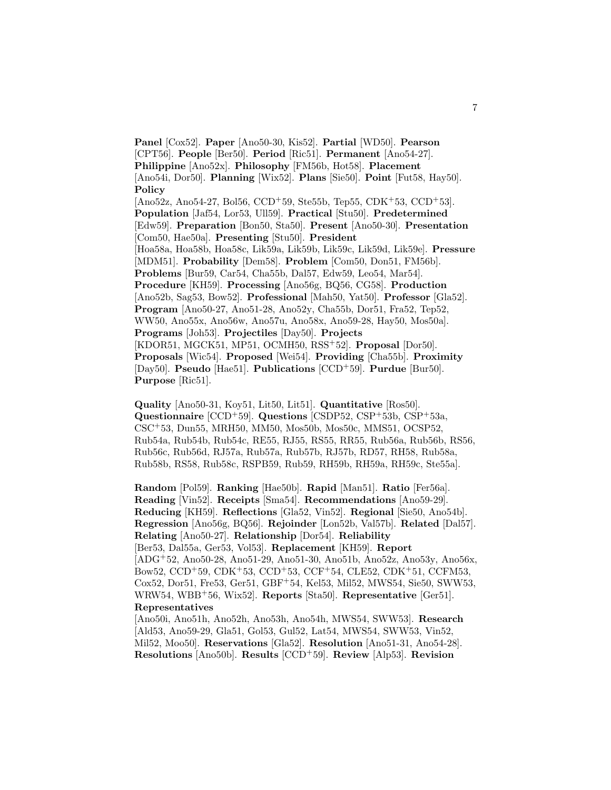**Panel** [Cox52]. **Paper** [Ano50-30, Kis52]. **Partial** [WD50]. **Pearson** [CPT56]. **People** [Ber50]. **Period** [Ric51]. **Permanent** [Ano54-27]. **Philippine** [Ano52x]. **Philosophy** [FM56b, Hot58]. **Placement** [Ano54i, Dor50]. **Planning** [Wix52]. **Plans** [Sie50]. **Point** [Fut58, Hay50]. **Policy** [Ano52z, Ano54-27, Bol56, CCD<sup>+</sup>59, Ste55b, Tep55, CDK<sup>+</sup>53, CCD<sup>+</sup>53]. **Population** [Jaf54, Lor53, Ull59]. **Practical** [Stu50]. **Predetermined** [Edw59]. **Preparation** [Bon50, Sta50]. **Present** [Ano50-30]. **Presentation** [Com50, Hae50a]. **Presenting** [Stu50]. **President** [Hoa58a, Hoa58b, Hoa58c, Lik59a, Lik59b, Lik59c, Lik59d, Lik59e]. **Pressure** [MDM51]. **Probability** [Dem58]. **Problem** [Com50, Don51, FM56b]. **Problems** [Bur59, Car54, Cha55b, Dal57, Edw59, Leo54, Mar54]. **Procedure** [KH59]. **Processing** [Ano56g, BQ56, CG58]. **Production** [Ano52b, Sag53, Bow52]. **Professional** [Mah50, Yat50]. **Professor** [Gla52]. **Program** [Ano50-27, Ano51-28, Ano52y, Cha55b, Dor51, Fra52, Tep52, WW50, Ano55x, Ano56w, Ano57u, Ano58x, Ano59-28, Hay50, Mos50a]. **Programs** [Joh53]. **Projectiles** [Day50]. **Projects** [KDOR51, MGCK51, MP51, OCMH50, RSS<sup>+</sup>52]. **Proposal** [Dor50]. **Proposals** [Wic54]. **Proposed** [Wei54]. **Providing** [Cha55b]. **Proximity** [Day50]. **Pseudo** [Hae51]. **Publications** [CCD<sup>+</sup>59]. **Purdue** [Bur50]. **Purpose** [Ric51].

**Quality** [Ano50-31, Koy51, Lit50, Lit51]. **Quantitative** [Ros50]. **Questionnaire** [CCD<sup>+</sup>59]. **Questions** [CSDP52, CSP<sup>+</sup>53b, CSP<sup>+</sup>53a, CSC<sup>+</sup>53, Dun55, MRH50, MM50, Mos50b, Mos50c, MMS51, OCSP52, Rub54a, Rub54b, Rub54c, RE55, RJ55, RS55, RR55, Rub56a, Rub56b, RS56, Rub56c, Rub56d, RJ57a, Rub57a, Rub57b, RJ57b, RD57, RH58, Rub58a, Rub58b, RS58, Rub58c, RSPB59, Rub59, RH59b, RH59a, RH59c, Ste55a].

**Random** [Pol59]. **Ranking** [Hae50b]. **Rapid** [Man51]. **Ratio** [Fer56a]. **Reading** [Vin52]. **Receipts** [Sma54]. **Recommendations** [Ano59-29]. **Reducing** [KH59]. **Reflections** [Gla52, Vin52]. **Regional** [Sie50, Ano54b]. **Regression** [Ano56g, BQ56]. **Rejoinder** [Lon52b, Val57b]. **Related** [Dal57]. **Relating** [Ano50-27]. **Relationship** [Dor54]. **Reliability** [Ber53, Dal55a, Ger53, Vol53]. **Replacement** [KH59]. **Report** [ADG<sup>+</sup>52, Ano50-28, Ano51-29, Ano51-30, Ano51b, Ano52z, Ano53y, Ano56x, Bow52, CCD<sup>+</sup>59, CDK<sup>+</sup>53, CCD<sup>+</sup>53, CCF<sup>+</sup>54, CLE52, CDK<sup>+</sup>51, CCFM53, Cox52, Dor51, Fre53, Ger51, GBF<sup>+</sup>54, Kel53, Mil52, MWS54, Sie50, SWW53, WRW54, WBB<sup>+</sup>56, Wix52]. **Reports** [Sta50]. **Representative** [Ger51]. **Representatives**

[Ano50i, Ano51h, Ano52h, Ano53h, Ano54h, MWS54, SWW53]. **Research** [Ald53, Ano59-29, Gla51, Gol53, Gul52, Lat54, MWS54, SWW53, Vin52, Mil52, Moo50]. **Reservations** [Gla52]. **Resolution** [Ano51-31, Ano54-28]. **Resolutions** [Ano50b]. **Results** [CCD<sup>+</sup>59]. **Review** [Alp53]. **Revision**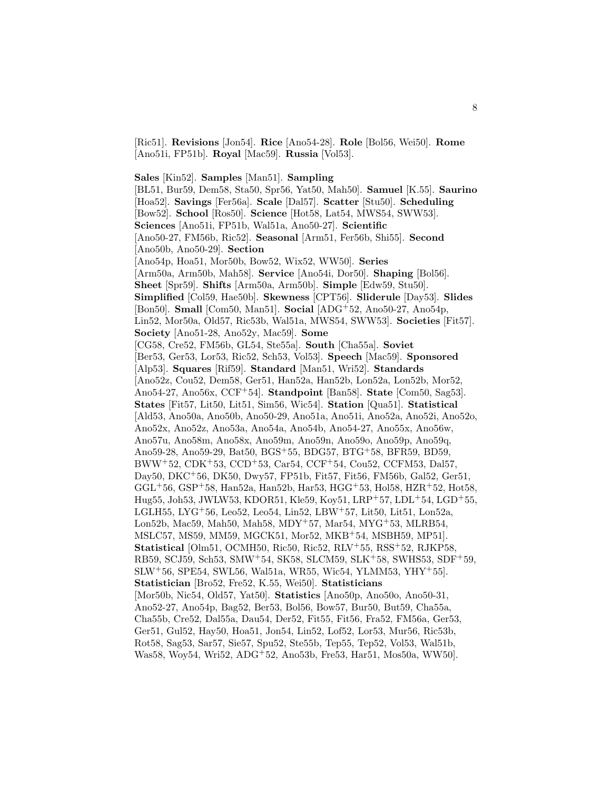[Ric51]. **Revisions** [Jon54]. **Rice** [Ano54-28]. **Role** [Bol56, Wei50]. **Rome** [Ano51i, FP51b]. **Royal** [Mac59]. **Russia** [Vol53].

**Sales** [Kin52]. **Samples** [Man51]. **Sampling** [BL51, Bur59, Dem58, Sta50, Spr56, Yat50, Mah50]. **Samuel** [K.55]. **Saurino** [Hoa52]. **Savings** [Fer56a]. **Scale** [Dal57]. **Scatter** [Stu50]. **Scheduling** [Bow52]. **School** [Ros50]. **Science** [Hot58, Lat54, MWS54, SWW53]. **Sciences** [Ano51i, FP51b, Wal51a, Ano50-27]. **Scientific** [Ano50-27, FM56b, Ric52]. **Seasonal** [Arm51, Fer56b, Shi55]. **Second** [Ano50b, Ano50-29]. **Section** [Ano54p, Hoa51, Mor50b, Bow52, Wix52, WW50]. **Series** [Arm50a, Arm50b, Mah58]. **Service** [Ano54i, Dor50]. **Shaping** [Bol56]. **Sheet** [Spr59]. **Shifts** [Arm50a, Arm50b]. **Simple** [Edw59, Stu50]. **Simplified** [Col59, Hae50b]. **Skewness** [CPT56]. **Sliderule** [Day53]. **Slides** [Bon50]. **Small** [Com50, Man51]. **Social** [ADG<sup>+</sup>52, Ano50-27, Ano54p, Lin52, Mor50a, Old57, Ric53b, Wal51a, MWS54, SWW53]. **Societies** [Fit57]. **Society** [Ano51-28, Ano52y, Mac59]. **Some** [CG58, Cre52, FM56b, GL54, Ste55a]. **South** [Cha55a]. **Soviet** [Ber53, Ger53, Lor53, Ric52, Sch53, Vol53]. **Speech** [Mac59]. **Sponsored** [Alp53]. **Squares** [Rif59]. **Standard** [Man51, Wri52]. **Standards** [Ano52z, Cou52, Dem58, Ger51, Han52a, Han52b, Lon52a, Lon52b, Mor52, Ano54-27, Ano56x, CCF<sup>+</sup>54]. **Standpoint** [Ban58]. **State** [Com50, Sag53]. **States** [Fit57, Lit50, Lit51, Sim56, Wic54]. **Station** [Qua51]. **Statistical** [Ald53, Ano50a, Ano50b, Ano50-29, Ano51a, Ano51i, Ano52a, Ano52i, Ano52o, Ano52x, Ano52z, Ano53a, Ano54a, Ano54b, Ano54-27, Ano55x, Ano56w, Ano57u, Ano58m, Ano58x, Ano59m, Ano59n, Ano59o, Ano59p, Ano59q, Ano59-28, Ano59-29, Bat50, BGS<sup>+</sup>55, BDG57, BTG<sup>+</sup>58, BFR59, BD59, BWW<sup>+</sup>52, CDK<sup>+</sup>53, CCD<sup>+</sup>53, Car54, CCF<sup>+</sup>54, Cou52, CCFM53, Dal57, Day50, DKC<sup>+</sup>56, DK50, Dwy57, FP51b, Fit57, Fit56, FM56b, Gal52, Ger51, GGL<sup>+</sup>56, GSP<sup>+</sup>58, Han52a, Han52b, Har53, HGG<sup>+</sup>53, Hol58, HZR<sup>+</sup>52, Hot58, Hug55, Joh53, JWLW53, KDOR51, Kle59, Koy51, LRP<sup>+</sup>57, LDL<sup>+</sup>54, LGD<sup>+</sup>55, LGLH55, LYG<sup>+</sup>56, Leo52, Leo54, Lin52, LBW<sup>+</sup>57, Lit50, Lit51, Lon52a, Lon52b, Mac59, Mah50, Mah58, MDY<sup>+</sup>57, Mar54, MYG<sup>+</sup>53, MLRB54, MSLC57, MS59, MM59, MGCK51, Mor52, MKB<sup>+</sup>54, MSBH59, MP51]. **Statistical** [Olm51, OCMH50, Ric50, Ric52, RLV<sup>+</sup>55, RSS<sup>+</sup>52, RJKP58, RB59, SCJ59, Sch53, SMW<sup>+</sup>54, SK58, SLCM59, SLK<sup>+</sup>58, SWHS53, SDF<sup>+</sup>59, SLW<sup>+</sup>56, SPE54, SWL56, Wal51a, WR55, Wic54, YLMM53, YHY<sup>+</sup>55]. **Statistician** [Bro52, Fre52, K.55, Wei50]. **Statisticians** [Mor50b, Nic54, Old57, Yat50]. **Statistics** [Ano50p, Ano50o, Ano50-31, Ano52-27, Ano54p, Bag52, Ber53, Bol56, Bow57, Bur50, But59, Cha55a, Cha55b, Cre52, Dal55a, Dau54, Der52, Fit55, Fit56, Fra52, FM56a, Ger53, Ger51, Gul52, Hay50, Hoa51, Jon54, Lin52, Lof52, Lor53, Mur56, Ric53b, Rot58, Sag53, Sar57, Sie57, Spu52, Ste55b, Tep55, Tep52, Vol53, Wal51b, Was58, Woy54, Wri52, ADG<sup>+</sup>52, Ano53b, Fre53, Har51, Mos50a, WW50].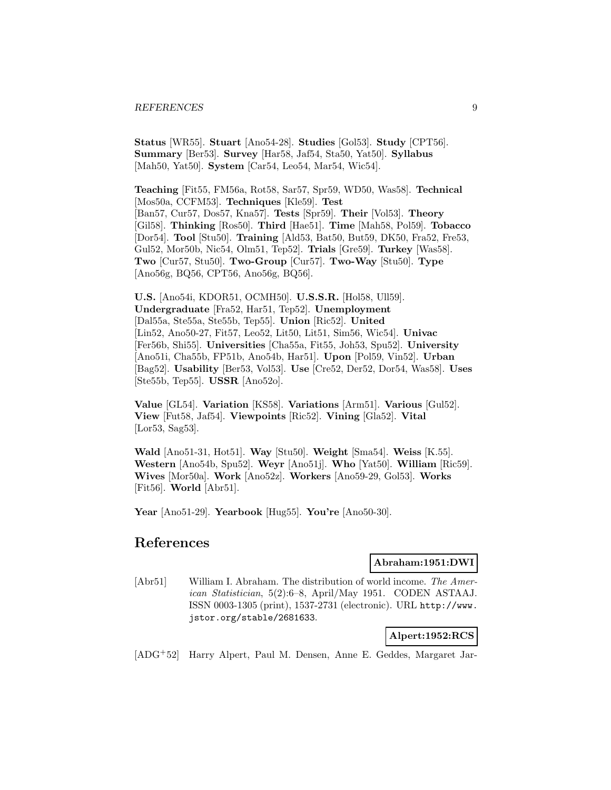#### *REFERENCES* 9

**Status** [WR55]. **Stuart** [Ano54-28]. **Studies** [Gol53]. **Study** [CPT56]. **Summary** [Ber53]. **Survey** [Har58, Jaf54, Sta50, Yat50]. **Syllabus** [Mah50, Yat50]. **System** [Car54, Leo54, Mar54, Wic54].

**Teaching** [Fit55, FM56a, Rot58, Sar57, Spr59, WD50, Was58]. **Technical** [Mos50a, CCFM53]. **Techniques** [Kle59]. **Test** [Ban57, Cur57, Dos57, Kna57]. **Tests** [Spr59]. **Their** [Vol53]. **Theory** [Gil58]. **Thinking** [Ros50]. **Third** [Hae51]. **Time** [Mah58, Pol59]. **Tobacco** [Dor54]. **Tool** [Stu50]. **Training** [Ald53, Bat50, But59, DK50, Fra52, Fre53, Gul52, Mor50b, Nic54, Olm51, Tep52]. **Trials** [Gre59]. **Turkey** [Was58]. **Two** [Cur57, Stu50]. **Two-Group** [Cur57]. **Two-Way** [Stu50]. **Type** [Ano56g, BQ56, CPT56, Ano56g, BQ56].

**U.S.** [Ano54i, KDOR51, OCMH50]. **U.S.S.R.** [Hol58, Ull59]. **Undergraduate** [Fra52, Har51, Tep52]. **Unemployment** [Dal55a, Ste55a, Ste55b, Tep55]. **Union** [Ric52]. **United** [Lin52, Ano50-27, Fit57, Leo52, Lit50, Lit51, Sim56, Wic54]. **Univac** [Fer56b, Shi55]. **Universities** [Cha55a, Fit55, Joh53, Spu52]. **University** [Ano51i, Cha55b, FP51b, Ano54b, Har51]. **Upon** [Pol59, Vin52]. **Urban** [Bag52]. **Usability** [Ber53, Vol53]. **Use** [Cre52, Der52, Dor54, Was58]. **Uses** [Ste55b, Tep55]. **USSR** [Ano52o].

**Value** [GL54]. **Variation** [KS58]. **Variations** [Arm51]. **Various** [Gul52]. **View** [Fut58, Jaf54]. **Viewpoints** [Ric52]. **Vining** [Gla52]. **Vital** [Lor53, Sag53].

**Wald** [Ano51-31, Hot51]. **Way** [Stu50]. **Weight** [Sma54]. **Weiss** [K.55]. **Western** [Ano54b, Spu52]. **Weyr** [Ano51j]. **Who** [Yat50]. **William** [Ric59]. **Wives** [Mor50a]. **Work** [Ano52z]. **Workers** [Ano59-29, Gol53]. **Works** [Fit56]. **World** [Abr51].

**Year** [Ano51-29]. **Yearbook** [Hug55]. **You're** [Ano50-30].

# **References**

# **Abraham:1951:DWI**

[Abr51] William I. Abraham. The distribution of world income. The American Statistician, 5(2):6–8, April/May 1951. CODEN ASTAAJ. ISSN 0003-1305 (print), 1537-2731 (electronic). URL http://www. jstor.org/stable/2681633.

# **Alpert:1952:RCS**

[ADG<sup>+</sup>52] Harry Alpert, Paul M. Densen, Anne E. Geddes, Margaret Jar-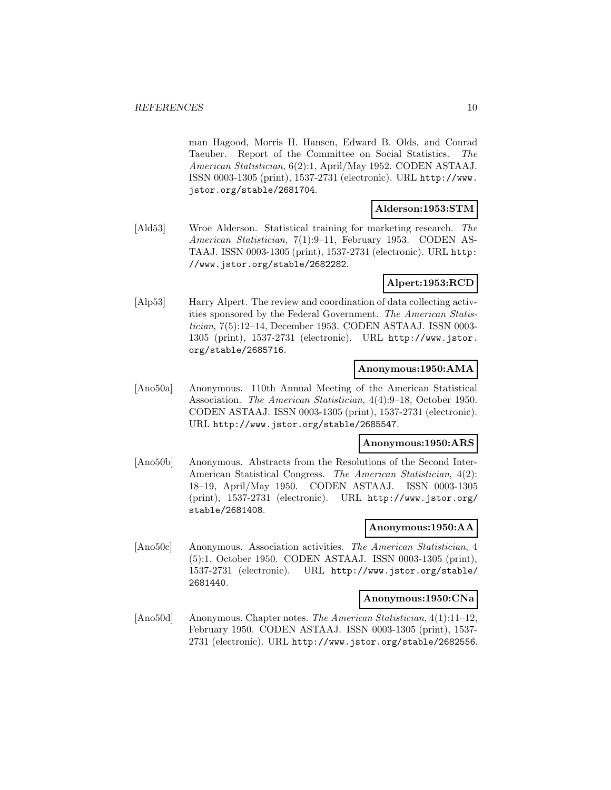man Hagood, Morris H. Hansen, Edward B. Olds, and Conrad Taeuber. Report of the Committee on Social Statistics. The American Statistician, 6(2):1, April/May 1952. CODEN ASTAAJ. ISSN 0003-1305 (print), 1537-2731 (electronic). URL http://www. jstor.org/stable/2681704.

# **Alderson:1953:STM**

[Ald53] Wroe Alderson. Statistical training for marketing research. The American Statistician, 7(1):9–11, February 1953. CODEN AS-TAAJ. ISSN 0003-1305 (print), 1537-2731 (electronic). URL http: //www.jstor.org/stable/2682282.

# **Alpert:1953:RCD**

[Alp53] Harry Alpert. The review and coordination of data collecting activities sponsored by the Federal Government. The American Statistician, 7(5):12–14, December 1953. CODEN ASTAAJ. ISSN 0003- 1305 (print), 1537-2731 (electronic). URL http://www.jstor. org/stable/2685716.

# **Anonymous:1950:AMA**

[Ano50a] Anonymous. 110th Annual Meeting of the American Statistical Association. The American Statistician, 4(4):9–18, October 1950. CODEN ASTAAJ. ISSN 0003-1305 (print), 1537-2731 (electronic). URL http://www.jstor.org/stable/2685547.

# **Anonymous:1950:ARS**

[Ano50b] Anonymous. Abstracts from the Resolutions of the Second Inter-American Statistical Congress. The American Statistician, 4(2): 18–19, April/May 1950. CODEN ASTAAJ. ISSN 0003-1305 (print), 1537-2731 (electronic). URL http://www.jstor.org/ stable/2681408.

# **Anonymous:1950:AA**

[Ano50c] Anonymous. Association activities. The American Statistician, 4 (5):1, October 1950. CODEN ASTAAJ. ISSN 0003-1305 (print), 1537-2731 (electronic). URL http://www.jstor.org/stable/ 2681440.

# **Anonymous:1950:CNa**

[Ano50d] Anonymous. Chapter notes. The American Statistician, 4(1):11–12, February 1950. CODEN ASTAAJ. ISSN 0003-1305 (print), 1537- 2731 (electronic). URL http://www.jstor.org/stable/2682556.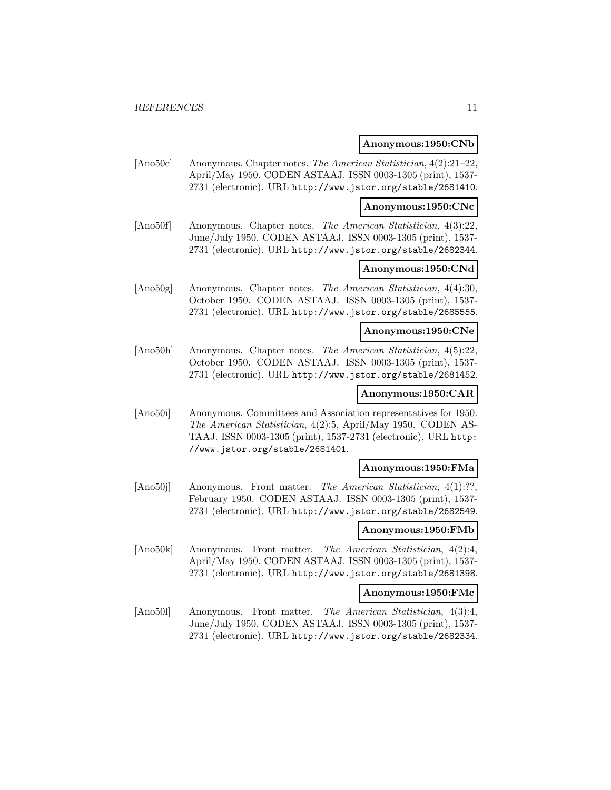### **Anonymous:1950:CNb**

[Ano50e] Anonymous. Chapter notes. The American Statistician, 4(2):21–22, April/May 1950. CODEN ASTAAJ. ISSN 0003-1305 (print), 1537- 2731 (electronic). URL http://www.jstor.org/stable/2681410.

### **Anonymous:1950:CNc**

[Ano50f] Anonymous. Chapter notes. The American Statistician, 4(3):22, June/July 1950. CODEN ASTAAJ. ISSN 0003-1305 (print), 1537- 2731 (electronic). URL http://www.jstor.org/stable/2682344.

# **Anonymous:1950:CNd**

[Ano50g] Anonymous. Chapter notes. The American Statistician, 4(4):30, October 1950. CODEN ASTAAJ. ISSN 0003-1305 (print), 1537- 2731 (electronic). URL http://www.jstor.org/stable/2685555.

## **Anonymous:1950:CNe**

[Ano50h] Anonymous. Chapter notes. The American Statistician, 4(5):22, October 1950. CODEN ASTAAJ. ISSN 0003-1305 (print), 1537- 2731 (electronic). URL http://www.jstor.org/stable/2681452.

# **Anonymous:1950:CAR**

[Ano50i] Anonymous. Committees and Association representatives for 1950. The American Statistician, 4(2):5, April/May 1950. CODEN AS-TAAJ. ISSN 0003-1305 (print), 1537-2731 (electronic). URL http: //www.jstor.org/stable/2681401.

# **Anonymous:1950:FMa**

[Ano50j] Anonymous. Front matter. The American Statistician, 4(1):??, February 1950. CODEN ASTAAJ. ISSN 0003-1305 (print), 1537- 2731 (electronic). URL http://www.jstor.org/stable/2682549.

# **Anonymous:1950:FMb**

[Ano50k] Anonymous. Front matter. The American Statistician, 4(2):4, April/May 1950. CODEN ASTAAJ. ISSN 0003-1305 (print), 1537- 2731 (electronic). URL http://www.jstor.org/stable/2681398.

# **Anonymous:1950:FMc**

[Ano50l] Anonymous. Front matter. The American Statistician, 4(3):4, June/July 1950. CODEN ASTAAJ. ISSN 0003-1305 (print), 1537- 2731 (electronic). URL http://www.jstor.org/stable/2682334.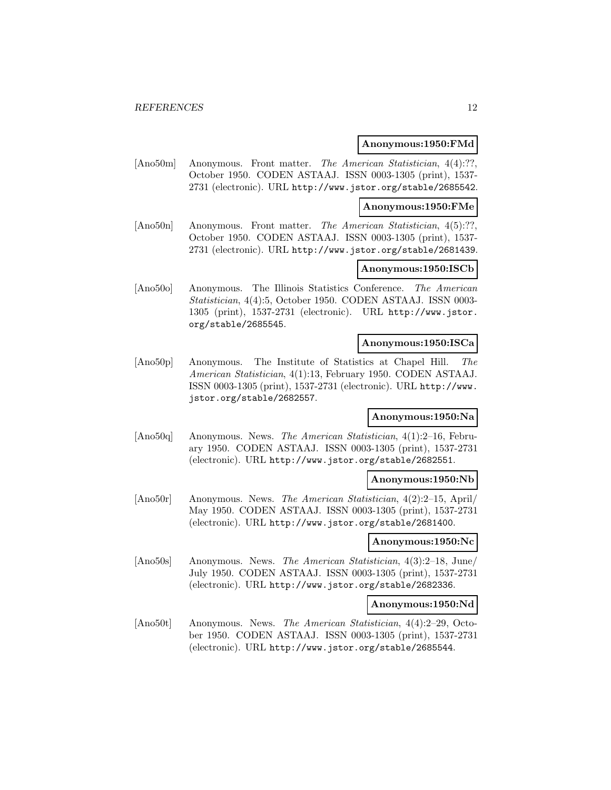### **Anonymous:1950:FMd**

[Ano50m] Anonymous. Front matter. The American Statistician, 4(4):??, October 1950. CODEN ASTAAJ. ISSN 0003-1305 (print), 1537- 2731 (electronic). URL http://www.jstor.org/stable/2685542.

#### **Anonymous:1950:FMe**

[Ano50n] Anonymous. Front matter. The American Statistician, 4(5):??, October 1950. CODEN ASTAAJ. ISSN 0003-1305 (print), 1537- 2731 (electronic). URL http://www.jstor.org/stable/2681439.

# **Anonymous:1950:ISCb**

[Ano50o] Anonymous. The Illinois Statistics Conference. The American Statistician, 4(4):5, October 1950. CODEN ASTAAJ. ISSN 0003- 1305 (print), 1537-2731 (electronic). URL http://www.jstor. org/stable/2685545.

### **Anonymous:1950:ISCa**

[Ano50p] Anonymous. The Institute of Statistics at Chapel Hill. The American Statistician, 4(1):13, February 1950. CODEN ASTAAJ. ISSN 0003-1305 (print), 1537-2731 (electronic). URL http://www. jstor.org/stable/2682557.

# **Anonymous:1950:Na**

[Ano50q] Anonymous. News. The American Statistician, 4(1):2–16, February 1950. CODEN ASTAAJ. ISSN 0003-1305 (print), 1537-2731 (electronic). URL http://www.jstor.org/stable/2682551.

### **Anonymous:1950:Nb**

[Ano50r] Anonymous. News. The American Statistician, 4(2):2–15, April/ May 1950. CODEN ASTAAJ. ISSN 0003-1305 (print), 1537-2731 (electronic). URL http://www.jstor.org/stable/2681400.

# **Anonymous:1950:Nc**

[Ano50s] Anonymous. News. The American Statistician, 4(3):2–18, June/ July 1950. CODEN ASTAAJ. ISSN 0003-1305 (print), 1537-2731 (electronic). URL http://www.jstor.org/stable/2682336.

#### **Anonymous:1950:Nd**

[Ano50t] Anonymous. News. The American Statistician, 4(4):2–29, October 1950. CODEN ASTAAJ. ISSN 0003-1305 (print), 1537-2731 (electronic). URL http://www.jstor.org/stable/2685544.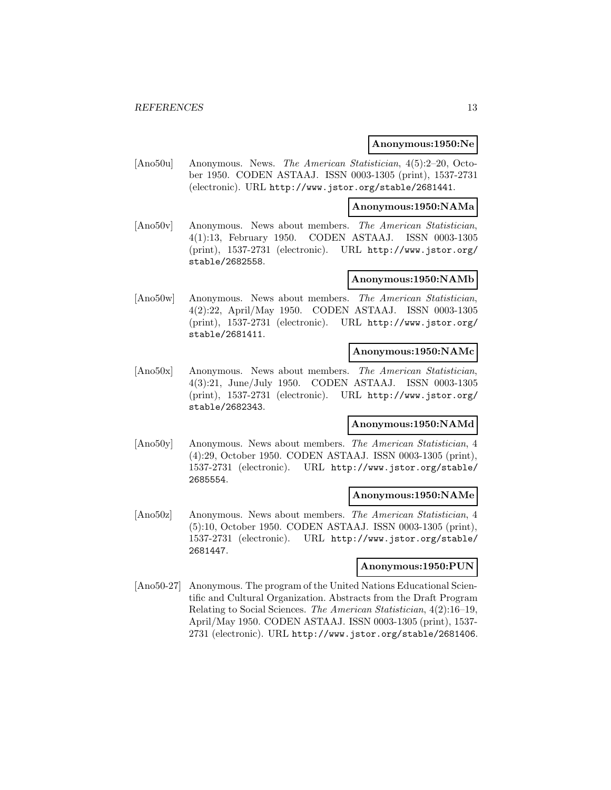#### **Anonymous:1950:Ne**

[Ano50u] Anonymous. News. The American Statistician, 4(5):2–20, October 1950. CODEN ASTAAJ. ISSN 0003-1305 (print), 1537-2731 (electronic). URL http://www.jstor.org/stable/2681441.

# **Anonymous:1950:NAMa**

[Ano50v] Anonymous. News about members. The American Statistician, 4(1):13, February 1950. CODEN ASTAAJ. ISSN 0003-1305 (print), 1537-2731 (electronic). URL http://www.jstor.org/ stable/2682558.

# **Anonymous:1950:NAMb**

[Ano50w] Anonymous. News about members. The American Statistician, 4(2):22, April/May 1950. CODEN ASTAAJ. ISSN 0003-1305 (print), 1537-2731 (electronic). URL http://www.jstor.org/ stable/2681411.

# **Anonymous:1950:NAMc**

[Ano50x] Anonymous. News about members. The American Statistician, 4(3):21, June/July 1950. CODEN ASTAAJ. ISSN 0003-1305 (print), 1537-2731 (electronic). URL http://www.jstor.org/ stable/2682343.

#### **Anonymous:1950:NAMd**

[Ano50y] Anonymous. News about members. The American Statistician, 4 (4):29, October 1950. CODEN ASTAAJ. ISSN 0003-1305 (print), 1537-2731 (electronic). URL http://www.jstor.org/stable/ 2685554.

#### **Anonymous:1950:NAMe**

[Ano50z] Anonymous. News about members. The American Statistician, 4 (5):10, October 1950. CODEN ASTAAJ. ISSN 0003-1305 (print), 1537-2731 (electronic). URL http://www.jstor.org/stable/ 2681447.

#### **Anonymous:1950:PUN**

[Ano50-27] Anonymous. The program of the United Nations Educational Scientific and Cultural Organization. Abstracts from the Draft Program Relating to Social Sciences. The American Statistician, 4(2):16–19, April/May 1950. CODEN ASTAAJ. ISSN 0003-1305 (print), 1537- 2731 (electronic). URL http://www.jstor.org/stable/2681406.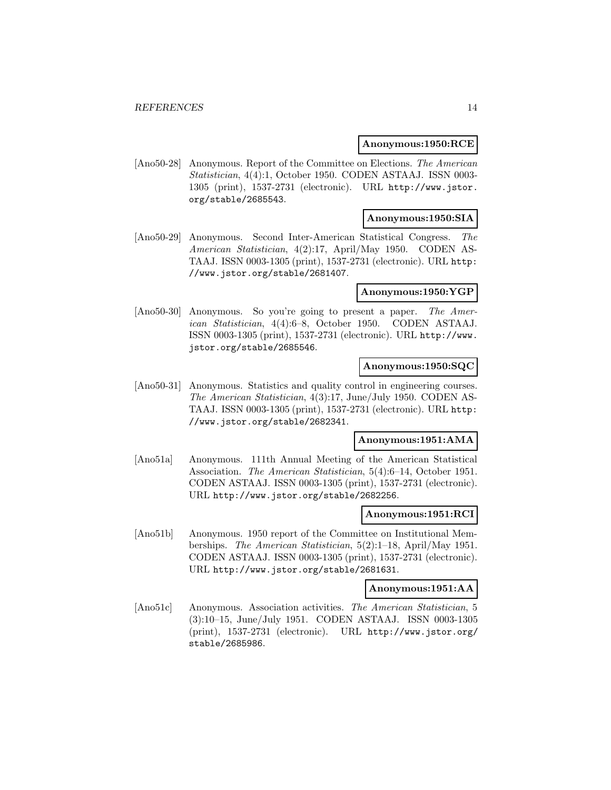### **Anonymous:1950:RCE**

[Ano50-28] Anonymous. Report of the Committee on Elections. The American Statistician, 4(4):1, October 1950. CODEN ASTAAJ. ISSN 0003- 1305 (print), 1537-2731 (electronic). URL http://www.jstor. org/stable/2685543.

# **Anonymous:1950:SIA**

[Ano50-29] Anonymous. Second Inter-American Statistical Congress. The American Statistician, 4(2):17, April/May 1950. CODEN AS-TAAJ. ISSN 0003-1305 (print), 1537-2731 (electronic). URL http: //www.jstor.org/stable/2681407.

#### **Anonymous:1950:YGP**

[Ano50-30] Anonymous. So you're going to present a paper. The American Statistician, 4(4):6–8, October 1950. CODEN ASTAAJ. ISSN 0003-1305 (print), 1537-2731 (electronic). URL http://www. jstor.org/stable/2685546.

# **Anonymous:1950:SQC**

[Ano50-31] Anonymous. Statistics and quality control in engineering courses. The American Statistician, 4(3):17, June/July 1950. CODEN AS-TAAJ. ISSN 0003-1305 (print), 1537-2731 (electronic). URL http: //www.jstor.org/stable/2682341.

#### **Anonymous:1951:AMA**

[Ano51a] Anonymous. 111th Annual Meeting of the American Statistical Association. The American Statistician, 5(4):6–14, October 1951. CODEN ASTAAJ. ISSN 0003-1305 (print), 1537-2731 (electronic). URL http://www.jstor.org/stable/2682256.

### **Anonymous:1951:RCI**

[Ano51b] Anonymous. 1950 report of the Committee on Institutional Memberships. The American Statistician, 5(2):1–18, April/May 1951. CODEN ASTAAJ. ISSN 0003-1305 (print), 1537-2731 (electronic). URL http://www.jstor.org/stable/2681631.

#### **Anonymous:1951:AA**

[Ano51c] Anonymous. Association activities. The American Statistician, 5 (3):10–15, June/July 1951. CODEN ASTAAJ. ISSN 0003-1305 (print), 1537-2731 (electronic). URL http://www.jstor.org/ stable/2685986.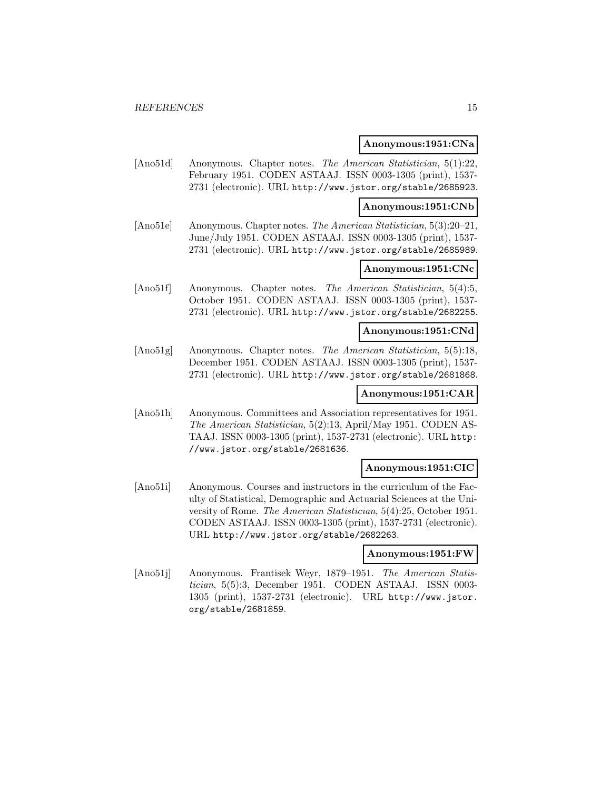### **Anonymous:1951:CNa**

[Ano51d] Anonymous. Chapter notes. The American Statistician, 5(1):22, February 1951. CODEN ASTAAJ. ISSN 0003-1305 (print), 1537- 2731 (electronic). URL http://www.jstor.org/stable/2685923.

### **Anonymous:1951:CNb**

[Ano51e] Anonymous. Chapter notes. The American Statistician, 5(3):20–21, June/July 1951. CODEN ASTAAJ. ISSN 0003-1305 (print), 1537- 2731 (electronic). URL http://www.jstor.org/stable/2685989.

# **Anonymous:1951:CNc**

[Ano51f] Anonymous. Chapter notes. The American Statistician, 5(4):5, October 1951. CODEN ASTAAJ. ISSN 0003-1305 (print), 1537- 2731 (electronic). URL http://www.jstor.org/stable/2682255.

## **Anonymous:1951:CNd**

[Ano51g] Anonymous. Chapter notes. The American Statistician, 5(5):18, December 1951. CODEN ASTAAJ. ISSN 0003-1305 (print), 1537- 2731 (electronic). URL http://www.jstor.org/stable/2681868.

# **Anonymous:1951:CAR**

[Ano51h] Anonymous. Committees and Association representatives for 1951. The American Statistician, 5(2):13, April/May 1951. CODEN AS-TAAJ. ISSN 0003-1305 (print), 1537-2731 (electronic). URL http: //www.jstor.org/stable/2681636.

# **Anonymous:1951:CIC**

[Ano51i] Anonymous. Courses and instructors in the curriculum of the Faculty of Statistical, Demographic and Actuarial Sciences at the University of Rome. The American Statistician, 5(4):25, October 1951. CODEN ASTAAJ. ISSN 0003-1305 (print), 1537-2731 (electronic). URL http://www.jstor.org/stable/2682263.

# **Anonymous:1951:FW**

[Ano51j] Anonymous. Frantisek Weyr, 1879–1951. The American Statistician, 5(5):3, December 1951. CODEN ASTAAJ. ISSN 0003- 1305 (print), 1537-2731 (electronic). URL http://www.jstor. org/stable/2681859.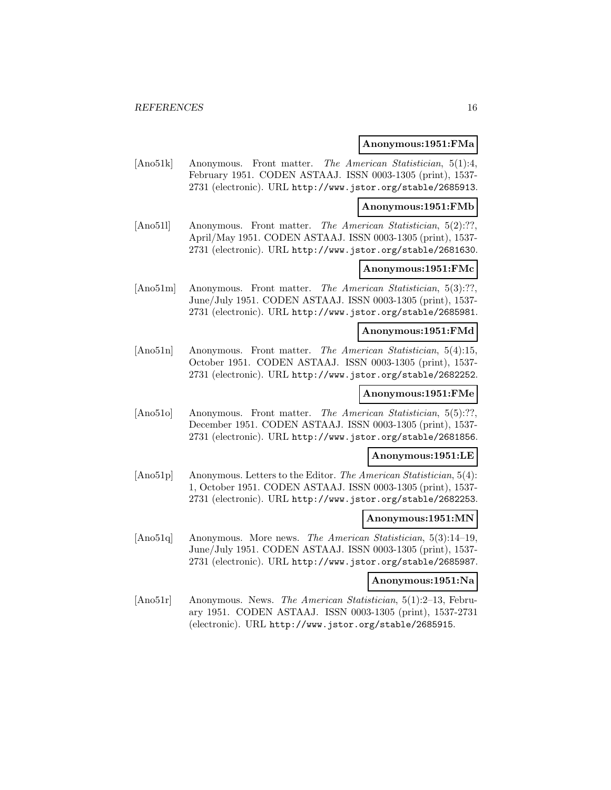### **Anonymous:1951:FMa**

[Ano51k] Anonymous. Front matter. The American Statistician, 5(1):4, February 1951. CODEN ASTAAJ. ISSN 0003-1305 (print), 1537- 2731 (electronic). URL http://www.jstor.org/stable/2685913.

### **Anonymous:1951:FMb**

[Ano51l] Anonymous. Front matter. The American Statistician, 5(2):??, April/May 1951. CODEN ASTAAJ. ISSN 0003-1305 (print), 1537- 2731 (electronic). URL http://www.jstor.org/stable/2681630.

# **Anonymous:1951:FMc**

[Ano51m] Anonymous. Front matter. The American Statistician, 5(3):??, June/July 1951. CODEN ASTAAJ. ISSN 0003-1305 (print), 1537- 2731 (electronic). URL http://www.jstor.org/stable/2685981.

### **Anonymous:1951:FMd**

[Ano51n] Anonymous. Front matter. The American Statistician, 5(4):15, October 1951. CODEN ASTAAJ. ISSN 0003-1305 (print), 1537- 2731 (electronic). URL http://www.jstor.org/stable/2682252.

# **Anonymous:1951:FMe**

[Ano51o] Anonymous. Front matter. The American Statistician, 5(5):??, December 1951. CODEN ASTAAJ. ISSN 0003-1305 (print), 1537- 2731 (electronic). URL http://www.jstor.org/stable/2681856.

# **Anonymous:1951:LE**

[Ano51p] Anonymous. Letters to the Editor. The American Statistician, 5(4): 1, October 1951. CODEN ASTAAJ. ISSN 0003-1305 (print), 1537- 2731 (electronic). URL http://www.jstor.org/stable/2682253.

#### **Anonymous:1951:MN**

[Ano51q] Anonymous. More news. The American Statistician, 5(3):14–19, June/July 1951. CODEN ASTAAJ. ISSN 0003-1305 (print), 1537- 2731 (electronic). URL http://www.jstor.org/stable/2685987.

#### **Anonymous:1951:Na**

[Ano51r] Anonymous. News. The American Statistician, 5(1):2–13, February 1951. CODEN ASTAAJ. ISSN 0003-1305 (print), 1537-2731 (electronic). URL http://www.jstor.org/stable/2685915.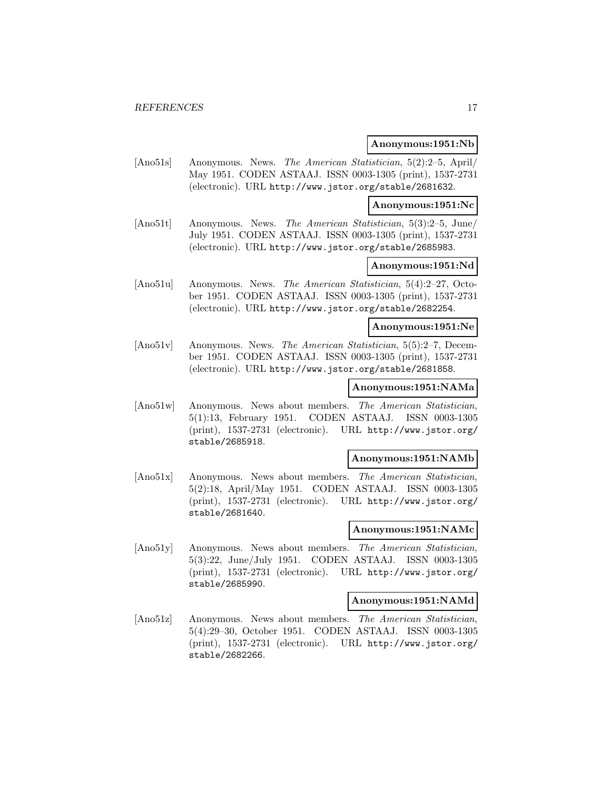### **Anonymous:1951:Nb**

[Ano51s] Anonymous. News. The American Statistician, 5(2):2–5, April/ May 1951. CODEN ASTAAJ. ISSN 0003-1305 (print), 1537-2731 (electronic). URL http://www.jstor.org/stable/2681632.

#### **Anonymous:1951:Nc**

[Ano51t] Anonymous. News. The American Statistician, 5(3):2–5, June/ July 1951. CODEN ASTAAJ. ISSN 0003-1305 (print), 1537-2731 (electronic). URL http://www.jstor.org/stable/2685983.

# **Anonymous:1951:Nd**

[Ano51u] Anonymous. News. The American Statistician, 5(4):2–27, October 1951. CODEN ASTAAJ. ISSN 0003-1305 (print), 1537-2731 (electronic). URL http://www.jstor.org/stable/2682254.

# **Anonymous:1951:Ne**

[Ano51v] Anonymous. News. The American Statistician, 5(5):2–7, December 1951. CODEN ASTAAJ. ISSN 0003-1305 (print), 1537-2731 (electronic). URL http://www.jstor.org/stable/2681858.

### **Anonymous:1951:NAMa**

[Ano51w] Anonymous. News about members. The American Statistician, 5(1):13, February 1951. CODEN ASTAAJ. ISSN 0003-1305 (print), 1537-2731 (electronic). URL http://www.jstor.org/ stable/2685918.

# **Anonymous:1951:NAMb**

[Ano51x] Anonymous. News about members. The American Statistician, 5(2):18, April/May 1951. CODEN ASTAAJ. ISSN 0003-1305 (print), 1537-2731 (electronic). URL http://www.jstor.org/ stable/2681640.

# **Anonymous:1951:NAMc**

[Ano51y] Anonymous. News about members. The American Statistician, 5(3):22, June/July 1951. CODEN ASTAAJ. ISSN 0003-1305 (print), 1537-2731 (electronic). URL http://www.jstor.org/ stable/2685990.

### **Anonymous:1951:NAMd**

[Ano51z] Anonymous. News about members. The American Statistician, 5(4):29–30, October 1951. CODEN ASTAAJ. ISSN 0003-1305 (print), 1537-2731 (electronic). URL http://www.jstor.org/ stable/2682266.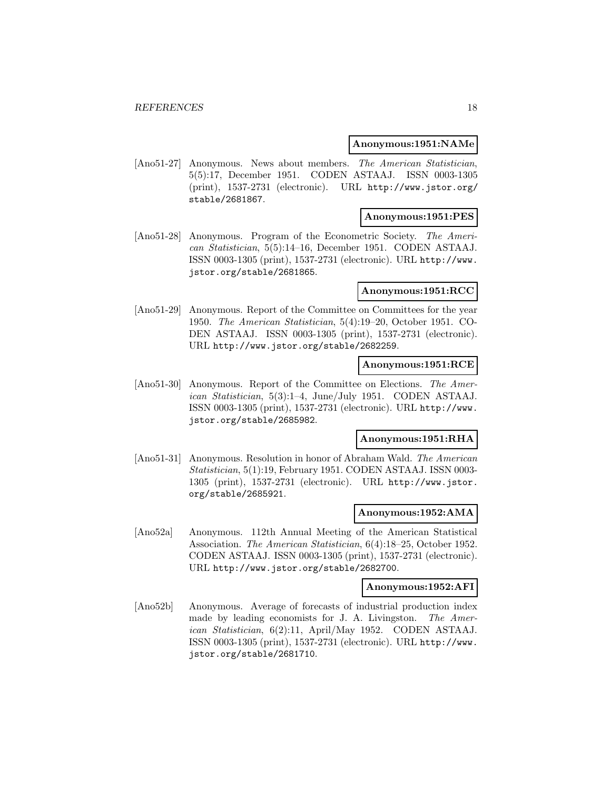#### **Anonymous:1951:NAMe**

[Ano51-27] Anonymous. News about members. The American Statistician, 5(5):17, December 1951. CODEN ASTAAJ. ISSN 0003-1305 (print), 1537-2731 (electronic). URL http://www.jstor.org/ stable/2681867.

# **Anonymous:1951:PES**

[Ano51-28] Anonymous. Program of the Econometric Society. The American Statistician, 5(5):14–16, December 1951. CODEN ASTAAJ. ISSN 0003-1305 (print), 1537-2731 (electronic). URL http://www. jstor.org/stable/2681865.

### **Anonymous:1951:RCC**

[Ano51-29] Anonymous. Report of the Committee on Committees for the year 1950. The American Statistician, 5(4):19–20, October 1951. CO-DEN ASTAAJ. ISSN 0003-1305 (print), 1537-2731 (electronic). URL http://www.jstor.org/stable/2682259.

# **Anonymous:1951:RCE**

[Ano51-30] Anonymous. Report of the Committee on Elections. The American Statistician, 5(3):1–4, June/July 1951. CODEN ASTAAJ. ISSN 0003-1305 (print), 1537-2731 (electronic). URL http://www. jstor.org/stable/2685982.

#### **Anonymous:1951:RHA**

[Ano51-31] Anonymous. Resolution in honor of Abraham Wald. The American Statistician, 5(1):19, February 1951. CODEN ASTAAJ. ISSN 0003- 1305 (print), 1537-2731 (electronic). URL http://www.jstor. org/stable/2685921.

# **Anonymous:1952:AMA**

[Ano52a] Anonymous. 112th Annual Meeting of the American Statistical Association. The American Statistician, 6(4):18–25, October 1952. CODEN ASTAAJ. ISSN 0003-1305 (print), 1537-2731 (electronic). URL http://www.jstor.org/stable/2682700.

### **Anonymous:1952:AFI**

[Ano52b] Anonymous. Average of forecasts of industrial production index made by leading economists for J. A. Livingston. The American Statistician, 6(2):11, April/May 1952. CODEN ASTAAJ. ISSN 0003-1305 (print), 1537-2731 (electronic). URL http://www. jstor.org/stable/2681710.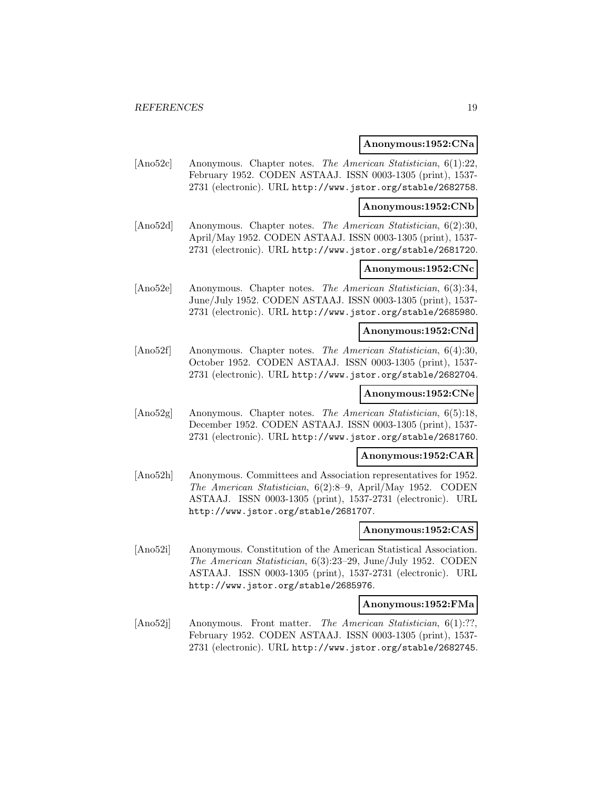### **Anonymous:1952:CNa**

[Ano52c] Anonymous. Chapter notes. The American Statistician, 6(1):22, February 1952. CODEN ASTAAJ. ISSN 0003-1305 (print), 1537- 2731 (electronic). URL http://www.jstor.org/stable/2682758.

#### **Anonymous:1952:CNb**

[Ano52d] Anonymous. Chapter notes. The American Statistician, 6(2):30, April/May 1952. CODEN ASTAAJ. ISSN 0003-1305 (print), 1537- 2731 (electronic). URL http://www.jstor.org/stable/2681720.

# **Anonymous:1952:CNc**

[Ano52e] Anonymous. Chapter notes. The American Statistician, 6(3):34, June/July 1952. CODEN ASTAAJ. ISSN 0003-1305 (print), 1537- 2731 (electronic). URL http://www.jstor.org/stable/2685980.

## **Anonymous:1952:CNd**

[Ano52f] Anonymous. Chapter notes. The American Statistician, 6(4):30, October 1952. CODEN ASTAAJ. ISSN 0003-1305 (print), 1537- 2731 (electronic). URL http://www.jstor.org/stable/2682704.

# **Anonymous:1952:CNe**

[Ano52g] Anonymous. Chapter notes. The American Statistician, 6(5):18, December 1952. CODEN ASTAAJ. ISSN 0003-1305 (print), 1537- 2731 (electronic). URL http://www.jstor.org/stable/2681760.

# **Anonymous:1952:CAR**

[Ano52h] Anonymous. Committees and Association representatives for 1952. The American Statistician, 6(2):8–9, April/May 1952. CODEN ASTAAJ. ISSN 0003-1305 (print), 1537-2731 (electronic). URL http://www.jstor.org/stable/2681707.

# **Anonymous:1952:CAS**

[Ano52i] Anonymous. Constitution of the American Statistical Association. The American Statistician, 6(3):23–29, June/July 1952. CODEN ASTAAJ. ISSN 0003-1305 (print), 1537-2731 (electronic). URL http://www.jstor.org/stable/2685976.

#### **Anonymous:1952:FMa**

[Ano52j] Anonymous. Front matter. The American Statistician, 6(1):??, February 1952. CODEN ASTAAJ. ISSN 0003-1305 (print), 1537- 2731 (electronic). URL http://www.jstor.org/stable/2682745.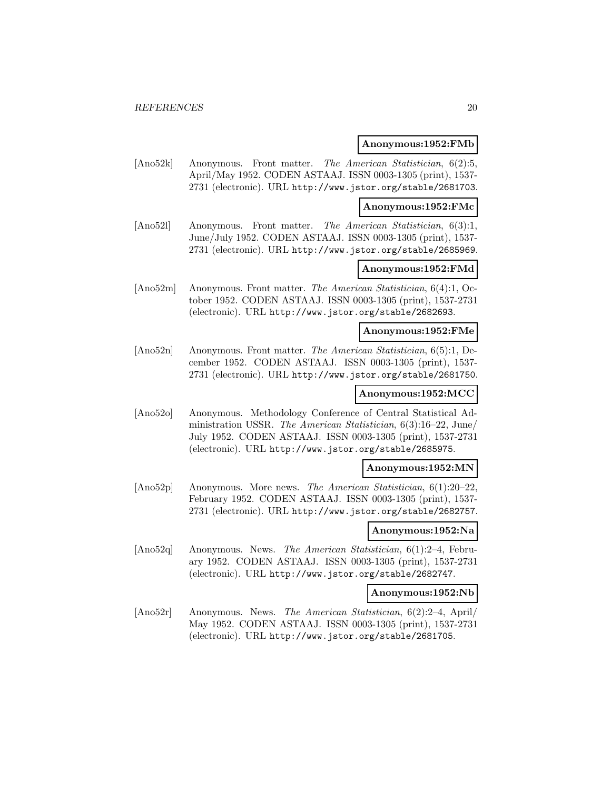### **Anonymous:1952:FMb**

[Ano52k] Anonymous. Front matter. The American Statistician, 6(2):5, April/May 1952. CODEN ASTAAJ. ISSN 0003-1305 (print), 1537- 2731 (electronic). URL http://www.jstor.org/stable/2681703.

#### **Anonymous:1952:FMc**

[Ano52l] Anonymous. Front matter. The American Statistician, 6(3):1, June/July 1952. CODEN ASTAAJ. ISSN 0003-1305 (print), 1537- 2731 (electronic). URL http://www.jstor.org/stable/2685969.

# **Anonymous:1952:FMd**

[Ano52m] Anonymous. Front matter. The American Statistician, 6(4):1, October 1952. CODEN ASTAAJ. ISSN 0003-1305 (print), 1537-2731 (electronic). URL http://www.jstor.org/stable/2682693.

#### **Anonymous:1952:FMe**

[Ano52n] Anonymous. Front matter. The American Statistician, 6(5):1, December 1952. CODEN ASTAAJ. ISSN 0003-1305 (print), 1537- 2731 (electronic). URL http://www.jstor.org/stable/2681750.

# **Anonymous:1952:MCC**

[Ano52o] Anonymous. Methodology Conference of Central Statistical Administration USSR. The American Statistician, 6(3):16–22, June/ July 1952. CODEN ASTAAJ. ISSN 0003-1305 (print), 1537-2731 (electronic). URL http://www.jstor.org/stable/2685975.

# **Anonymous:1952:MN**

[Ano52p] Anonymous. More news. The American Statistician, 6(1):20–22, February 1952. CODEN ASTAAJ. ISSN 0003-1305 (print), 1537- 2731 (electronic). URL http://www.jstor.org/stable/2682757.

# **Anonymous:1952:Na**

[Ano52q] Anonymous. News. The American Statistician, 6(1):2–4, February 1952. CODEN ASTAAJ. ISSN 0003-1305 (print), 1537-2731 (electronic). URL http://www.jstor.org/stable/2682747.

# **Anonymous:1952:Nb**

[Ano52r] Anonymous. News. The American Statistician, 6(2):2–4, April/ May 1952. CODEN ASTAAJ. ISSN 0003-1305 (print), 1537-2731 (electronic). URL http://www.jstor.org/stable/2681705.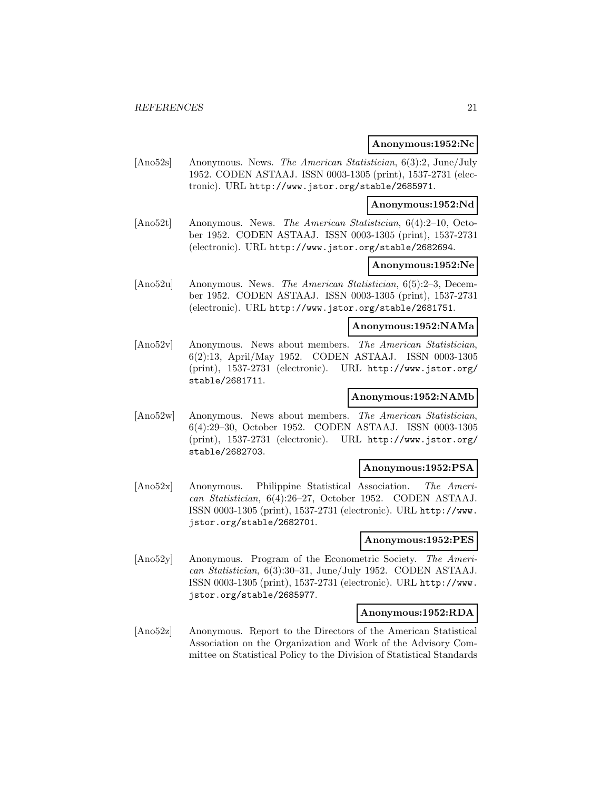### **Anonymous:1952:Nc**

[Ano52s] Anonymous. News. The American Statistician, 6(3):2, June/July 1952. CODEN ASTAAJ. ISSN 0003-1305 (print), 1537-2731 (electronic). URL http://www.jstor.org/stable/2685971.

### **Anonymous:1952:Nd**

[Ano52t] Anonymous. News. The American Statistician, 6(4):2–10, October 1952. CODEN ASTAAJ. ISSN 0003-1305 (print), 1537-2731 (electronic). URL http://www.jstor.org/stable/2682694.

# **Anonymous:1952:Ne**

[Ano52u] Anonymous. News. The American Statistician, 6(5):2–3, December 1952. CODEN ASTAAJ. ISSN 0003-1305 (print), 1537-2731 (electronic). URL http://www.jstor.org/stable/2681751.

# **Anonymous:1952:NAMa**

[Ano52v] Anonymous. News about members. The American Statistician, 6(2):13, April/May 1952. CODEN ASTAAJ. ISSN 0003-1305 (print), 1537-2731 (electronic). URL http://www.jstor.org/ stable/2681711.

# **Anonymous:1952:NAMb**

[Ano52w] Anonymous. News about members. The American Statistician, 6(4):29–30, October 1952. CODEN ASTAAJ. ISSN 0003-1305 (print), 1537-2731 (electronic). URL http://www.jstor.org/ stable/2682703.

#### **Anonymous:1952:PSA**

[Ano52x] Anonymous. Philippine Statistical Association. The American Statistician, 6(4):26–27, October 1952. CODEN ASTAAJ. ISSN 0003-1305 (print), 1537-2731 (electronic). URL http://www. jstor.org/stable/2682701.

### **Anonymous:1952:PES**

[Ano52y] Anonymous. Program of the Econometric Society. The American Statistician, 6(3):30–31, June/July 1952. CODEN ASTAAJ. ISSN 0003-1305 (print), 1537-2731 (electronic). URL http://www. jstor.org/stable/2685977.

#### **Anonymous:1952:RDA**

[Ano52z] Anonymous. Report to the Directors of the American Statistical Association on the Organization and Work of the Advisory Committee on Statistical Policy to the Division of Statistical Standards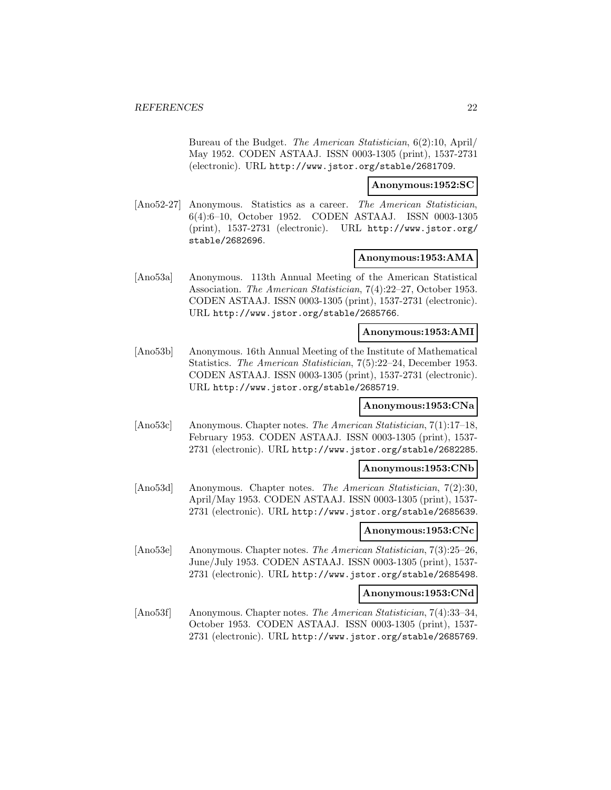Bureau of the Budget. The American Statistician, 6(2):10, April/ May 1952. CODEN ASTAAJ. ISSN 0003-1305 (print), 1537-2731 (electronic). URL http://www.jstor.org/stable/2681709.

# **Anonymous:1952:SC**

[Ano52-27] Anonymous. Statistics as a career. The American Statistician, 6(4):6–10, October 1952. CODEN ASTAAJ. ISSN 0003-1305 (print), 1537-2731 (electronic). URL http://www.jstor.org/ stable/2682696.

### **Anonymous:1953:AMA**

[Ano53a] Anonymous. 113th Annual Meeting of the American Statistical Association. The American Statistician, 7(4):22–27, October 1953. CODEN ASTAAJ. ISSN 0003-1305 (print), 1537-2731 (electronic). URL http://www.jstor.org/stable/2685766.

# **Anonymous:1953:AMI**

[Ano53b] Anonymous. 16th Annual Meeting of the Institute of Mathematical Statistics. The American Statistician, 7(5):22–24, December 1953. CODEN ASTAAJ. ISSN 0003-1305 (print), 1537-2731 (electronic). URL http://www.jstor.org/stable/2685719.

# **Anonymous:1953:CNa**

[Ano53c] Anonymous. Chapter notes. The American Statistician, 7(1):17–18, February 1953. CODEN ASTAAJ. ISSN 0003-1305 (print), 1537- 2731 (electronic). URL http://www.jstor.org/stable/2682285.

#### **Anonymous:1953:CNb**

[Ano53d] Anonymous. Chapter notes. The American Statistician, 7(2):30, April/May 1953. CODEN ASTAAJ. ISSN 0003-1305 (print), 1537- 2731 (electronic). URL http://www.jstor.org/stable/2685639.

# **Anonymous:1953:CNc**

[Ano53e] Anonymous. Chapter notes. The American Statistician, 7(3):25–26, June/July 1953. CODEN ASTAAJ. ISSN 0003-1305 (print), 1537- 2731 (electronic). URL http://www.jstor.org/stable/2685498.

# **Anonymous:1953:CNd**

[Ano53f] Anonymous. Chapter notes. The American Statistician, 7(4):33–34, October 1953. CODEN ASTAAJ. ISSN 0003-1305 (print), 1537- 2731 (electronic). URL http://www.jstor.org/stable/2685769.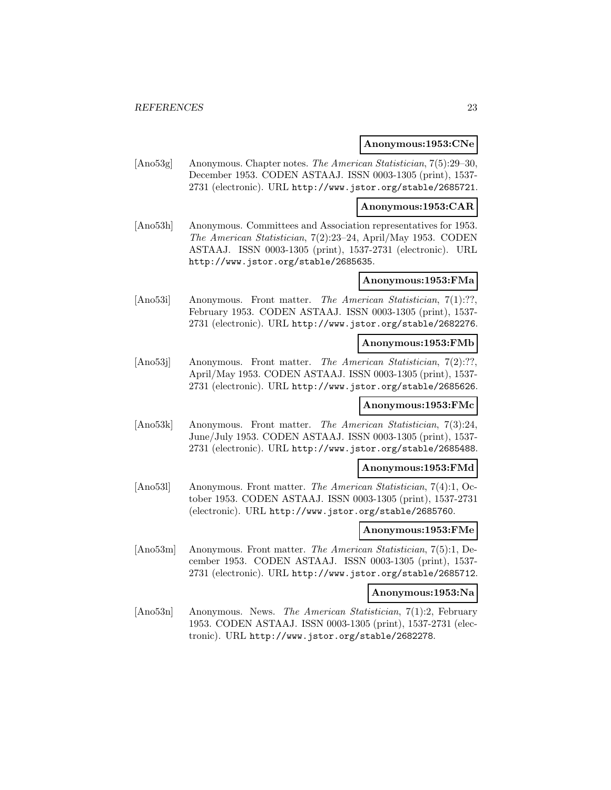#### **Anonymous:1953:CNe**

[Ano53g] Anonymous. Chapter notes. The American Statistician, 7(5):29–30, December 1953. CODEN ASTAAJ. ISSN 0003-1305 (print), 1537- 2731 (electronic). URL http://www.jstor.org/stable/2685721.

### **Anonymous:1953:CAR**

[Ano53h] Anonymous. Committees and Association representatives for 1953. The American Statistician, 7(2):23–24, April/May 1953. CODEN ASTAAJ. ISSN 0003-1305 (print), 1537-2731 (electronic). URL http://www.jstor.org/stable/2685635.

# **Anonymous:1953:FMa**

[Ano53i] Anonymous. Front matter. The American Statistician, 7(1):??, February 1953. CODEN ASTAAJ. ISSN 0003-1305 (print), 1537- 2731 (electronic). URL http://www.jstor.org/stable/2682276.

# **Anonymous:1953:FMb**

[Ano53] Anonymous. Front matter. The American Statistician, 7(2):??. April/May 1953. CODEN ASTAAJ. ISSN 0003-1305 (print), 1537- 2731 (electronic). URL http://www.jstor.org/stable/2685626.

#### **Anonymous:1953:FMc**

[Ano53k] Anonymous. Front matter. The American Statistician, 7(3):24, June/July 1953. CODEN ASTAAJ. ISSN 0003-1305 (print), 1537- 2731 (electronic). URL http://www.jstor.org/stable/2685488.

#### **Anonymous:1953:FMd**

[Ano53l] Anonymous. Front matter. The American Statistician, 7(4):1, October 1953. CODEN ASTAAJ. ISSN 0003-1305 (print), 1537-2731 (electronic). URL http://www.jstor.org/stable/2685760.

# **Anonymous:1953:FMe**

[Ano53m] Anonymous. Front matter. The American Statistician, 7(5):1, December 1953. CODEN ASTAAJ. ISSN 0003-1305 (print), 1537- 2731 (electronic). URL http://www.jstor.org/stable/2685712.

# **Anonymous:1953:Na**

[Ano53n] Anonymous. News. The American Statistician, 7(1):2, February 1953. CODEN ASTAAJ. ISSN 0003-1305 (print), 1537-2731 (electronic). URL http://www.jstor.org/stable/2682278.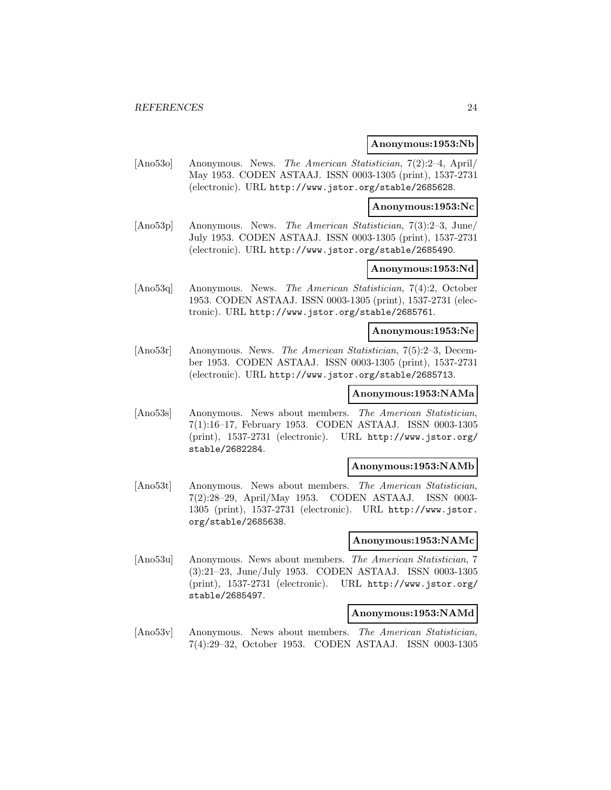### **Anonymous:1953:Nb**

[Ano53o] Anonymous. News. The American Statistician, 7(2):2–4, April/ May 1953. CODEN ASTAAJ. ISSN 0003-1305 (print), 1537-2731 (electronic). URL http://www.jstor.org/stable/2685628.

### **Anonymous:1953:Nc**

[Ano53p] Anonymous. News. The American Statistician, 7(3):2–3, June/ July 1953. CODEN ASTAAJ. ISSN 0003-1305 (print), 1537-2731 (electronic). URL http://www.jstor.org/stable/2685490.

# **Anonymous:1953:Nd**

[Ano53q] Anonymous. News. The American Statistician, 7(4):2, October 1953. CODEN ASTAAJ. ISSN 0003-1305 (print), 1537-2731 (electronic). URL http://www.jstor.org/stable/2685761.

#### **Anonymous:1953:Ne**

[Ano53r] Anonymous. News. The American Statistician, 7(5):2–3, December 1953. CODEN ASTAAJ. ISSN 0003-1305 (print), 1537-2731 (electronic). URL http://www.jstor.org/stable/2685713.

# **Anonymous:1953:NAMa**

[Ano53s] Anonymous. News about members. The American Statistician, 7(1):16–17, February 1953. CODEN ASTAAJ. ISSN 0003-1305 (print), 1537-2731 (electronic). URL http://www.jstor.org/ stable/2682284.

# **Anonymous:1953:NAMb**

[Ano53t] Anonymous. News about members. The American Statistician, 7(2):28–29, April/May 1953. CODEN ASTAAJ. ISSN 0003- 1305 (print), 1537-2731 (electronic). URL http://www.jstor. org/stable/2685638.

# **Anonymous:1953:NAMc**

[Ano53u] Anonymous. News about members. The American Statistician, 7 (3):21–23, June/July 1953. CODEN ASTAAJ. ISSN 0003-1305 (print), 1537-2731 (electronic). URL http://www.jstor.org/ stable/2685497.

### **Anonymous:1953:NAMd**

[Ano53v] Anonymous. News about members. The American Statistician, 7(4):29–32, October 1953. CODEN ASTAAJ. ISSN 0003-1305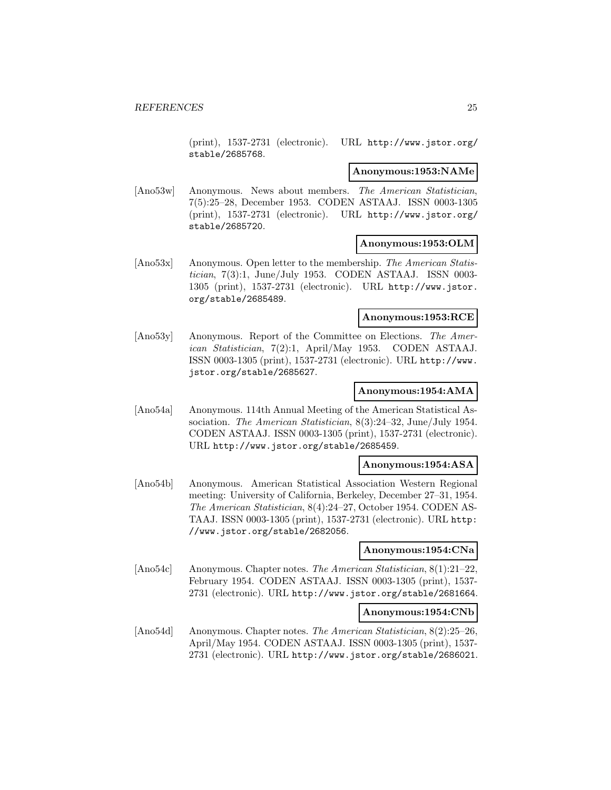(print), 1537-2731 (electronic). URL http://www.jstor.org/ stable/2685768.

#### **Anonymous:1953:NAMe**

[Ano53w] Anonymous. News about members. The American Statistician, 7(5):25–28, December 1953. CODEN ASTAAJ. ISSN 0003-1305 (print), 1537-2731 (electronic). URL http://www.jstor.org/ stable/2685720.

# **Anonymous:1953:OLM**

[Ano53x] Anonymous. Open letter to the membership. The American Statistician, 7(3):1, June/July 1953. CODEN ASTAAJ. ISSN 0003- 1305 (print), 1537-2731 (electronic). URL http://www.jstor. org/stable/2685489.

# **Anonymous:1953:RCE**

[Ano53y] Anonymous. Report of the Committee on Elections. The American Statistician, 7(2):1, April/May 1953. CODEN ASTAAJ. ISSN 0003-1305 (print), 1537-2731 (electronic). URL http://www. jstor.org/stable/2685627.

# **Anonymous:1954:AMA**

[Ano54a] Anonymous. 114th Annual Meeting of the American Statistical Association. The American Statistician, 8(3):24–32, June/July 1954. CODEN ASTAAJ. ISSN 0003-1305 (print), 1537-2731 (electronic). URL http://www.jstor.org/stable/2685459.

# **Anonymous:1954:ASA**

[Ano54b] Anonymous. American Statistical Association Western Regional meeting: University of California, Berkeley, December 27–31, 1954. The American Statistician, 8(4):24–27, October 1954. CODEN AS-TAAJ. ISSN 0003-1305 (print), 1537-2731 (electronic). URL http: //www.jstor.org/stable/2682056.

# **Anonymous:1954:CNa**

[Ano54c] Anonymous. Chapter notes. The American Statistician, 8(1):21–22, February 1954. CODEN ASTAAJ. ISSN 0003-1305 (print), 1537- 2731 (electronic). URL http://www.jstor.org/stable/2681664.

# **Anonymous:1954:CNb**

[Ano54d] Anonymous. Chapter notes. The American Statistician, 8(2):25–26, April/May 1954. CODEN ASTAAJ. ISSN 0003-1305 (print), 1537- 2731 (electronic). URL http://www.jstor.org/stable/2686021.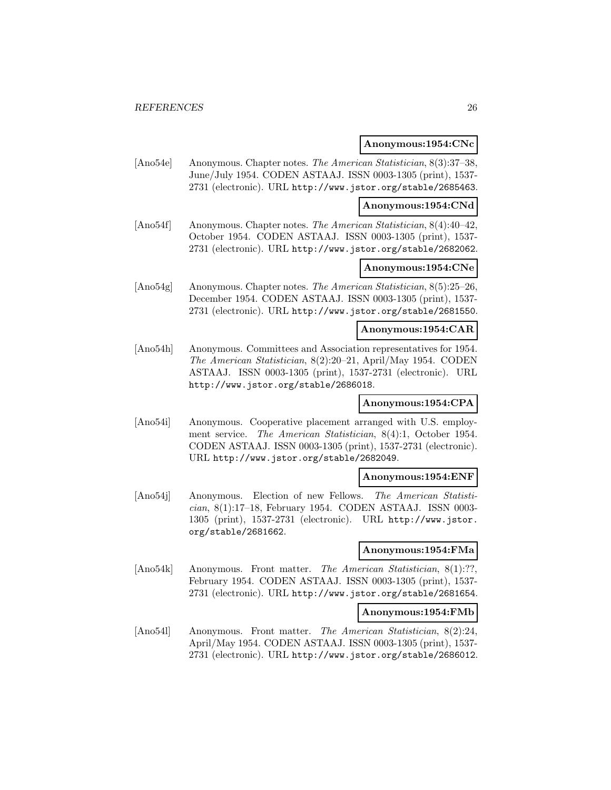### **Anonymous:1954:CNc**

[Ano54e] Anonymous. Chapter notes. The American Statistician, 8(3):37–38, June/July 1954. CODEN ASTAAJ. ISSN 0003-1305 (print), 1537- 2731 (electronic). URL http://www.jstor.org/stable/2685463.

### **Anonymous:1954:CNd**

[Ano54f] Anonymous. Chapter notes. The American Statistician, 8(4):40–42, October 1954. CODEN ASTAAJ. ISSN 0003-1305 (print), 1537- 2731 (electronic). URL http://www.jstor.org/stable/2682062.

# **Anonymous:1954:CNe**

[Ano54g] Anonymous. Chapter notes. The American Statistician, 8(5):25–26, December 1954. CODEN ASTAAJ. ISSN 0003-1305 (print), 1537- 2731 (electronic). URL http://www.jstor.org/stable/2681550.

# **Anonymous:1954:CAR**

[Ano54h] Anonymous. Committees and Association representatives for 1954. The American Statistician, 8(2):20–21, April/May 1954. CODEN ASTAAJ. ISSN 0003-1305 (print), 1537-2731 (electronic). URL http://www.jstor.org/stable/2686018.

# **Anonymous:1954:CPA**

[Ano54i] Anonymous. Cooperative placement arranged with U.S. employment service. The American Statistician, 8(4):1, October 1954. CODEN ASTAAJ. ISSN 0003-1305 (print), 1537-2731 (electronic). URL http://www.jstor.org/stable/2682049.

### **Anonymous:1954:ENF**

[Ano54j] Anonymous. Election of new Fellows. The American Statistician, 8(1):17–18, February 1954. CODEN ASTAAJ. ISSN 0003- 1305 (print), 1537-2731 (electronic). URL http://www.jstor. org/stable/2681662.

# **Anonymous:1954:FMa**

[Ano54k] Anonymous. Front matter. The American Statistician, 8(1):??, February 1954. CODEN ASTAAJ. ISSN 0003-1305 (print), 1537- 2731 (electronic). URL http://www.jstor.org/stable/2681654.

# **Anonymous:1954:FMb**

[Ano54l] Anonymous. Front matter. The American Statistician, 8(2):24, April/May 1954. CODEN ASTAAJ. ISSN 0003-1305 (print), 1537- 2731 (electronic). URL http://www.jstor.org/stable/2686012.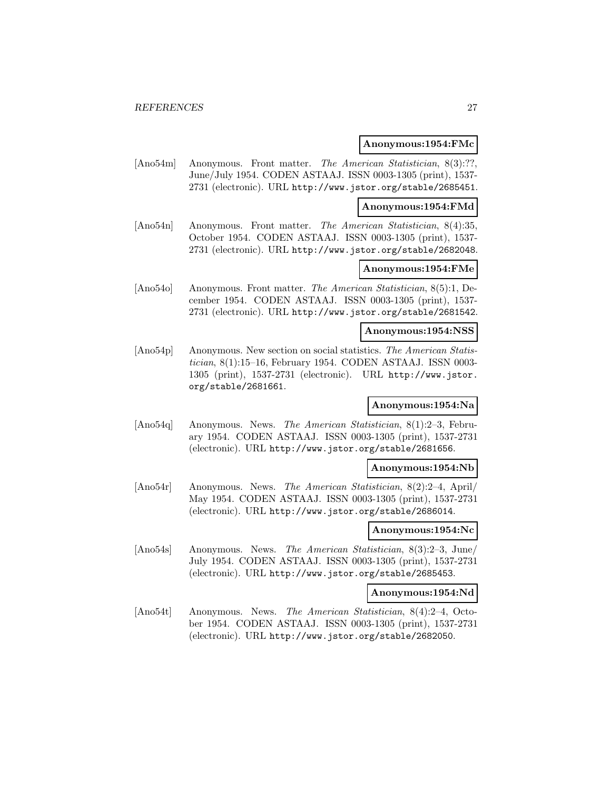### **Anonymous:1954:FMc**

[Ano54m] Anonymous. Front matter. The American Statistician, 8(3):??, June/July 1954. CODEN ASTAAJ. ISSN 0003-1305 (print), 1537- 2731 (electronic). URL http://www.jstor.org/stable/2685451.

### **Anonymous:1954:FMd**

[Ano54n] Anonymous. Front matter. The American Statistician, 8(4):35, October 1954. CODEN ASTAAJ. ISSN 0003-1305 (print), 1537- 2731 (electronic). URL http://www.jstor.org/stable/2682048.

# **Anonymous:1954:FMe**

[Ano54o] Anonymous. Front matter. The American Statistician, 8(5):1, December 1954. CODEN ASTAAJ. ISSN 0003-1305 (print), 1537- 2731 (electronic). URL http://www.jstor.org/stable/2681542.

## **Anonymous:1954:NSS**

[Ano54p] Anonymous. New section on social statistics. The American Statistician, 8(1):15–16, February 1954. CODEN ASTAAJ. ISSN 0003- 1305 (print), 1537-2731 (electronic). URL http://www.jstor. org/stable/2681661.

### **Anonymous:1954:Na**

[Ano54q] Anonymous. News. The American Statistician, 8(1):2–3, February 1954. CODEN ASTAAJ. ISSN 0003-1305 (print), 1537-2731 (electronic). URL http://www.jstor.org/stable/2681656.

#### **Anonymous:1954:Nb**

[Ano54r] Anonymous. News. The American Statistician, 8(2):2–4, April/ May 1954. CODEN ASTAAJ. ISSN 0003-1305 (print), 1537-2731 (electronic). URL http://www.jstor.org/stable/2686014.

# **Anonymous:1954:Nc**

[Ano54s] Anonymous. News. The American Statistician, 8(3):2–3, June/ July 1954. CODEN ASTAAJ. ISSN 0003-1305 (print), 1537-2731 (electronic). URL http://www.jstor.org/stable/2685453.

# **Anonymous:1954:Nd**

[Ano54t] Anonymous. News. The American Statistician, 8(4):2–4, October 1954. CODEN ASTAAJ. ISSN 0003-1305 (print), 1537-2731 (electronic). URL http://www.jstor.org/stable/2682050.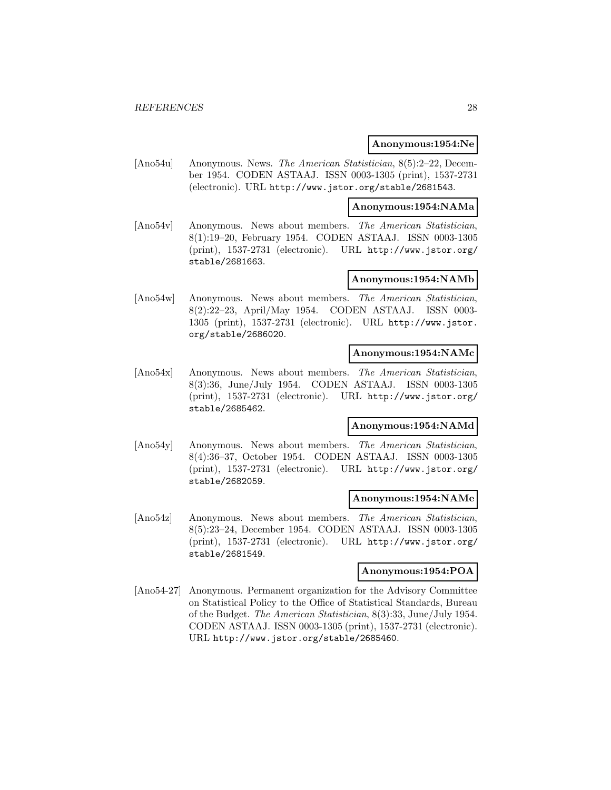#### **Anonymous:1954:Ne**

[Ano54u] Anonymous. News. The American Statistician, 8(5):2–22, December 1954. CODEN ASTAAJ. ISSN 0003-1305 (print), 1537-2731 (electronic). URL http://www.jstor.org/stable/2681543.

### **Anonymous:1954:NAMa**

[Ano54v] Anonymous. News about members. The American Statistician, 8(1):19–20, February 1954. CODEN ASTAAJ. ISSN 0003-1305 (print), 1537-2731 (electronic). URL http://www.jstor.org/ stable/2681663.

# **Anonymous:1954:NAMb**

[Ano54w] Anonymous. News about members. The American Statistician, 8(2):22–23, April/May 1954. CODEN ASTAAJ. ISSN 0003- 1305 (print), 1537-2731 (electronic). URL http://www.jstor. org/stable/2686020.

### **Anonymous:1954:NAMc**

[Ano54x] Anonymous. News about members. The American Statistician, 8(3):36, June/July 1954. CODEN ASTAAJ. ISSN 0003-1305 (print), 1537-2731 (electronic). URL http://www.jstor.org/ stable/2685462.

# **Anonymous:1954:NAMd**

[Ano54y] Anonymous. News about members. The American Statistician, 8(4):36–37, October 1954. CODEN ASTAAJ. ISSN 0003-1305 (print), 1537-2731 (electronic). URL http://www.jstor.org/ stable/2682059.

# **Anonymous:1954:NAMe**

[Ano54z] Anonymous. News about members. The American Statistician, 8(5):23–24, December 1954. CODEN ASTAAJ. ISSN 0003-1305 (print), 1537-2731 (electronic). URL http://www.jstor.org/ stable/2681549.

### **Anonymous:1954:POA**

[Ano54-27] Anonymous. Permanent organization for the Advisory Committee on Statistical Policy to the Office of Statistical Standards, Bureau of the Budget. The American Statistician, 8(3):33, June/July 1954. CODEN ASTAAJ. ISSN 0003-1305 (print), 1537-2731 (electronic). URL http://www.jstor.org/stable/2685460.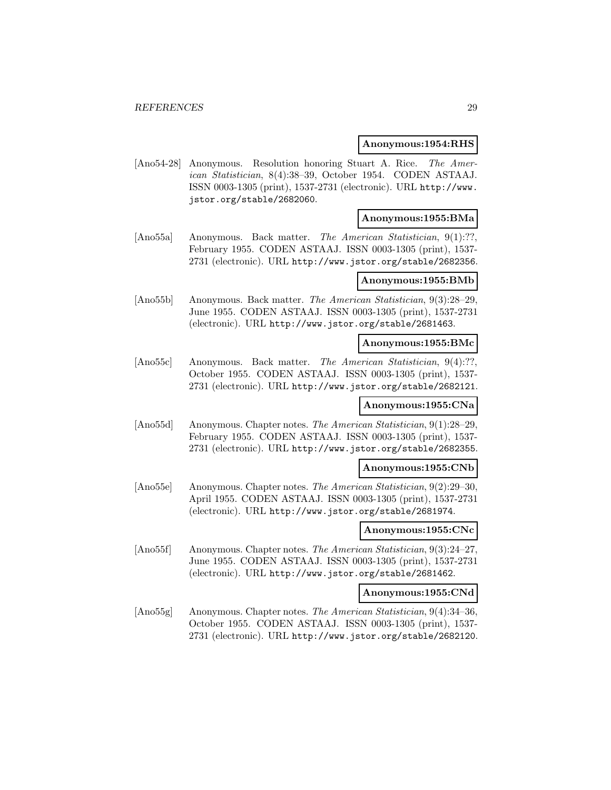#### **Anonymous:1954:RHS**

[Ano54-28] Anonymous. Resolution honoring Stuart A. Rice. The American Statistician, 8(4):38–39, October 1954. CODEN ASTAAJ. ISSN 0003-1305 (print), 1537-2731 (electronic). URL http://www. jstor.org/stable/2682060.

# **Anonymous:1955:BMa**

[Ano55a] Anonymous. Back matter. The American Statistician, 9(1):??, February 1955. CODEN ASTAAJ. ISSN 0003-1305 (print), 1537- 2731 (electronic). URL http://www.jstor.org/stable/2682356.

# **Anonymous:1955:BMb**

[Ano55b] Anonymous. Back matter. The American Statistician, 9(3):28–29, June 1955. CODEN ASTAAJ. ISSN 0003-1305 (print), 1537-2731 (electronic). URL http://www.jstor.org/stable/2681463.

# **Anonymous:1955:BMc**

[Ano55c] Anonymous. Back matter. The American Statistician, 9(4):??, October 1955. CODEN ASTAAJ. ISSN 0003-1305 (print), 1537- 2731 (electronic). URL http://www.jstor.org/stable/2682121.

# **Anonymous:1955:CNa**

[Ano55d] Anonymous. Chapter notes. The American Statistician, 9(1):28–29, February 1955. CODEN ASTAAJ. ISSN 0003-1305 (print), 1537- 2731 (electronic). URL http://www.jstor.org/stable/2682355.

#### **Anonymous:1955:CNb**

[Ano55e] Anonymous. Chapter notes. The American Statistician, 9(2):29–30, April 1955. CODEN ASTAAJ. ISSN 0003-1305 (print), 1537-2731 (electronic). URL http://www.jstor.org/stable/2681974.

# **Anonymous:1955:CNc**

[Ano55f] Anonymous. Chapter notes. The American Statistician, 9(3):24–27, June 1955. CODEN ASTAAJ. ISSN 0003-1305 (print), 1537-2731 (electronic). URL http://www.jstor.org/stable/2681462.

### **Anonymous:1955:CNd**

[Ano55g] Anonymous. Chapter notes. The American Statistician, 9(4):34–36, October 1955. CODEN ASTAAJ. ISSN 0003-1305 (print), 1537- 2731 (electronic). URL http://www.jstor.org/stable/2682120.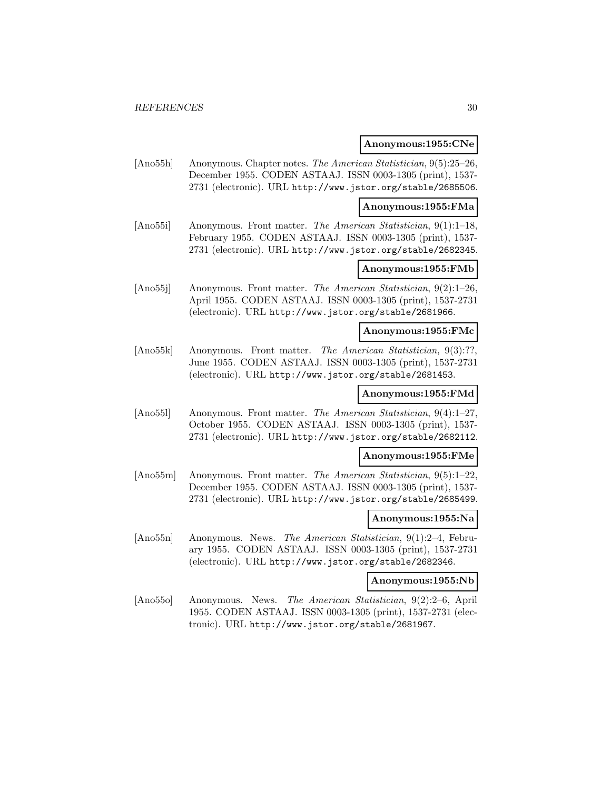#### **Anonymous:1955:CNe**

[Ano55h] Anonymous. Chapter notes. The American Statistician, 9(5):25–26, December 1955. CODEN ASTAAJ. ISSN 0003-1305 (print), 1537- 2731 (electronic). URL http://www.jstor.org/stable/2685506.

### **Anonymous:1955:FMa**

[Ano55i] Anonymous. Front matter. The American Statistician, 9(1):1–18, February 1955. CODEN ASTAAJ. ISSN 0003-1305 (print), 1537- 2731 (electronic). URL http://www.jstor.org/stable/2682345.

# **Anonymous:1955:FMb**

[Ano55j] Anonymous. Front matter. The American Statistician, 9(2):1–26, April 1955. CODEN ASTAAJ. ISSN 0003-1305 (print), 1537-2731 (electronic). URL http://www.jstor.org/stable/2681966.

## **Anonymous:1955:FMc**

[Ano55k] Anonymous. Front matter. The American Statistician, 9(3):??, June 1955. CODEN ASTAAJ. ISSN 0003-1305 (print), 1537-2731 (electronic). URL http://www.jstor.org/stable/2681453.

# **Anonymous:1955:FMd**

[Ano55l] Anonymous. Front matter. The American Statistician, 9(4):1–27, October 1955. CODEN ASTAAJ. ISSN 0003-1305 (print), 1537- 2731 (electronic). URL http://www.jstor.org/stable/2682112.

# **Anonymous:1955:FMe**

[Ano55m] Anonymous. Front matter. The American Statistician, 9(5):1–22, December 1955. CODEN ASTAAJ. ISSN 0003-1305 (print), 1537- 2731 (electronic). URL http://www.jstor.org/stable/2685499.

#### **Anonymous:1955:Na**

[Ano55n] Anonymous. News. The American Statistician, 9(1):2–4, February 1955. CODEN ASTAAJ. ISSN 0003-1305 (print), 1537-2731 (electronic). URL http://www.jstor.org/stable/2682346.

#### **Anonymous:1955:Nb**

[Ano55o] Anonymous. News. The American Statistician, 9(2):2–6, April 1955. CODEN ASTAAJ. ISSN 0003-1305 (print), 1537-2731 (electronic). URL http://www.jstor.org/stable/2681967.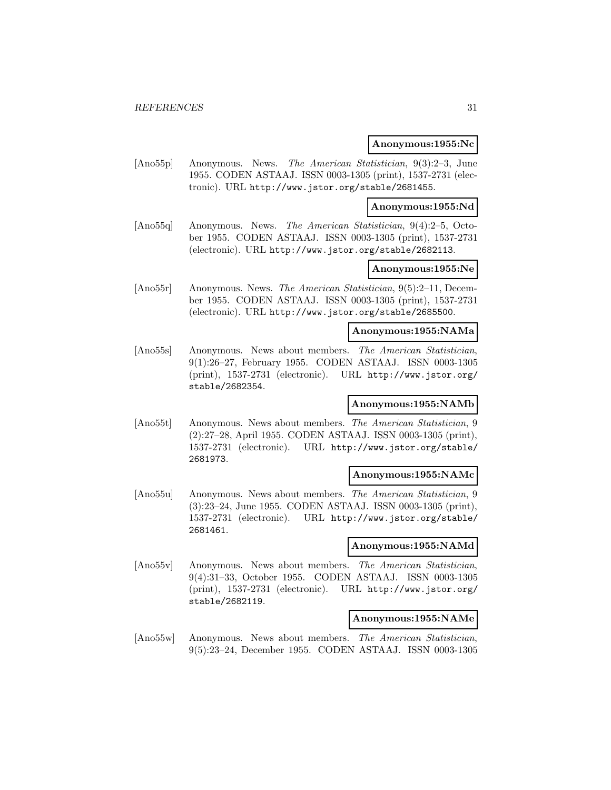### **Anonymous:1955:Nc**

[Ano55p] Anonymous. News. The American Statistician, 9(3):2–3, June 1955. CODEN ASTAAJ. ISSN 0003-1305 (print), 1537-2731 (electronic). URL http://www.jstor.org/stable/2681455.

### **Anonymous:1955:Nd**

[Ano55q] Anonymous. News. The American Statistician, 9(4):2–5, October 1955. CODEN ASTAAJ. ISSN 0003-1305 (print), 1537-2731 (electronic). URL http://www.jstor.org/stable/2682113.

# **Anonymous:1955:Ne**

[Ano55r] Anonymous. News. The American Statistician, 9(5):2–11, December 1955. CODEN ASTAAJ. ISSN 0003-1305 (print), 1537-2731 (electronic). URL http://www.jstor.org/stable/2685500.

## **Anonymous:1955:NAMa**

[Ano55s] Anonymous. News about members. The American Statistician, 9(1):26–27, February 1955. CODEN ASTAAJ. ISSN 0003-1305 (print), 1537-2731 (electronic). URL http://www.jstor.org/ stable/2682354.

# **Anonymous:1955:NAMb**

[Ano55t] Anonymous. News about members. The American Statistician, 9 (2):27–28, April 1955. CODEN ASTAAJ. ISSN 0003-1305 (print), 1537-2731 (electronic). URL http://www.jstor.org/stable/ 2681973.

#### **Anonymous:1955:NAMc**

[Ano55u] Anonymous. News about members. The American Statistician, 9 (3):23–24, June 1955. CODEN ASTAAJ. ISSN 0003-1305 (print), 1537-2731 (electronic). URL http://www.jstor.org/stable/ 2681461.

# **Anonymous:1955:NAMd**

[Ano55v] Anonymous. News about members. The American Statistician, 9(4):31–33, October 1955. CODEN ASTAAJ. ISSN 0003-1305 (print), 1537-2731 (electronic). URL http://www.jstor.org/ stable/2682119.

#### **Anonymous:1955:NAMe**

[Ano55w] Anonymous. News about members. The American Statistician, 9(5):23–24, December 1955. CODEN ASTAAJ. ISSN 0003-1305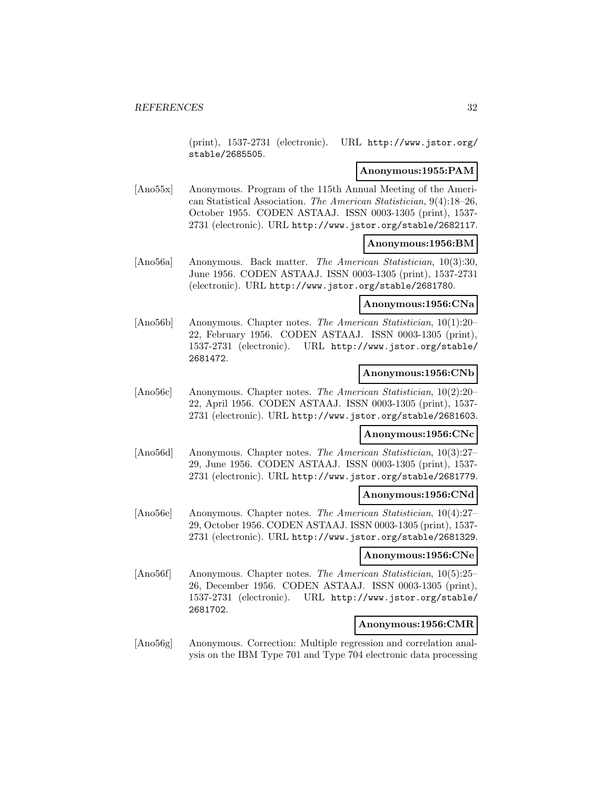(print), 1537-2731 (electronic). URL http://www.jstor.org/ stable/2685505.

# **Anonymous:1955:PAM**

[Ano55x] Anonymous. Program of the 115th Annual Meeting of the American Statistical Association. The American Statistician, 9(4):18–26, October 1955. CODEN ASTAAJ. ISSN 0003-1305 (print), 1537- 2731 (electronic). URL http://www.jstor.org/stable/2682117.

### **Anonymous:1956:BM**

[Ano56a] Anonymous. Back matter. The American Statistician, 10(3):30, June 1956. CODEN ASTAAJ. ISSN 0003-1305 (print), 1537-2731 (electronic). URL http://www.jstor.org/stable/2681780.

### **Anonymous:1956:CNa**

[Ano56b] Anonymous. Chapter notes. The American Statistician, 10(1):20– 22, February 1956. CODEN ASTAAJ. ISSN 0003-1305 (print), 1537-2731 (electronic). URL http://www.jstor.org/stable/ 2681472.

# **Anonymous:1956:CNb**

[Ano56c] Anonymous. Chapter notes. The American Statistician, 10(2):20– 22, April 1956. CODEN ASTAAJ. ISSN 0003-1305 (print), 1537- 2731 (electronic). URL http://www.jstor.org/stable/2681603.

# **Anonymous:1956:CNc**

[Ano56d] Anonymous. Chapter notes. The American Statistician, 10(3):27– 29, June 1956. CODEN ASTAAJ. ISSN 0003-1305 (print), 1537- 2731 (electronic). URL http://www.jstor.org/stable/2681779.

# **Anonymous:1956:CNd**

[Ano56e] Anonymous. Chapter notes. The American Statistician, 10(4):27– 29, October 1956. CODEN ASTAAJ. ISSN 0003-1305 (print), 1537- 2731 (electronic). URL http://www.jstor.org/stable/2681329.

### **Anonymous:1956:CNe**

[Ano56f] Anonymous. Chapter notes. The American Statistician, 10(5):25– 26, December 1956. CODEN ASTAAJ. ISSN 0003-1305 (print), 1537-2731 (electronic). URL http://www.jstor.org/stable/ 2681702.

# **Anonymous:1956:CMR**

[Ano56g] Anonymous. Correction: Multiple regression and correlation analysis on the IBM Type 701 and Type 704 electronic data processing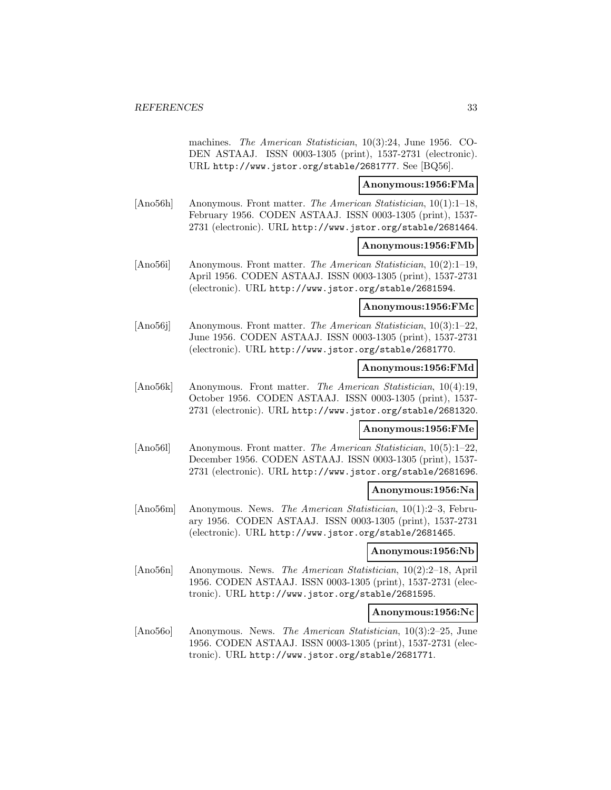machines. The American Statistician, 10(3):24, June 1956. CO-DEN ASTAAJ. ISSN 0003-1305 (print), 1537-2731 (electronic). URL http://www.jstor.org/stable/2681777. See [BQ56].

# **Anonymous:1956:FMa**

[Ano56h] Anonymous. Front matter. The American Statistician, 10(1):1–18, February 1956. CODEN ASTAAJ. ISSN 0003-1305 (print), 1537- 2731 (electronic). URL http://www.jstor.org/stable/2681464.

# **Anonymous:1956:FMb**

[Ano56i] Anonymous. Front matter. The American Statistician, 10(2):1–19, April 1956. CODEN ASTAAJ. ISSN 0003-1305 (print), 1537-2731 (electronic). URL http://www.jstor.org/stable/2681594.

## **Anonymous:1956:FMc**

[Ano56j] Anonymous. Front matter. The American Statistician, 10(3):1–22, June 1956. CODEN ASTAAJ. ISSN 0003-1305 (print), 1537-2731 (electronic). URL http://www.jstor.org/stable/2681770.

# **Anonymous:1956:FMd**

[Ano56k] Anonymous. Front matter. The American Statistician, 10(4):19, October 1956. CODEN ASTAAJ. ISSN 0003-1305 (print), 1537- 2731 (electronic). URL http://www.jstor.org/stable/2681320.

# **Anonymous:1956:FMe**

[Ano56l] Anonymous. Front matter. The American Statistician, 10(5):1–22, December 1956. CODEN ASTAAJ. ISSN 0003-1305 (print), 1537- 2731 (electronic). URL http://www.jstor.org/stable/2681696.

### **Anonymous:1956:Na**

[Ano56m] Anonymous. News. The American Statistician, 10(1):2–3, February 1956. CODEN ASTAAJ. ISSN 0003-1305 (print), 1537-2731 (electronic). URL http://www.jstor.org/stable/2681465.

### **Anonymous:1956:Nb**

[Ano56n] Anonymous. News. The American Statistician, 10(2):2–18, April 1956. CODEN ASTAAJ. ISSN 0003-1305 (print), 1537-2731 (electronic). URL http://www.jstor.org/stable/2681595.

# **Anonymous:1956:Nc**

[Ano56o] Anonymous. News. The American Statistician, 10(3):2–25, June 1956. CODEN ASTAAJ. ISSN 0003-1305 (print), 1537-2731 (electronic). URL http://www.jstor.org/stable/2681771.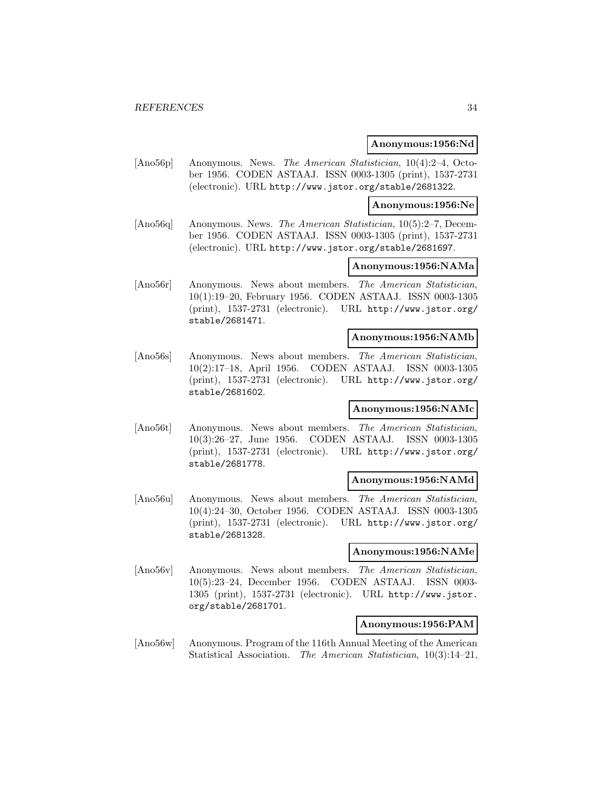### **Anonymous:1956:Nd**

[Ano56p] Anonymous. News. The American Statistician, 10(4):2–4, October 1956. CODEN ASTAAJ. ISSN 0003-1305 (print), 1537-2731 (electronic). URL http://www.jstor.org/stable/2681322.

**Anonymous:1956:Ne**

[Ano56q] Anonymous. News. The American Statistician, 10(5):2–7, December 1956. CODEN ASTAAJ. ISSN 0003-1305 (print), 1537-2731 (electronic). URL http://www.jstor.org/stable/2681697.

# **Anonymous:1956:NAMa**

[Ano56r] Anonymous. News about members. The American Statistician, 10(1):19–20, February 1956. CODEN ASTAAJ. ISSN 0003-1305 (print), 1537-2731 (electronic). URL http://www.jstor.org/ stable/2681471.

# **Anonymous:1956:NAMb**

[Ano56s] Anonymous. News about members. The American Statistician, 10(2):17–18, April 1956. CODEN ASTAAJ. ISSN 0003-1305 (print), 1537-2731 (electronic). URL http://www.jstor.org/ stable/2681602.

# **Anonymous:1956:NAMc**

[Ano56t] Anonymous. News about members. The American Statistician, 10(3):26–27, June 1956. CODEN ASTAAJ. ISSN 0003-1305 (print), 1537-2731 (electronic). URL http://www.jstor.org/ stable/2681778.

# **Anonymous:1956:NAMd**

[Ano56u] Anonymous. News about members. The American Statistician, 10(4):24–30, October 1956. CODEN ASTAAJ. ISSN 0003-1305 (print), 1537-2731 (electronic). URL http://www.jstor.org/ stable/2681328.

#### **Anonymous:1956:NAMe**

[Ano56v] Anonymous. News about members. The American Statistician, 10(5):23–24, December 1956. CODEN ASTAAJ. ISSN 0003- 1305 (print), 1537-2731 (electronic). URL http://www.jstor. org/stable/2681701.

# **Anonymous:1956:PAM**

[Ano56w] Anonymous. Program of the 116th Annual Meeting of the American Statistical Association. The American Statistician, 10(3):14–21,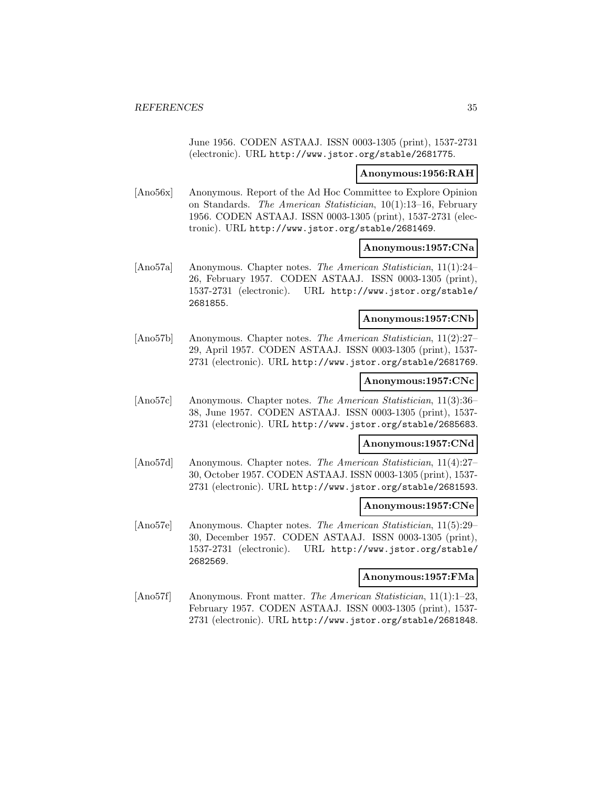June 1956. CODEN ASTAAJ. ISSN 0003-1305 (print), 1537-2731 (electronic). URL http://www.jstor.org/stable/2681775.

# **Anonymous:1956:RAH**

[Ano56x] Anonymous. Report of the Ad Hoc Committee to Explore Opinion on Standards. The American Statistician, 10(1):13–16, February 1956. CODEN ASTAAJ. ISSN 0003-1305 (print), 1537-2731 (electronic). URL http://www.jstor.org/stable/2681469.

### **Anonymous:1957:CNa**

[Ano57a] Anonymous. Chapter notes. The American Statistician, 11(1):24– 26, February 1957. CODEN ASTAAJ. ISSN 0003-1305 (print), 1537-2731 (electronic). URL http://www.jstor.org/stable/ 2681855.

# **Anonymous:1957:CNb**

[Ano57b] Anonymous. Chapter notes. The American Statistician, 11(2):27– 29, April 1957. CODEN ASTAAJ. ISSN 0003-1305 (print), 1537- 2731 (electronic). URL http://www.jstor.org/stable/2681769.

# **Anonymous:1957:CNc**

[Ano57c] Anonymous. Chapter notes. The American Statistician, 11(3):36– 38, June 1957. CODEN ASTAAJ. ISSN 0003-1305 (print), 1537- 2731 (electronic). URL http://www.jstor.org/stable/2685683.

# **Anonymous:1957:CNd**

[Ano57d] Anonymous. Chapter notes. The American Statistician, 11(4):27– 30, October 1957. CODEN ASTAAJ. ISSN 0003-1305 (print), 1537- 2731 (electronic). URL http://www.jstor.org/stable/2681593.

# **Anonymous:1957:CNe**

[Ano57e] Anonymous. Chapter notes. The American Statistician, 11(5):29– 30, December 1957. CODEN ASTAAJ. ISSN 0003-1305 (print), 1537-2731 (electronic). URL http://www.jstor.org/stable/ 2682569.

# **Anonymous:1957:FMa**

[Ano57f] Anonymous. Front matter. The American Statistician, 11(1):1–23, February 1957. CODEN ASTAAJ. ISSN 0003-1305 (print), 1537- 2731 (electronic). URL http://www.jstor.org/stable/2681848.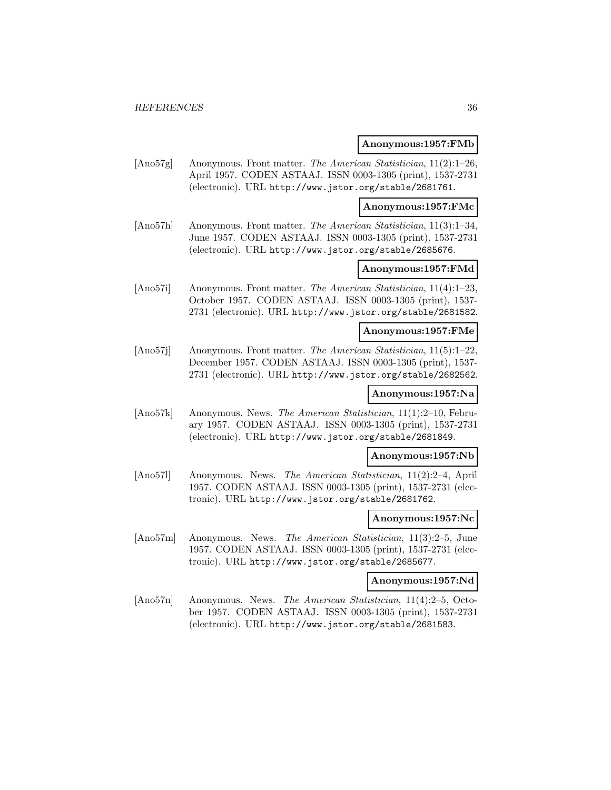### **Anonymous:1957:FMb**

[Ano57g] Anonymous. Front matter. The American Statistician, 11(2):1–26, April 1957. CODEN ASTAAJ. ISSN 0003-1305 (print), 1537-2731 (electronic). URL http://www.jstor.org/stable/2681761.

#### **Anonymous:1957:FMc**

[Ano57h] Anonymous. Front matter. The American Statistician, 11(3):1–34, June 1957. CODEN ASTAAJ. ISSN 0003-1305 (print), 1537-2731 (electronic). URL http://www.jstor.org/stable/2685676.

# **Anonymous:1957:FMd**

[Ano57i] Anonymous. Front matter. The American Statistician, 11(4):1–23, October 1957. CODEN ASTAAJ. ISSN 0003-1305 (print), 1537- 2731 (electronic). URL http://www.jstor.org/stable/2681582.

### **Anonymous:1957:FMe**

[Ano57j] Anonymous. Front matter. The American Statistician, 11(5):1–22, December 1957. CODEN ASTAAJ. ISSN 0003-1305 (print), 1537- 2731 (electronic). URL http://www.jstor.org/stable/2682562.

# **Anonymous:1957:Na**

[Ano57k] Anonymous. News. The American Statistician, 11(1):2–10, February 1957. CODEN ASTAAJ. ISSN 0003-1305 (print), 1537-2731 (electronic). URL http://www.jstor.org/stable/2681849.

### **Anonymous:1957:Nb**

[Ano57l] Anonymous. News. The American Statistician, 11(2):2–4, April 1957. CODEN ASTAAJ. ISSN 0003-1305 (print), 1537-2731 (electronic). URL http://www.jstor.org/stable/2681762.

#### **Anonymous:1957:Nc**

[Ano57m] Anonymous. News. The American Statistician, 11(3):2–5, June 1957. CODEN ASTAAJ. ISSN 0003-1305 (print), 1537-2731 (electronic). URL http://www.jstor.org/stable/2685677.

#### **Anonymous:1957:Nd**

[Ano57n] Anonymous. News. The American Statistician, 11(4):2–5, October 1957. CODEN ASTAAJ. ISSN 0003-1305 (print), 1537-2731 (electronic). URL http://www.jstor.org/stable/2681583.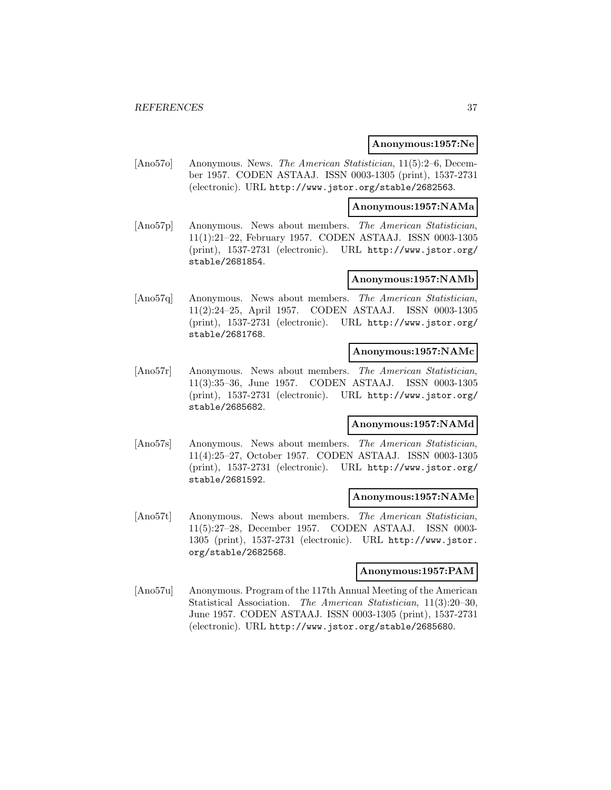#### **Anonymous:1957:Ne**

[Ano57o] Anonymous. News. The American Statistician, 11(5):2–6, December 1957. CODEN ASTAAJ. ISSN 0003-1305 (print), 1537-2731 (electronic). URL http://www.jstor.org/stable/2682563.

#### **Anonymous:1957:NAMa**

[Ano57p] Anonymous. News about members. The American Statistician, 11(1):21–22, February 1957. CODEN ASTAAJ. ISSN 0003-1305 (print), 1537-2731 (electronic). URL http://www.jstor.org/ stable/2681854.

### **Anonymous:1957:NAMb**

[Ano57q] Anonymous. News about members. The American Statistician, 11(2):24–25, April 1957. CODEN ASTAAJ. ISSN 0003-1305 (print), 1537-2731 (electronic). URL http://www.jstor.org/ stable/2681768.

### **Anonymous:1957:NAMc**

[Ano57r] Anonymous. News about members. The American Statistician, 11(3):35–36, June 1957. CODEN ASTAAJ. ISSN 0003-1305 (print), 1537-2731 (electronic). URL http://www.jstor.org/ stable/2685682.

### **Anonymous:1957:NAMd**

[Ano57s] Anonymous. News about members. The American Statistician, 11(4):25–27, October 1957. CODEN ASTAAJ. ISSN 0003-1305 (print), 1537-2731 (electronic). URL http://www.jstor.org/ stable/2681592.

### **Anonymous:1957:NAMe**

[Ano57t] Anonymous. News about members. The American Statistician, 11(5):27–28, December 1957. CODEN ASTAAJ. ISSN 0003- 1305 (print), 1537-2731 (electronic). URL http://www.jstor. org/stable/2682568.

#### **Anonymous:1957:PAM**

[Ano57u] Anonymous. Program of the 117th Annual Meeting of the American Statistical Association. The American Statistician, 11(3):20–30, June 1957. CODEN ASTAAJ. ISSN 0003-1305 (print), 1537-2731 (electronic). URL http://www.jstor.org/stable/2685680.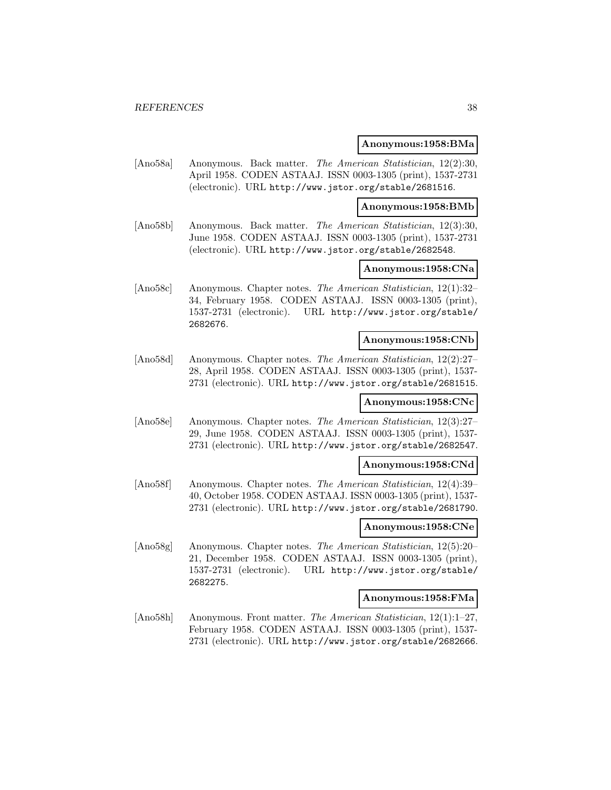#### **Anonymous:1958:BMa**

[Ano58a] Anonymous. Back matter. The American Statistician, 12(2):30, April 1958. CODEN ASTAAJ. ISSN 0003-1305 (print), 1537-2731 (electronic). URL http://www.jstor.org/stable/2681516.

#### **Anonymous:1958:BMb**

[Ano58b] Anonymous. Back matter. The American Statistician, 12(3):30, June 1958. CODEN ASTAAJ. ISSN 0003-1305 (print), 1537-2731 (electronic). URL http://www.jstor.org/stable/2682548.

### **Anonymous:1958:CNa**

[Ano58c] Anonymous. Chapter notes. The American Statistician, 12(1):32– 34, February 1958. CODEN ASTAAJ. ISSN 0003-1305 (print), 1537-2731 (electronic). URL http://www.jstor.org/stable/ 2682676.

#### **Anonymous:1958:CNb**

[Ano58d] Anonymous. Chapter notes. The American Statistician, 12(2):27– 28, April 1958. CODEN ASTAAJ. ISSN 0003-1305 (print), 1537- 2731 (electronic). URL http://www.jstor.org/stable/2681515.

## **Anonymous:1958:CNc**

[Ano58e] Anonymous. Chapter notes. The American Statistician, 12(3):27– 29, June 1958. CODEN ASTAAJ. ISSN 0003-1305 (print), 1537- 2731 (electronic). URL http://www.jstor.org/stable/2682547.

#### **Anonymous:1958:CNd**

[Ano58f] Anonymous. Chapter notes. The American Statistician, 12(4):39– 40, October 1958. CODEN ASTAAJ. ISSN 0003-1305 (print), 1537- 2731 (electronic). URL http://www.jstor.org/stable/2681790.

### **Anonymous:1958:CNe**

[Ano58g] Anonymous. Chapter notes. The American Statistician, 12(5):20– 21, December 1958. CODEN ASTAAJ. ISSN 0003-1305 (print), 1537-2731 (electronic). URL http://www.jstor.org/stable/ 2682275.

### **Anonymous:1958:FMa**

[Ano58h] Anonymous. Front matter. The American Statistician, 12(1):1–27, February 1958. CODEN ASTAAJ. ISSN 0003-1305 (print), 1537- 2731 (electronic). URL http://www.jstor.org/stable/2682666.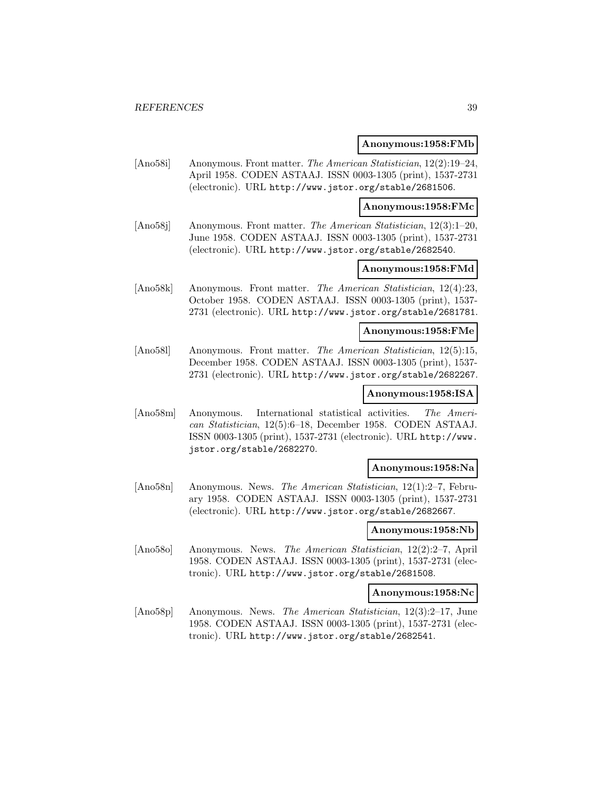#### **Anonymous:1958:FMb**

[Ano58i] Anonymous. Front matter. The American Statistician, 12(2):19–24, April 1958. CODEN ASTAAJ. ISSN 0003-1305 (print), 1537-2731 (electronic). URL http://www.jstor.org/stable/2681506.

**Anonymous:1958:FMc**

[Ano58j] Anonymous. Front matter. The American Statistician, 12(3):1–20, June 1958. CODEN ASTAAJ. ISSN 0003-1305 (print), 1537-2731 (electronic). URL http://www.jstor.org/stable/2682540.

### **Anonymous:1958:FMd**

[Ano58k] Anonymous. Front matter. The American Statistician, 12(4):23, October 1958. CODEN ASTAAJ. ISSN 0003-1305 (print), 1537- 2731 (electronic). URL http://www.jstor.org/stable/2681781.

#### **Anonymous:1958:FMe**

[Ano58l] Anonymous. Front matter. The American Statistician, 12(5):15, December 1958. CODEN ASTAAJ. ISSN 0003-1305 (print), 1537- 2731 (electronic). URL http://www.jstor.org/stable/2682267.

### **Anonymous:1958:ISA**

[Ano58m] Anonymous. International statistical activities. The American Statistician, 12(5):6–18, December 1958. CODEN ASTAAJ. ISSN 0003-1305 (print), 1537-2731 (electronic). URL http://www. jstor.org/stable/2682270.

#### **Anonymous:1958:Na**

[Ano58n] Anonymous. News. The American Statistician, 12(1):2–7, February 1958. CODEN ASTAAJ. ISSN 0003-1305 (print), 1537-2731 (electronic). URL http://www.jstor.org/stable/2682667.

### **Anonymous:1958:Nb**

[Ano58o] Anonymous. News. The American Statistician, 12(2):2–7, April 1958. CODEN ASTAAJ. ISSN 0003-1305 (print), 1537-2731 (electronic). URL http://www.jstor.org/stable/2681508.

### **Anonymous:1958:Nc**

[Ano58p] Anonymous. News. The American Statistician, 12(3):2–17, June 1958. CODEN ASTAAJ. ISSN 0003-1305 (print), 1537-2731 (electronic). URL http://www.jstor.org/stable/2682541.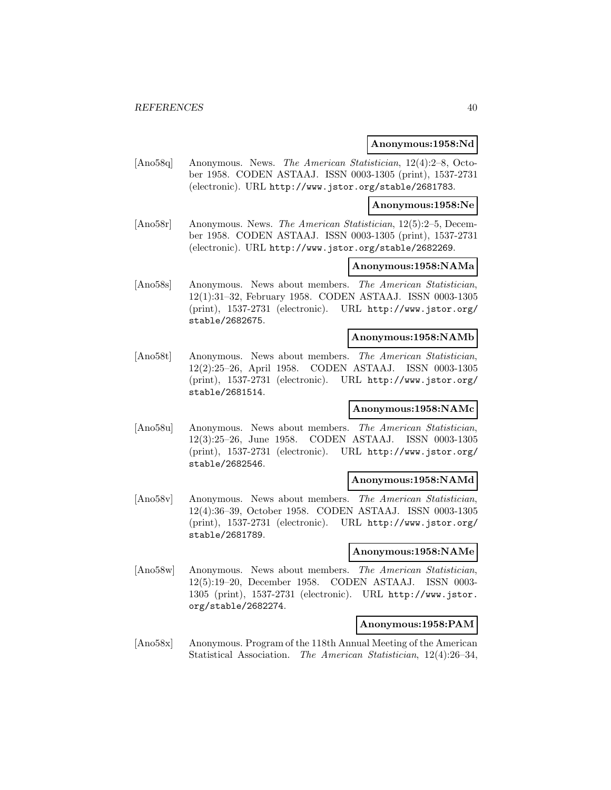#### **Anonymous:1958:Nd**

[Ano58q] Anonymous. News. The American Statistician, 12(4):2–8, October 1958. CODEN ASTAAJ. ISSN 0003-1305 (print), 1537-2731 (electronic). URL http://www.jstor.org/stable/2681783.

#### **Anonymous:1958:Ne**

[Ano58r] Anonymous. News. The American Statistician, 12(5):2–5, December 1958. CODEN ASTAAJ. ISSN 0003-1305 (print), 1537-2731 (electronic). URL http://www.jstor.org/stable/2682269.

### **Anonymous:1958:NAMa**

[Ano58s] Anonymous. News about members. The American Statistician, 12(1):31–32, February 1958. CODEN ASTAAJ. ISSN 0003-1305 (print), 1537-2731 (electronic). URL http://www.jstor.org/ stable/2682675.

### **Anonymous:1958:NAMb**

[Ano58t] Anonymous. News about members. The American Statistician, 12(2):25–26, April 1958. CODEN ASTAAJ. ISSN 0003-1305 (print), 1537-2731 (electronic). URL http://www.jstor.org/ stable/2681514.

### **Anonymous:1958:NAMc**

[Ano58u] Anonymous. News about members. The American Statistician, 12(3):25–26, June 1958. CODEN ASTAAJ. ISSN 0003-1305 (print), 1537-2731 (electronic). URL http://www.jstor.org/ stable/2682546.

### **Anonymous:1958:NAMd**

[Ano58v] Anonymous. News about members. The American Statistician, 12(4):36–39, October 1958. CODEN ASTAAJ. ISSN 0003-1305 (print), 1537-2731 (electronic). URL http://www.jstor.org/ stable/2681789.

#### **Anonymous:1958:NAMe**

[Ano58w] Anonymous. News about members. The American Statistician, 12(5):19–20, December 1958. CODEN ASTAAJ. ISSN 0003- 1305 (print), 1537-2731 (electronic). URL http://www.jstor. org/stable/2682274.

## **Anonymous:1958:PAM**

[Ano58x] Anonymous. Program of the 118th Annual Meeting of the American Statistical Association. The American Statistician, 12(4):26–34,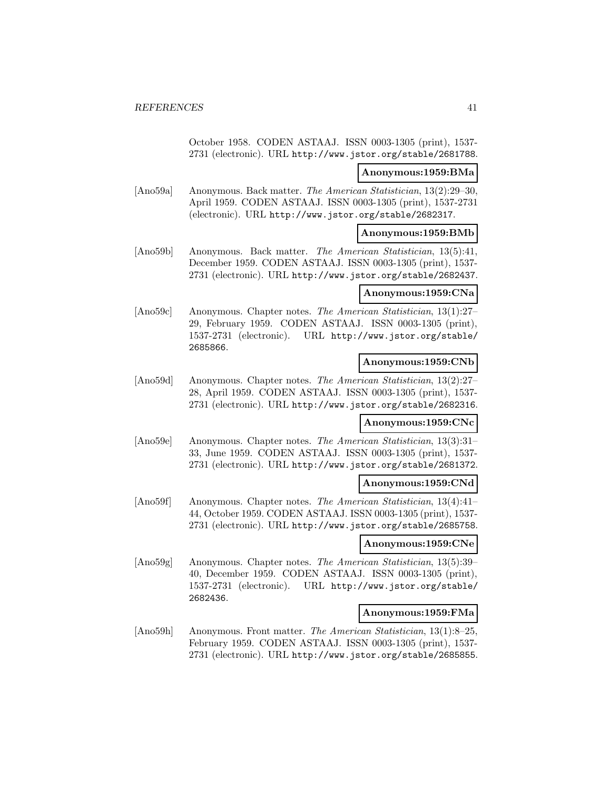October 1958. CODEN ASTAAJ. ISSN 0003-1305 (print), 1537- 2731 (electronic). URL http://www.jstor.org/stable/2681788.

#### **Anonymous:1959:BMa**

[Ano59a] Anonymous. Back matter. The American Statistician, 13(2):29–30, April 1959. CODEN ASTAAJ. ISSN 0003-1305 (print), 1537-2731 (electronic). URL http://www.jstor.org/stable/2682317.

### **Anonymous:1959:BMb**

[Ano59b] Anonymous. Back matter. The American Statistician, 13(5):41, December 1959. CODEN ASTAAJ. ISSN 0003-1305 (print), 1537- 2731 (electronic). URL http://www.jstor.org/stable/2682437.

# **Anonymous:1959:CNa**

[Ano59c] Anonymous. Chapter notes. The American Statistician, 13(1):27– 29, February 1959. CODEN ASTAAJ. ISSN 0003-1305 (print), 1537-2731 (electronic). URL http://www.jstor.org/stable/ 2685866.

# **Anonymous:1959:CNb**

[Ano59d] Anonymous. Chapter notes. The American Statistician, 13(2):27– 28, April 1959. CODEN ASTAAJ. ISSN 0003-1305 (print), 1537- 2731 (electronic). URL http://www.jstor.org/stable/2682316.

### **Anonymous:1959:CNc**

[Ano59e] Anonymous. Chapter notes. The American Statistician, 13(3):31– 33, June 1959. CODEN ASTAAJ. ISSN 0003-1305 (print), 1537- 2731 (electronic). URL http://www.jstor.org/stable/2681372.

### **Anonymous:1959:CNd**

[Ano59f] Anonymous. Chapter notes. The American Statistician, 13(4):41– 44, October 1959. CODEN ASTAAJ. ISSN 0003-1305 (print), 1537- 2731 (electronic). URL http://www.jstor.org/stable/2685758.

### **Anonymous:1959:CNe**

[Ano59g] Anonymous. Chapter notes. The American Statistician, 13(5):39– 40, December 1959. CODEN ASTAAJ. ISSN 0003-1305 (print), 1537-2731 (electronic). URL http://www.jstor.org/stable/ 2682436.

### **Anonymous:1959:FMa**

[Ano59h] Anonymous. Front matter. The American Statistician, 13(1):8–25, February 1959. CODEN ASTAAJ. ISSN 0003-1305 (print), 1537- 2731 (electronic). URL http://www.jstor.org/stable/2685855.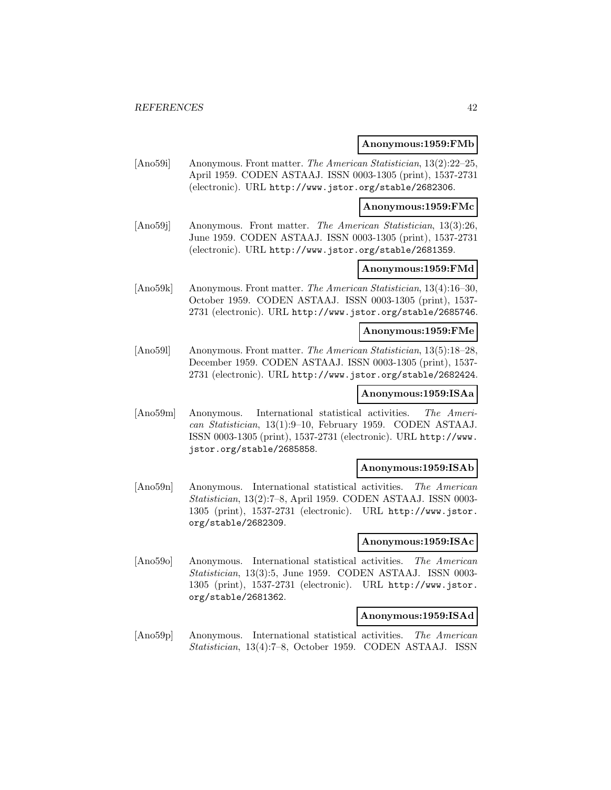#### **Anonymous:1959:FMb**

[Ano59i] Anonymous. Front matter. The American Statistician, 13(2):22–25, April 1959. CODEN ASTAAJ. ISSN 0003-1305 (print), 1537-2731 (electronic). URL http://www.jstor.org/stable/2682306.

**Anonymous:1959:FMc**

[Ano59j] Anonymous. Front matter. The American Statistician, 13(3):26, June 1959. CODEN ASTAAJ. ISSN 0003-1305 (print), 1537-2731 (electronic). URL http://www.jstor.org/stable/2681359.

### **Anonymous:1959:FMd**

[Ano59k] Anonymous. Front matter. The American Statistician, 13(4):16–30, October 1959. CODEN ASTAAJ. ISSN 0003-1305 (print), 1537- 2731 (electronic). URL http://www.jstor.org/stable/2685746.

#### **Anonymous:1959:FMe**

[Ano59l] Anonymous. Front matter. The American Statistician, 13(5):18–28, December 1959. CODEN ASTAAJ. ISSN 0003-1305 (print), 1537- 2731 (electronic). URL http://www.jstor.org/stable/2682424.

## **Anonymous:1959:ISAa**

[Ano59m] Anonymous. International statistical activities. The American Statistician, 13(1):9–10, February 1959. CODEN ASTAAJ. ISSN 0003-1305 (print), 1537-2731 (electronic). URL http://www. jstor.org/stable/2685858.

#### **Anonymous:1959:ISAb**

[Ano59n] Anonymous. International statistical activities. The American Statistician, 13(2):7–8, April 1959. CODEN ASTAAJ. ISSN 0003- 1305 (print), 1537-2731 (electronic). URL http://www.jstor. org/stable/2682309.

### **Anonymous:1959:ISAc**

[Ano59o] Anonymous. International statistical activities. The American Statistician, 13(3):5, June 1959. CODEN ASTAAJ. ISSN 0003- 1305 (print), 1537-2731 (electronic). URL http://www.jstor. org/stable/2681362.

#### **Anonymous:1959:ISAd**

[Ano59p] Anonymous. International statistical activities. The American Statistician, 13(4):7–8, October 1959. CODEN ASTAAJ. ISSN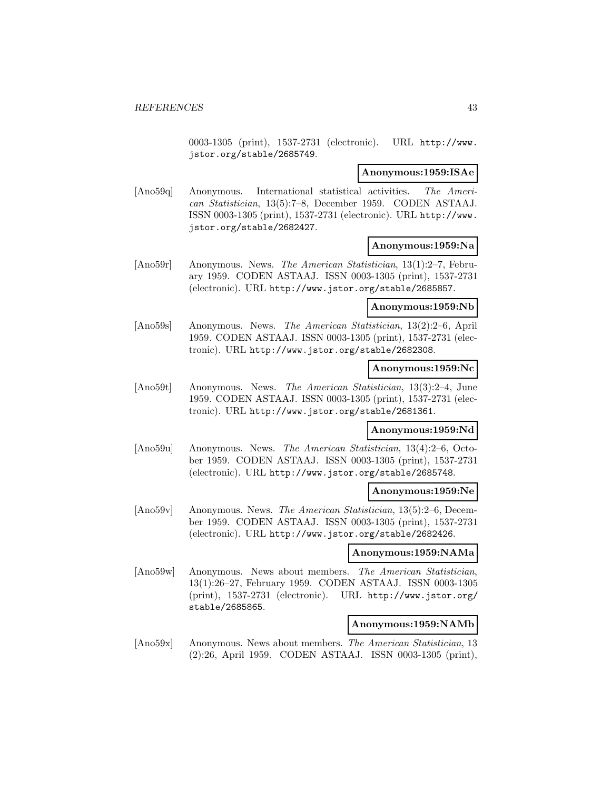0003-1305 (print), 1537-2731 (electronic). URL http://www. jstor.org/stable/2685749.

#### **Anonymous:1959:ISAe**

[Ano59q] Anonymous. International statistical activities. The American Statistician, 13(5):7–8, December 1959. CODEN ASTAAJ. ISSN 0003-1305 (print), 1537-2731 (electronic). URL http://www. jstor.org/stable/2682427.

#### **Anonymous:1959:Na**

[Ano59r] Anonymous. News. The American Statistician, 13(1):2–7, February 1959. CODEN ASTAAJ. ISSN 0003-1305 (print), 1537-2731 (electronic). URL http://www.jstor.org/stable/2685857.

#### **Anonymous:1959:Nb**

[Ano59s] Anonymous. News. The American Statistician, 13(2):2–6, April 1959. CODEN ASTAAJ. ISSN 0003-1305 (print), 1537-2731 (electronic). URL http://www.jstor.org/stable/2682308.

#### **Anonymous:1959:Nc**

[Ano59t] Anonymous. News. The American Statistician, 13(3):2–4, June 1959. CODEN ASTAAJ. ISSN 0003-1305 (print), 1537-2731 (electronic). URL http://www.jstor.org/stable/2681361.

### **Anonymous:1959:Nd**

[Ano59u] Anonymous. News. The American Statistician, 13(4):2–6, October 1959. CODEN ASTAAJ. ISSN 0003-1305 (print), 1537-2731 (electronic). URL http://www.jstor.org/stable/2685748.

#### **Anonymous:1959:Ne**

[Ano59v] Anonymous. News. The American Statistician, 13(5):2–6, December 1959. CODEN ASTAAJ. ISSN 0003-1305 (print), 1537-2731 (electronic). URL http://www.jstor.org/stable/2682426.

### **Anonymous:1959:NAMa**

[Ano59w] Anonymous. News about members. The American Statistician, 13(1):26–27, February 1959. CODEN ASTAAJ. ISSN 0003-1305 (print), 1537-2731 (electronic). URL http://www.jstor.org/ stable/2685865.

### **Anonymous:1959:NAMb**

[Ano59x] Anonymous. News about members. The American Statistician, 13 (2):26, April 1959. CODEN ASTAAJ. ISSN 0003-1305 (print),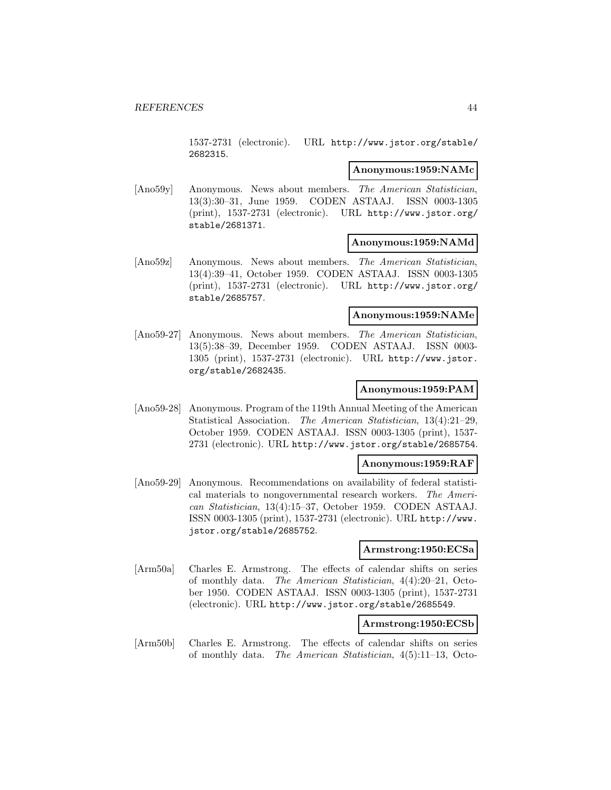1537-2731 (electronic). URL http://www.jstor.org/stable/ 2682315.

#### **Anonymous:1959:NAMc**

[Ano59y] Anonymous. News about members. The American Statistician, 13(3):30–31, June 1959. CODEN ASTAAJ. ISSN 0003-1305 (print), 1537-2731 (electronic). URL http://www.jstor.org/ stable/2681371.

#### **Anonymous:1959:NAMd**

[Ano59z] Anonymous. News about members. The American Statistician, 13(4):39–41, October 1959. CODEN ASTAAJ. ISSN 0003-1305 (print), 1537-2731 (electronic). URL http://www.jstor.org/ stable/2685757.

#### **Anonymous:1959:NAMe**

[Ano59-27] Anonymous. News about members. The American Statistician, 13(5):38–39, December 1959. CODEN ASTAAJ. ISSN 0003- 1305 (print), 1537-2731 (electronic). URL http://www.jstor. org/stable/2682435.

#### **Anonymous:1959:PAM**

[Ano59-28] Anonymous. Program of the 119th Annual Meeting of the American Statistical Association. The American Statistician, 13(4):21–29, October 1959. CODEN ASTAAJ. ISSN 0003-1305 (print), 1537- 2731 (electronic). URL http://www.jstor.org/stable/2685754.

### **Anonymous:1959:RAF**

[Ano59-29] Anonymous. Recommendations on availability of federal statistical materials to nongovernmental research workers. The American Statistician, 13(4):15–37, October 1959. CODEN ASTAAJ. ISSN 0003-1305 (print), 1537-2731 (electronic). URL http://www. jstor.org/stable/2685752.

### **Armstrong:1950:ECSa**

[Arm50a] Charles E. Armstrong. The effects of calendar shifts on series of monthly data. The American Statistician, 4(4):20–21, October 1950. CODEN ASTAAJ. ISSN 0003-1305 (print), 1537-2731 (electronic). URL http://www.jstor.org/stable/2685549.

### **Armstrong:1950:ECSb**

[Arm50b] Charles E. Armstrong. The effects of calendar shifts on series of monthly data. The American Statistician, 4(5):11–13, Octo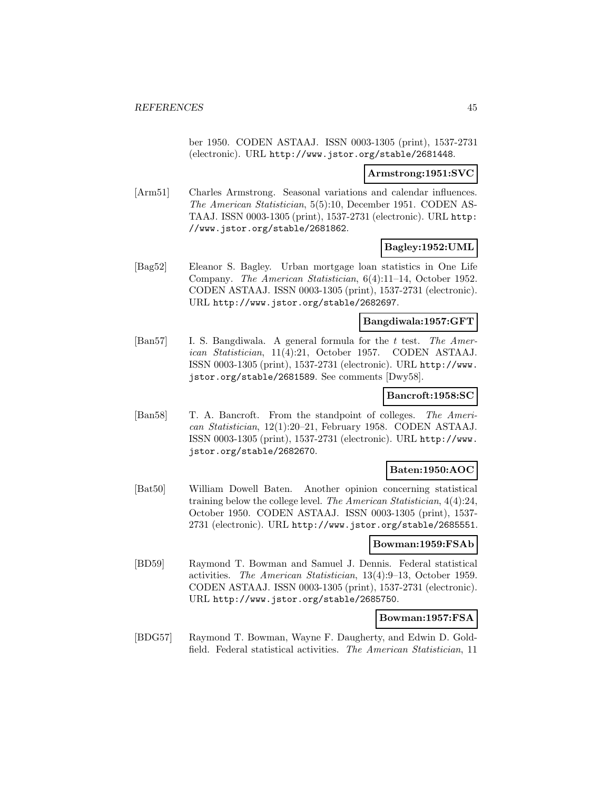ber 1950. CODEN ASTAAJ. ISSN 0003-1305 (print), 1537-2731 (electronic). URL http://www.jstor.org/stable/2681448.

#### **Armstrong:1951:SVC**

[Arm51] Charles Armstrong. Seasonal variations and calendar influences. The American Statistician, 5(5):10, December 1951. CODEN AS-TAAJ. ISSN 0003-1305 (print), 1537-2731 (electronic). URL http: //www.jstor.org/stable/2681862.

### **Bagley:1952:UML**

[Bag52] Eleanor S. Bagley. Urban mortgage loan statistics in One Life Company. The American Statistician, 6(4):11–14, October 1952. CODEN ASTAAJ. ISSN 0003-1305 (print), 1537-2731 (electronic). URL http://www.jstor.org/stable/2682697.

### **Bangdiwala:1957:GFT**

[Ban57] I. S. Bangdiwala. A general formula for the t test. The American Statistician, 11(4):21, October 1957. CODEN ASTAAJ. ISSN 0003-1305 (print), 1537-2731 (electronic). URL http://www. jstor.org/stable/2681589. See comments [Dwy58].

## **Bancroft:1958:SC**

[Ban58] T. A. Bancroft. From the standpoint of colleges. The American Statistician, 12(1):20–21, February 1958. CODEN ASTAAJ. ISSN 0003-1305 (print), 1537-2731 (electronic). URL http://www. jstor.org/stable/2682670.

## **Baten:1950:AOC**

[Bat50] William Dowell Baten. Another opinion concerning statistical training below the college level. The American Statistician, 4(4):24, October 1950. CODEN ASTAAJ. ISSN 0003-1305 (print), 1537- 2731 (electronic). URL http://www.jstor.org/stable/2685551.

#### **Bowman:1959:FSAb**

[BD59] Raymond T. Bowman and Samuel J. Dennis. Federal statistical activities. The American Statistician, 13(4):9–13, October 1959. CODEN ASTAAJ. ISSN 0003-1305 (print), 1537-2731 (electronic). URL http://www.jstor.org/stable/2685750.

### **Bowman:1957:FSA**

[BDG57] Raymond T. Bowman, Wayne F. Daugherty, and Edwin D. Goldfield. Federal statistical activities. The American Statistician, 11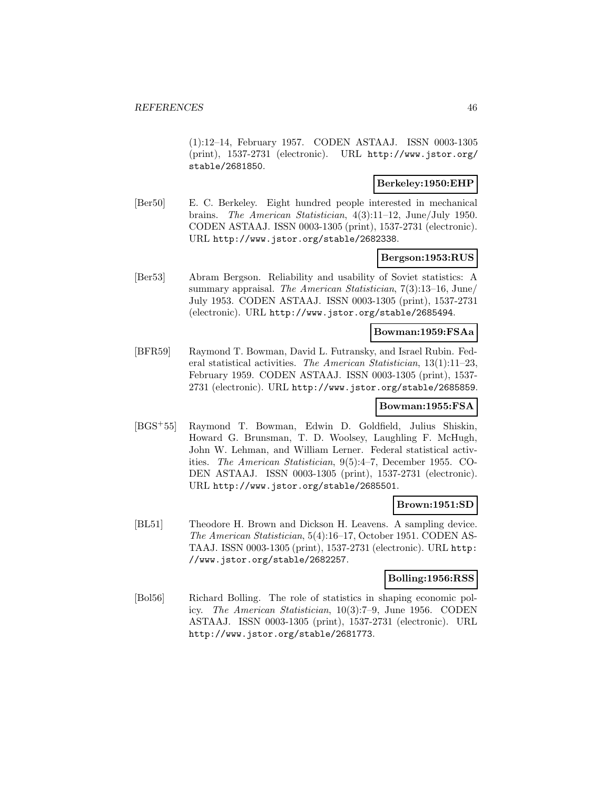(1):12–14, February 1957. CODEN ASTAAJ. ISSN 0003-1305 (print), 1537-2731 (electronic). URL http://www.jstor.org/ stable/2681850.

### **Berkeley:1950:EHP**

[Ber50] E. C. Berkeley. Eight hundred people interested in mechanical brains. The American Statistician, 4(3):11–12, June/July 1950. CODEN ASTAAJ. ISSN 0003-1305 (print), 1537-2731 (electronic). URL http://www.jstor.org/stable/2682338.

### **Bergson:1953:RUS**

[Ber53] Abram Bergson. Reliability and usability of Soviet statistics: A summary appraisal. The American Statistician, 7(3):13-16, June/ July 1953. CODEN ASTAAJ. ISSN 0003-1305 (print), 1537-2731 (electronic). URL http://www.jstor.org/stable/2685494.

### **Bowman:1959:FSAa**

[BFR59] Raymond T. Bowman, David L. Futransky, and Israel Rubin. Federal statistical activities. The American Statistician, 13(1):11–23, February 1959. CODEN ASTAAJ. ISSN 0003-1305 (print), 1537- 2731 (electronic). URL http://www.jstor.org/stable/2685859.

### **Bowman:1955:FSA**

[BGS<sup>+</sup>55] Raymond T. Bowman, Edwin D. Goldfield, Julius Shiskin, Howard G. Brunsman, T. D. Woolsey, Laughling F. McHugh, John W. Lehman, and William Lerner. Federal statistical activities. The American Statistician, 9(5):4–7, December 1955. CO-DEN ASTAAJ. ISSN 0003-1305 (print), 1537-2731 (electronic). URL http://www.jstor.org/stable/2685501.

### **Brown:1951:SD**

[BL51] Theodore H. Brown and Dickson H. Leavens. A sampling device. The American Statistician, 5(4):16–17, October 1951. CODEN AS-TAAJ. ISSN 0003-1305 (print), 1537-2731 (electronic). URL http: //www.jstor.org/stable/2682257.

### **Bolling:1956:RSS**

[Bol56] Richard Bolling. The role of statistics in shaping economic policy. The American Statistician, 10(3):7–9, June 1956. CODEN ASTAAJ. ISSN 0003-1305 (print), 1537-2731 (electronic). URL http://www.jstor.org/stable/2681773.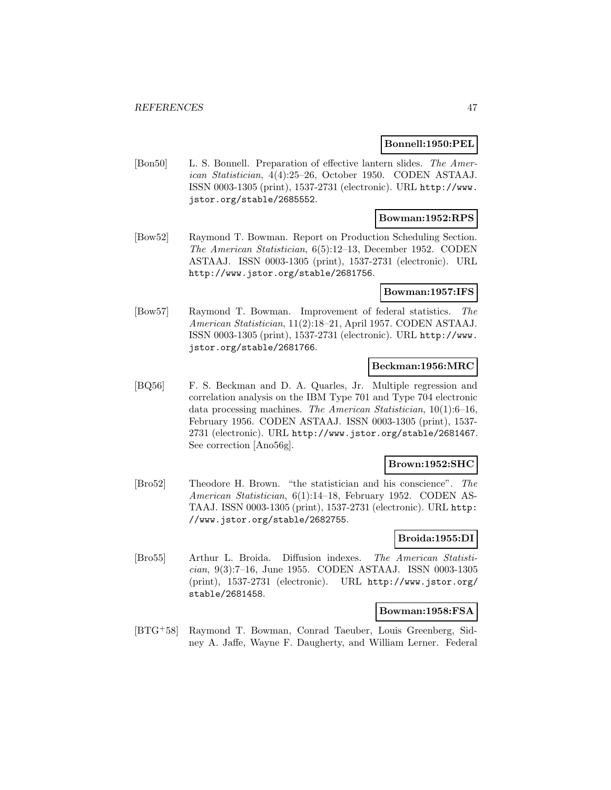#### **Bonnell:1950:PEL**

[Bon50] L. S. Bonnell. Preparation of effective lantern slides. The American Statistician, 4(4):25–26, October 1950. CODEN ASTAAJ. ISSN 0003-1305 (print), 1537-2731 (electronic). URL http://www. jstor.org/stable/2685552.

## **Bowman:1952:RPS**

[Bow52] Raymond T. Bowman. Report on Production Scheduling Section. The American Statistician, 6(5):12–13, December 1952. CODEN ASTAAJ. ISSN 0003-1305 (print), 1537-2731 (electronic). URL http://www.jstor.org/stable/2681756.

#### **Bowman:1957:IFS**

[Bow57] Raymond T. Bowman. Improvement of federal statistics. The American Statistician, 11(2):18–21, April 1957. CODEN ASTAAJ. ISSN 0003-1305 (print), 1537-2731 (electronic). URL http://www. jstor.org/stable/2681766.

### **Beckman:1956:MRC**

[BQ56] F. S. Beckman and D. A. Quarles, Jr. Multiple regression and correlation analysis on the IBM Type 701 and Type 704 electronic data processing machines. The American Statistician, 10(1):6–16, February 1956. CODEN ASTAAJ. ISSN 0003-1305 (print), 1537- 2731 (electronic). URL http://www.jstor.org/stable/2681467. See correction [Ano56g].

#### **Brown:1952:SHC**

[Bro52] Theodore H. Brown. "the statistician and his conscience". The American Statistician, 6(1):14–18, February 1952. CODEN AS-TAAJ. ISSN 0003-1305 (print), 1537-2731 (electronic). URL http: //www.jstor.org/stable/2682755.

### **Broida:1955:DI**

[Bro55] Arthur L. Broida. Diffusion indexes. The American Statistician, 9(3):7–16, June 1955. CODEN ASTAAJ. ISSN 0003-1305 (print), 1537-2731 (electronic). URL http://www.jstor.org/ stable/2681458.

### **Bowman:1958:FSA**

[BTG<sup>+</sup>58] Raymond T. Bowman, Conrad Taeuber, Louis Greenberg, Sidney A. Jaffe, Wayne F. Daugherty, and William Lerner. Federal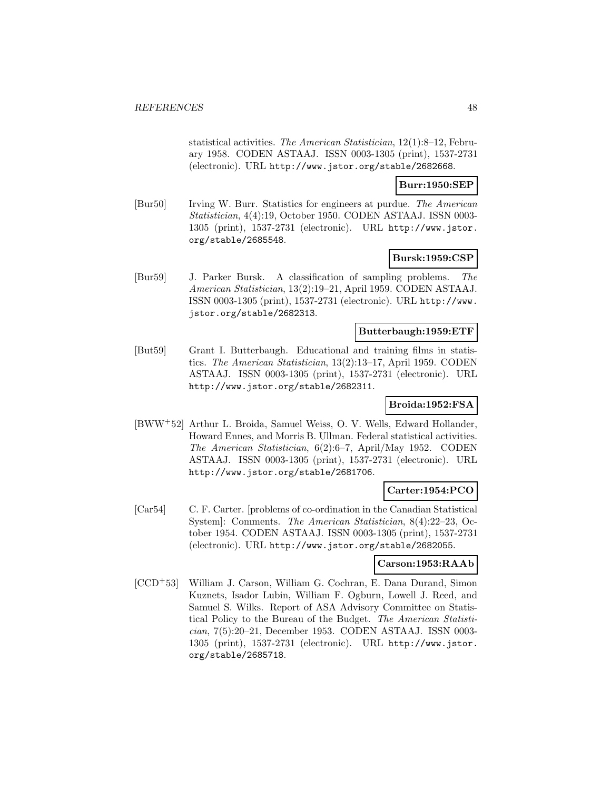statistical activities. The American Statistician, 12(1):8–12, February 1958. CODEN ASTAAJ. ISSN 0003-1305 (print), 1537-2731 (electronic). URL http://www.jstor.org/stable/2682668.

### **Burr:1950:SEP**

[Bur50] Irving W. Burr. Statistics for engineers at purdue. The American Statistician, 4(4):19, October 1950. CODEN ASTAAJ. ISSN 0003- 1305 (print), 1537-2731 (electronic). URL http://www.jstor. org/stable/2685548.

### **Bursk:1959:CSP**

[Bur59] J. Parker Bursk. A classification of sampling problems. The American Statistician, 13(2):19–21, April 1959. CODEN ASTAAJ. ISSN 0003-1305 (print), 1537-2731 (electronic). URL http://www. jstor.org/stable/2682313.

### **Butterbaugh:1959:ETF**

[But59] Grant I. Butterbaugh. Educational and training films in statistics. The American Statistician, 13(2):13–17, April 1959. CODEN ASTAAJ. ISSN 0003-1305 (print), 1537-2731 (electronic). URL http://www.jstor.org/stable/2682311.

### **Broida:1952:FSA**

[BWW<sup>+</sup>52] Arthur L. Broida, Samuel Weiss, O. V. Wells, Edward Hollander, Howard Ennes, and Morris B. Ullman. Federal statistical activities. The American Statistician, 6(2):6–7, April/May 1952. CODEN ASTAAJ. ISSN 0003-1305 (print), 1537-2731 (electronic). URL http://www.jstor.org/stable/2681706.

### **Carter:1954:PCO**

[Car54] C. F. Carter. [problems of co-ordination in the Canadian Statistical System]: Comments. The American Statistician, 8(4):22–23, October 1954. CODEN ASTAAJ. ISSN 0003-1305 (print), 1537-2731 (electronic). URL http://www.jstor.org/stable/2682055.

## **Carson:1953:RAAb**

[CCD<sup>+</sup>53] William J. Carson, William G. Cochran, E. Dana Durand, Simon Kuznets, Isador Lubin, William F. Ogburn, Lowell J. Reed, and Samuel S. Wilks. Report of ASA Advisory Committee on Statistical Policy to the Bureau of the Budget. The American Statistician, 7(5):20–21, December 1953. CODEN ASTAAJ. ISSN 0003- 1305 (print), 1537-2731 (electronic). URL http://www.jstor. org/stable/2685718.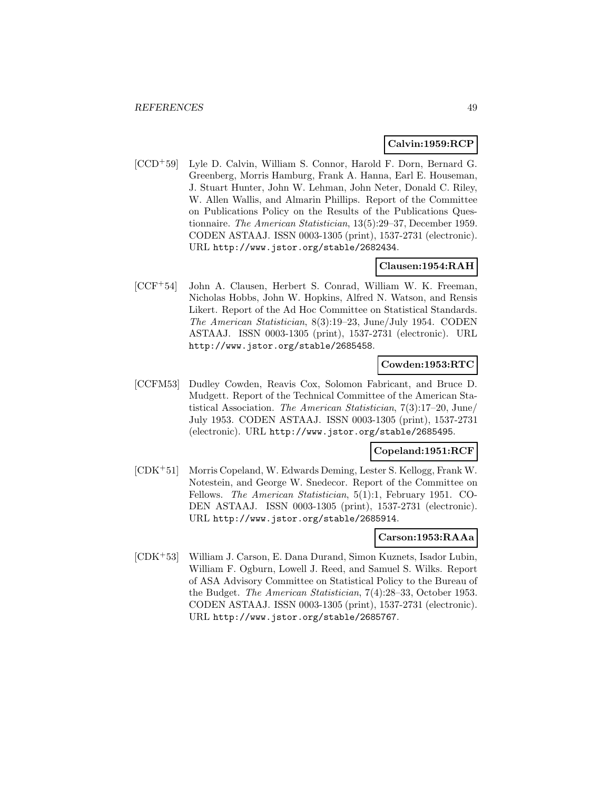### **Calvin:1959:RCP**

[CCD<sup>+</sup>59] Lyle D. Calvin, William S. Connor, Harold F. Dorn, Bernard G. Greenberg, Morris Hamburg, Frank A. Hanna, Earl E. Houseman, J. Stuart Hunter, John W. Lehman, John Neter, Donald C. Riley, W. Allen Wallis, and Almarin Phillips. Report of the Committee on Publications Policy on the Results of the Publications Questionnaire. The American Statistician, 13(5):29–37, December 1959. CODEN ASTAAJ. ISSN 0003-1305 (print), 1537-2731 (electronic). URL http://www.jstor.org/stable/2682434.

## **Clausen:1954:RAH**

[CCF<sup>+</sup>54] John A. Clausen, Herbert S. Conrad, William W. K. Freeman, Nicholas Hobbs, John W. Hopkins, Alfred N. Watson, and Rensis Likert. Report of the Ad Hoc Committee on Statistical Standards. The American Statistician, 8(3):19–23, June/July 1954. CODEN ASTAAJ. ISSN 0003-1305 (print), 1537-2731 (electronic). URL http://www.jstor.org/stable/2685458.

### **Cowden:1953:RTC**

[CCFM53] Dudley Cowden, Reavis Cox, Solomon Fabricant, and Bruce D. Mudgett. Report of the Technical Committee of the American Statistical Association. The American Statistician, 7(3):17–20, June/ July 1953. CODEN ASTAAJ. ISSN 0003-1305 (print), 1537-2731 (electronic). URL http://www.jstor.org/stable/2685495.

### **Copeland:1951:RCF**

[CDK<sup>+</sup>51] Morris Copeland, W. Edwards Deming, Lester S. Kellogg, Frank W. Notestein, and George W. Snedecor. Report of the Committee on Fellows. The American Statistician, 5(1):1, February 1951. CO-DEN ASTAAJ. ISSN 0003-1305 (print), 1537-2731 (electronic). URL http://www.jstor.org/stable/2685914.

#### **Carson:1953:RAAa**

[CDK<sup>+</sup>53] William J. Carson, E. Dana Durand, Simon Kuznets, Isador Lubin, William F. Ogburn, Lowell J. Reed, and Samuel S. Wilks. Report of ASA Advisory Committee on Statistical Policy to the Bureau of the Budget. The American Statistician, 7(4):28–33, October 1953. CODEN ASTAAJ. ISSN 0003-1305 (print), 1537-2731 (electronic). URL http://www.jstor.org/stable/2685767.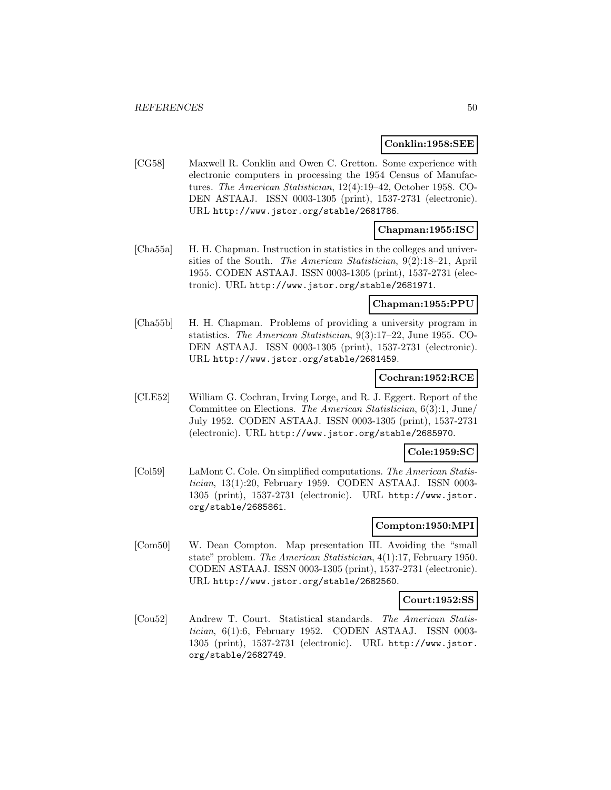#### **Conklin:1958:SEE**

[CG58] Maxwell R. Conklin and Owen C. Gretton. Some experience with electronic computers in processing the 1954 Census of Manufactures. The American Statistician, 12(4):19–42, October 1958. CO-DEN ASTAAJ. ISSN 0003-1305 (print), 1537-2731 (electronic). URL http://www.jstor.org/stable/2681786.

### **Chapman:1955:ISC**

[Cha55a] H. H. Chapman. Instruction in statistics in the colleges and universities of the South. The American Statistician, 9(2):18–21, April 1955. CODEN ASTAAJ. ISSN 0003-1305 (print), 1537-2731 (electronic). URL http://www.jstor.org/stable/2681971.

### **Chapman:1955:PPU**

[Cha55b] H. H. Chapman. Problems of providing a university program in statistics. The American Statistician, 9(3):17–22, June 1955. CO-DEN ASTAAJ. ISSN 0003-1305 (print), 1537-2731 (electronic). URL http://www.jstor.org/stable/2681459.

### **Cochran:1952:RCE**

[CLE52] William G. Cochran, Irving Lorge, and R. J. Eggert. Report of the Committee on Elections. The American Statistician, 6(3):1, June/ July 1952. CODEN ASTAAJ. ISSN 0003-1305 (print), 1537-2731 (electronic). URL http://www.jstor.org/stable/2685970.

#### **Cole:1959:SC**

[Col59] LaMont C. Cole. On simplified computations. The American Statistician, 13(1):20, February 1959. CODEN ASTAAJ. ISSN 0003- 1305 (print), 1537-2731 (electronic). URL http://www.jstor. org/stable/2685861.

### **Compton:1950:MPI**

[Com50] W. Dean Compton. Map presentation III. Avoiding the "small state" problem. The American Statistician, 4(1):17, February 1950. CODEN ASTAAJ. ISSN 0003-1305 (print), 1537-2731 (electronic). URL http://www.jstor.org/stable/2682560.

#### **Court:1952:SS**

[Cou52] Andrew T. Court. Statistical standards. The American Statistician, 6(1):6, February 1952. CODEN ASTAAJ. ISSN 0003- 1305 (print), 1537-2731 (electronic). URL http://www.jstor. org/stable/2682749.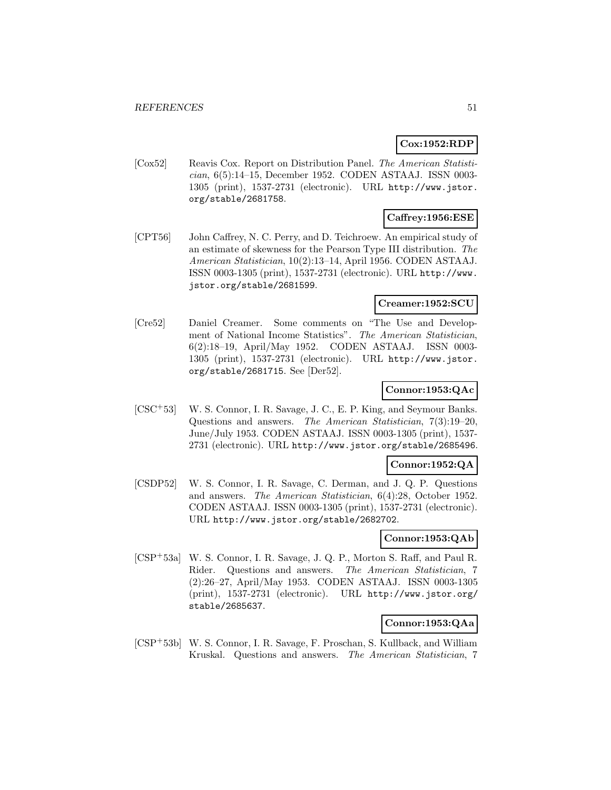# **Cox:1952:RDP**

[Cox52] Reavis Cox. Report on Distribution Panel. The American Statistician, 6(5):14–15, December 1952. CODEN ASTAAJ. ISSN 0003- 1305 (print), 1537-2731 (electronic). URL http://www.jstor. org/stable/2681758.

# **Caffrey:1956:ESE**

[CPT56] John Caffrey, N. C. Perry, and D. Teichroew. An empirical study of an estimate of skewness for the Pearson Type III distribution. The American Statistician, 10(2):13–14, April 1956. CODEN ASTAAJ. ISSN 0003-1305 (print), 1537-2731 (electronic). URL http://www. jstor.org/stable/2681599.

### **Creamer:1952:SCU**

[Cre52] Daniel Creamer. Some comments on "The Use and Development of National Income Statistics". The American Statistician, 6(2):18–19, April/May 1952. CODEN ASTAAJ. ISSN 0003- 1305 (print), 1537-2731 (electronic). URL http://www.jstor. org/stable/2681715. See [Der52].

### **Connor:1953:QAc**

[CSC<sup>+</sup>53] W. S. Connor, I. R. Savage, J. C., E. P. King, and Seymour Banks. Questions and answers. The American Statistician, 7(3):19–20, June/July 1953. CODEN ASTAAJ. ISSN 0003-1305 (print), 1537- 2731 (electronic). URL http://www.jstor.org/stable/2685496.

### **Connor:1952:QA**

[CSDP52] W. S. Connor, I. R. Savage, C. Derman, and J. Q. P. Questions and answers. The American Statistician, 6(4):28, October 1952. CODEN ASTAAJ. ISSN 0003-1305 (print), 1537-2731 (electronic). URL http://www.jstor.org/stable/2682702.

### **Connor:1953:QAb**

[CSP<sup>+</sup>53a] W. S. Connor, I. R. Savage, J. Q. P., Morton S. Raff, and Paul R. Rider. Questions and answers. The American Statistician, 7 (2):26–27, April/May 1953. CODEN ASTAAJ. ISSN 0003-1305 (print), 1537-2731 (electronic). URL http://www.jstor.org/ stable/2685637.

## **Connor:1953:QAa**

[CSP<sup>+</sup>53b] W. S. Connor, I. R. Savage, F. Proschan, S. Kullback, and William Kruskal. Questions and answers. The American Statistician, 7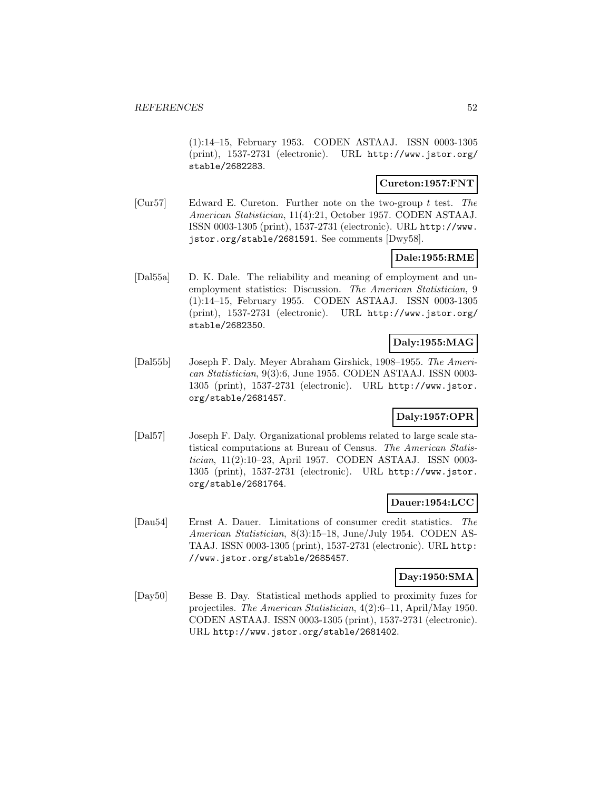(1):14–15, February 1953. CODEN ASTAAJ. ISSN 0003-1305 (print), 1537-2731 (electronic). URL http://www.jstor.org/ stable/2682283.

### **Cureton:1957:FNT**

[Cur57] Edward E. Cureton. Further note on the two-group  $t$  test. The American Statistician, 11(4):21, October 1957. CODEN ASTAAJ. ISSN 0003-1305 (print), 1537-2731 (electronic). URL http://www. jstor.org/stable/2681591. See comments [Dwy58].

## **Dale:1955:RME**

[Dal55a] D. K. Dale. The reliability and meaning of employment and unemployment statistics: Discussion. The American Statistician, 9 (1):14–15, February 1955. CODEN ASTAAJ. ISSN 0003-1305 (print), 1537-2731 (electronic). URL http://www.jstor.org/ stable/2682350.

# **Daly:1955:MAG**

[Dal55b] Joseph F. Daly. Meyer Abraham Girshick, 1908–1955. The American Statistician, 9(3):6, June 1955. CODEN ASTAAJ. ISSN 0003- 1305 (print), 1537-2731 (electronic). URL http://www.jstor. org/stable/2681457.

# **Daly:1957:OPR**

[Dal57] Joseph F. Daly. Organizational problems related to large scale statistical computations at Bureau of Census. The American Statistician, 11(2):10–23, April 1957. CODEN ASTAAJ. ISSN 0003- 1305 (print), 1537-2731 (electronic). URL http://www.jstor. org/stable/2681764.

## **Dauer:1954:LCC**

[Dau54] Ernst A. Dauer. Limitations of consumer credit statistics. The American Statistician, 8(3):15–18, June/July 1954. CODEN AS-TAAJ. ISSN 0003-1305 (print), 1537-2731 (electronic). URL http: //www.jstor.org/stable/2685457.

# **Day:1950:SMA**

[Day50] Besse B. Day. Statistical methods applied to proximity fuzes for projectiles. The American Statistician, 4(2):6–11, April/May 1950. CODEN ASTAAJ. ISSN 0003-1305 (print), 1537-2731 (electronic). URL http://www.jstor.org/stable/2681402.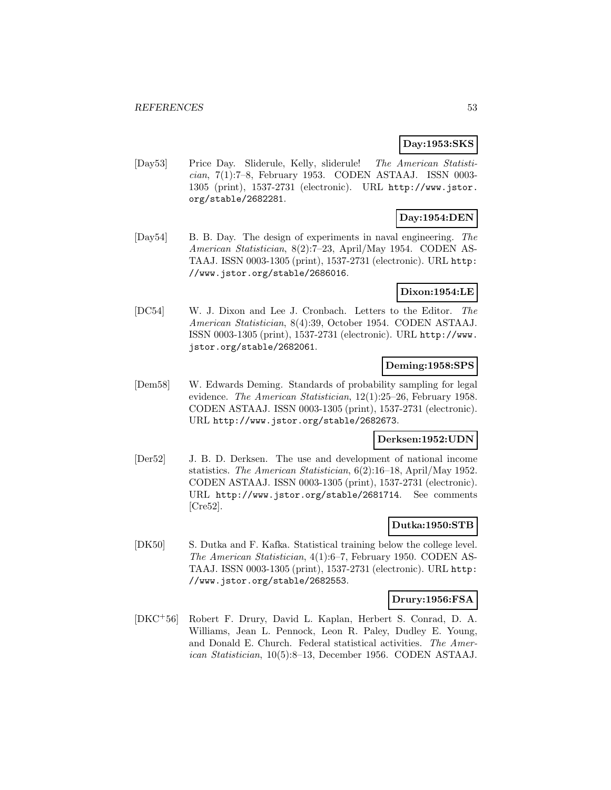## **Day:1953:SKS**

[Day53] Price Day. Sliderule, Kelly, sliderule! The American Statistician, 7(1):7–8, February 1953. CODEN ASTAAJ. ISSN 0003- 1305 (print), 1537-2731 (electronic). URL http://www.jstor. org/stable/2682281.

# **Day:1954:DEN**

[Day54] B. B. Day. The design of experiments in naval engineering. The American Statistician, 8(2):7–23, April/May 1954. CODEN AS-TAAJ. ISSN 0003-1305 (print), 1537-2731 (electronic). URL http: //www.jstor.org/stable/2686016.

### **Dixon:1954:LE**

[DC54] W. J. Dixon and Lee J. Cronbach. Letters to the Editor. The American Statistician, 8(4):39, October 1954. CODEN ASTAAJ. ISSN 0003-1305 (print), 1537-2731 (electronic). URL http://www. jstor.org/stable/2682061.

## **Deming:1958:SPS**

[Dem58] W. Edwards Deming. Standards of probability sampling for legal evidence. The American Statistician, 12(1):25–26, February 1958. CODEN ASTAAJ. ISSN 0003-1305 (print), 1537-2731 (electronic). URL http://www.jstor.org/stable/2682673.

### **Derksen:1952:UDN**

[Der52] J. B. D. Derksen. The use and development of national income statistics. The American Statistician, 6(2):16–18, April/May 1952. CODEN ASTAAJ. ISSN 0003-1305 (print), 1537-2731 (electronic). URL http://www.jstor.org/stable/2681714. See comments [Cre52].

# **Dutka:1950:STB**

[DK50] S. Dutka and F. Kafka. Statistical training below the college level. The American Statistician, 4(1):6–7, February 1950. CODEN AS-TAAJ. ISSN 0003-1305 (print), 1537-2731 (electronic). URL http: //www.jstor.org/stable/2682553.

### **Drury:1956:FSA**

[DKC<sup>+</sup>56] Robert F. Drury, David L. Kaplan, Herbert S. Conrad, D. A. Williams, Jean L. Pennock, Leon R. Paley, Dudley E. Young, and Donald E. Church. Federal statistical activities. The American Statistician, 10(5):8–13, December 1956. CODEN ASTAAJ.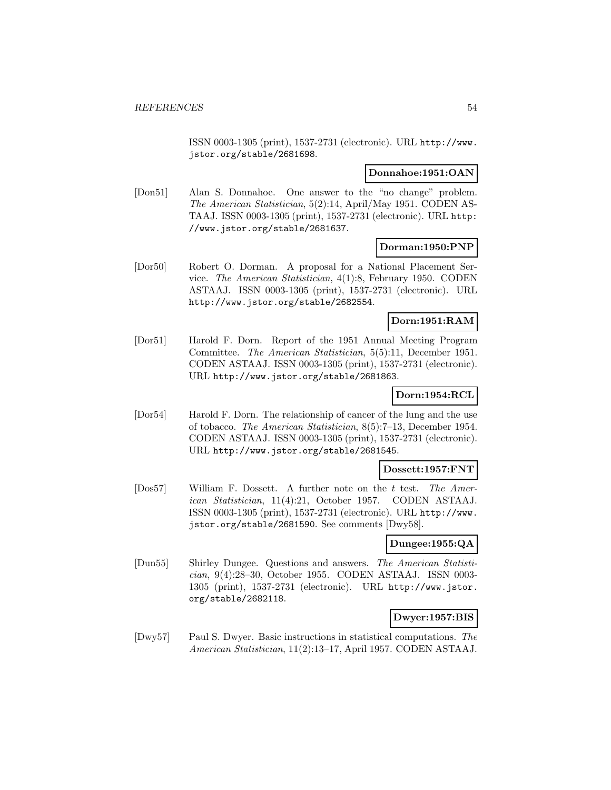ISSN 0003-1305 (print), 1537-2731 (electronic). URL http://www. jstor.org/stable/2681698.

#### **Donnahoe:1951:OAN**

[Don51] Alan S. Donnahoe. One answer to the "no change" problem. The American Statistician, 5(2):14, April/May 1951. CODEN AS-TAAJ. ISSN 0003-1305 (print), 1537-2731 (electronic). URL http: //www.jstor.org/stable/2681637.

### **Dorman:1950:PNP**

[Dor50] Robert O. Dorman. A proposal for a National Placement Service. The American Statistician, 4(1):8, February 1950. CODEN ASTAAJ. ISSN 0003-1305 (print), 1537-2731 (electronic). URL http://www.jstor.org/stable/2682554.

## **Dorn:1951:RAM**

[Dor51] Harold F. Dorn. Report of the 1951 Annual Meeting Program Committee. The American Statistician, 5(5):11, December 1951. CODEN ASTAAJ. ISSN 0003-1305 (print), 1537-2731 (electronic). URL http://www.jstor.org/stable/2681863.

# **Dorn:1954:RCL**

[Dor54] Harold F. Dorn. The relationship of cancer of the lung and the use of tobacco. The American Statistician, 8(5):7–13, December 1954. CODEN ASTAAJ. ISSN 0003-1305 (print), 1537-2731 (electronic). URL http://www.jstor.org/stable/2681545.

### **Dossett:1957:FNT**

[Dos57] William F. Dossett. A further note on the t test. The American Statistician, 11(4):21, October 1957. CODEN ASTAAJ. ISSN 0003-1305 (print), 1537-2731 (electronic). URL http://www. jstor.org/stable/2681590. See comments [Dwy58].

## **Dungee:1955:QA**

[Dun55] Shirley Dungee. Questions and answers. The American Statistician, 9(4):28–30, October 1955. CODEN ASTAAJ. ISSN 0003- 1305 (print), 1537-2731 (electronic). URL http://www.jstor. org/stable/2682118.

## **Dwyer:1957:BIS**

[Dwy57] Paul S. Dwyer. Basic instructions in statistical computations. The American Statistician, 11(2):13–17, April 1957. CODEN ASTAAJ.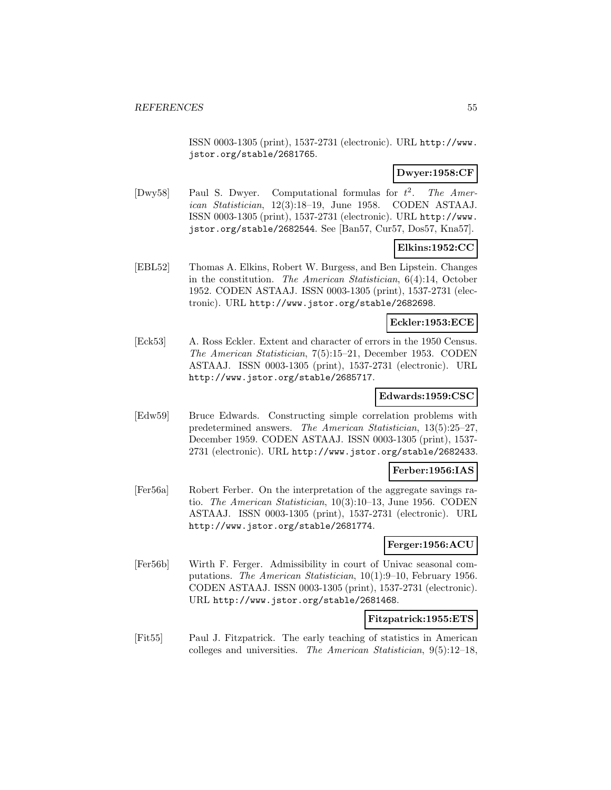ISSN 0003-1305 (print), 1537-2731 (electronic). URL http://www. jstor.org/stable/2681765.

## **Dwyer:1958:CF**

[Dwy58] Paul S. Dwyer. Computational formulas for  $t^2$ . The American Statistician, 12(3):18–19, June 1958. CODEN ASTAAJ. ISSN 0003-1305 (print), 1537-2731 (electronic). URL http://www. jstor.org/stable/2682544. See [Ban57, Cur57, Dos57, Kna57].

# **Elkins:1952:CC**

[EBL52] Thomas A. Elkins, Robert W. Burgess, and Ben Lipstein. Changes in the constitution. The American Statistician, 6(4):14, October 1952. CODEN ASTAAJ. ISSN 0003-1305 (print), 1537-2731 (electronic). URL http://www.jstor.org/stable/2682698.

### **Eckler:1953:ECE**

[Eck53] A. Ross Eckler. Extent and character of errors in the 1950 Census. The American Statistician, 7(5):15–21, December 1953. CODEN ASTAAJ. ISSN 0003-1305 (print), 1537-2731 (electronic). URL http://www.jstor.org/stable/2685717.

## **Edwards:1959:CSC**

[Edw59] Bruce Edwards. Constructing simple correlation problems with predetermined answers. The American Statistician, 13(5):25–27, December 1959. CODEN ASTAAJ. ISSN 0003-1305 (print), 1537- 2731 (electronic). URL http://www.jstor.org/stable/2682433.

## **Ferber:1956:IAS**

[Fer56a] Robert Ferber. On the interpretation of the aggregate savings ratio. The American Statistician, 10(3):10–13, June 1956. CODEN ASTAAJ. ISSN 0003-1305 (print), 1537-2731 (electronic). URL http://www.jstor.org/stable/2681774.

### **Ferger:1956:ACU**

[Fer56b] Wirth F. Ferger. Admissibility in court of Univac seasonal computations. The American Statistician, 10(1):9–10, February 1956. CODEN ASTAAJ. ISSN 0003-1305 (print), 1537-2731 (electronic). URL http://www.jstor.org/stable/2681468.

### **Fitzpatrick:1955:ETS**

[Fit55] Paul J. Fitzpatrick. The early teaching of statistics in American colleges and universities. The American Statistician, 9(5):12–18,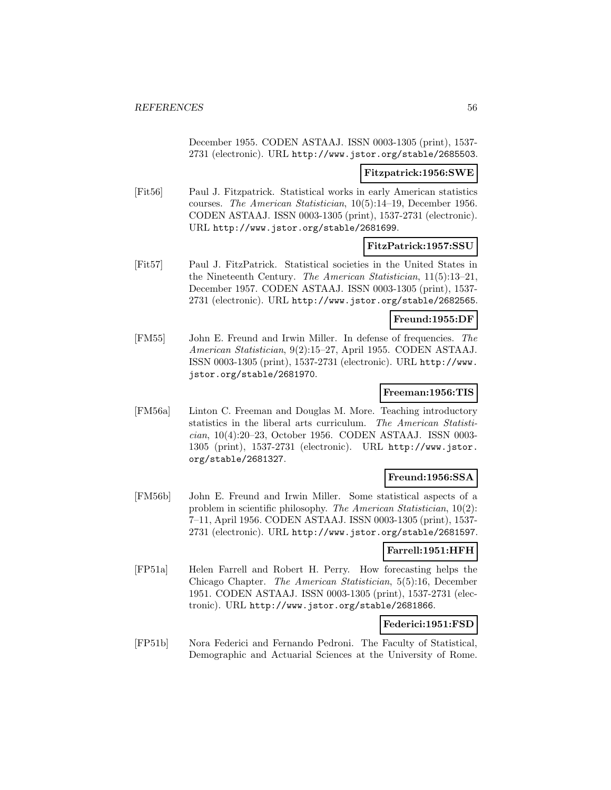December 1955. CODEN ASTAAJ. ISSN 0003-1305 (print), 1537- 2731 (electronic). URL http://www.jstor.org/stable/2685503.

#### **Fitzpatrick:1956:SWE**

[Fit56] Paul J. Fitzpatrick. Statistical works in early American statistics courses. The American Statistician, 10(5):14–19, December 1956. CODEN ASTAAJ. ISSN 0003-1305 (print), 1537-2731 (electronic). URL http://www.jstor.org/stable/2681699.

### **FitzPatrick:1957:SSU**

[Fit57] Paul J. FitzPatrick. Statistical societies in the United States in the Nineteenth Century. The American Statistician, 11(5):13–21, December 1957. CODEN ASTAAJ. ISSN 0003-1305 (print), 1537- 2731 (electronic). URL http://www.jstor.org/stable/2682565.

### **Freund:1955:DF**

[FM55] John E. Freund and Irwin Miller. In defense of frequencies. The American Statistician, 9(2):15–27, April 1955. CODEN ASTAAJ. ISSN 0003-1305 (print), 1537-2731 (electronic). URL http://www. jstor.org/stable/2681970.

### **Freeman:1956:TIS**

[FM56a] Linton C. Freeman and Douglas M. More. Teaching introductory statistics in the liberal arts curriculum. The American Statistician, 10(4):20–23, October 1956. CODEN ASTAAJ. ISSN 0003- 1305 (print), 1537-2731 (electronic). URL http://www.jstor. org/stable/2681327.

# **Freund:1956:SSA**

[FM56b] John E. Freund and Irwin Miller. Some statistical aspects of a problem in scientific philosophy. The American Statistician, 10(2): 7–11, April 1956. CODEN ASTAAJ. ISSN 0003-1305 (print), 1537- 2731 (electronic). URL http://www.jstor.org/stable/2681597.

## **Farrell:1951:HFH**

[FP51a] Helen Farrell and Robert H. Perry. How forecasting helps the Chicago Chapter. The American Statistician, 5(5):16, December 1951. CODEN ASTAAJ. ISSN 0003-1305 (print), 1537-2731 (electronic). URL http://www.jstor.org/stable/2681866.

## **Federici:1951:FSD**

[FP51b] Nora Federici and Fernando Pedroni. The Faculty of Statistical, Demographic and Actuarial Sciences at the University of Rome.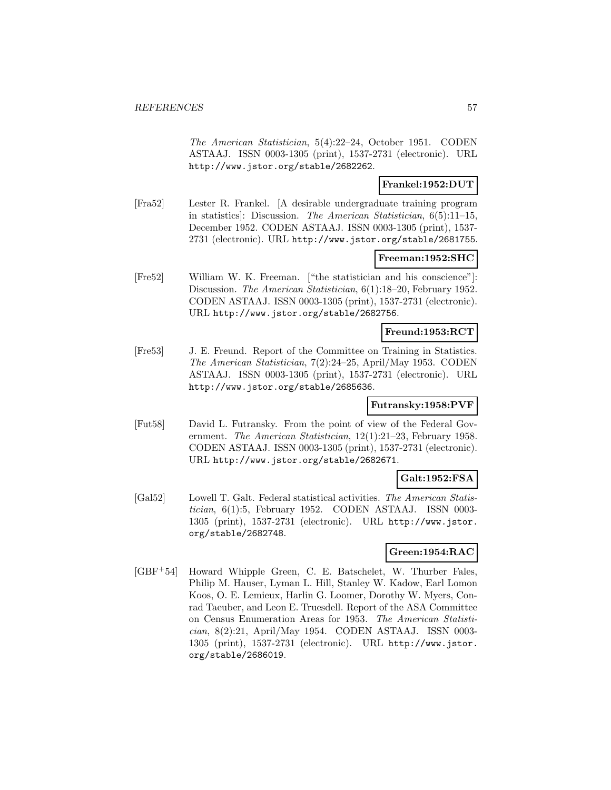The American Statistician, 5(4):22–24, October 1951. CODEN ASTAAJ. ISSN 0003-1305 (print), 1537-2731 (electronic). URL http://www.jstor.org/stable/2682262.

## **Frankel:1952:DUT**

[Fra52] Lester R. Frankel. [A desirable undergraduate training program in statistics]: Discussion. The American Statistician, 6(5):11–15, December 1952. CODEN ASTAAJ. ISSN 0003-1305 (print), 1537- 2731 (electronic). URL http://www.jstor.org/stable/2681755.

### **Freeman:1952:SHC**

[Fre52] William W. K. Freeman. ["the statistician and his conscience"]: Discussion. The American Statistician, 6(1):18–20, February 1952. CODEN ASTAAJ. ISSN 0003-1305 (print), 1537-2731 (electronic). URL http://www.jstor.org/stable/2682756.

### **Freund:1953:RCT**

[Fre53] J. E. Freund. Report of the Committee on Training in Statistics. The American Statistician, 7(2):24–25, April/May 1953. CODEN ASTAAJ. ISSN 0003-1305 (print), 1537-2731 (electronic). URL http://www.jstor.org/stable/2685636.

### **Futransky:1958:PVF**

[Fut58] David L. Futransky. From the point of view of the Federal Government. The American Statistician, 12(1):21–23, February 1958. CODEN ASTAAJ. ISSN 0003-1305 (print), 1537-2731 (electronic). URL http://www.jstor.org/stable/2682671.

## **Galt:1952:FSA**

[Gal52] Lowell T. Galt. Federal statistical activities. The American Statistician, 6(1):5, February 1952. CODEN ASTAAJ. ISSN 0003-1305 (print), 1537-2731 (electronic). URL http://www.jstor. org/stable/2682748.

## **Green:1954:RAC**

[GBF<sup>+</sup>54] Howard Whipple Green, C. E. Batschelet, W. Thurber Fales, Philip M. Hauser, Lyman L. Hill, Stanley W. Kadow, Earl Lomon Koos, O. E. Lemieux, Harlin G. Loomer, Dorothy W. Myers, Conrad Taeuber, and Leon E. Truesdell. Report of the ASA Committee on Census Enumeration Areas for 1953. The American Statistician, 8(2):21, April/May 1954. CODEN ASTAAJ. ISSN 0003- 1305 (print), 1537-2731 (electronic). URL http://www.jstor. org/stable/2686019.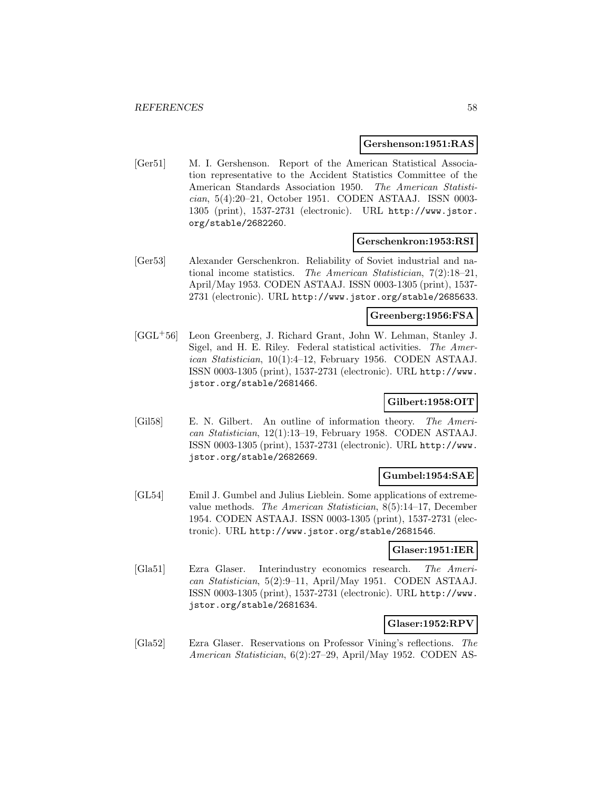### **Gershenson:1951:RAS**

[Ger51] M. I. Gershenson. Report of the American Statistical Association representative to the Accident Statistics Committee of the American Standards Association 1950. The American Statistician, 5(4):20–21, October 1951. CODEN ASTAAJ. ISSN 0003- 1305 (print), 1537-2731 (electronic). URL http://www.jstor. org/stable/2682260.

### **Gerschenkron:1953:RSI**

[Ger53] Alexander Gerschenkron. Reliability of Soviet industrial and national income statistics. The American Statistician, 7(2):18–21, April/May 1953. CODEN ASTAAJ. ISSN 0003-1305 (print), 1537- 2731 (electronic). URL http://www.jstor.org/stable/2685633.

#### **Greenberg:1956:FSA**

[GGL<sup>+</sup>56] Leon Greenberg, J. Richard Grant, John W. Lehman, Stanley J. Sigel, and H. E. Riley. Federal statistical activities. The American Statistician, 10(1):4–12, February 1956. CODEN ASTAAJ. ISSN 0003-1305 (print), 1537-2731 (electronic). URL http://www. jstor.org/stable/2681466.

## **Gilbert:1958:OIT**

[Gil58] E. N. Gilbert. An outline of information theory. The American Statistician, 12(1):13–19, February 1958. CODEN ASTAAJ. ISSN 0003-1305 (print), 1537-2731 (electronic). URL http://www. jstor.org/stable/2682669.

### **Gumbel:1954:SAE**

[GL54] Emil J. Gumbel and Julius Lieblein. Some applications of extremevalue methods. The American Statistician, 8(5):14–17, December 1954. CODEN ASTAAJ. ISSN 0003-1305 (print), 1537-2731 (electronic). URL http://www.jstor.org/stable/2681546.

### **Glaser:1951:IER**

[Gla51] Ezra Glaser. Interindustry economics research. The American Statistician, 5(2):9–11, April/May 1951. CODEN ASTAAJ. ISSN 0003-1305 (print), 1537-2731 (electronic). URL http://www. jstor.org/stable/2681634.

### **Glaser:1952:RPV**

[Gla52] Ezra Glaser. Reservations on Professor Vining's reflections. The American Statistician, 6(2):27–29, April/May 1952. CODEN AS-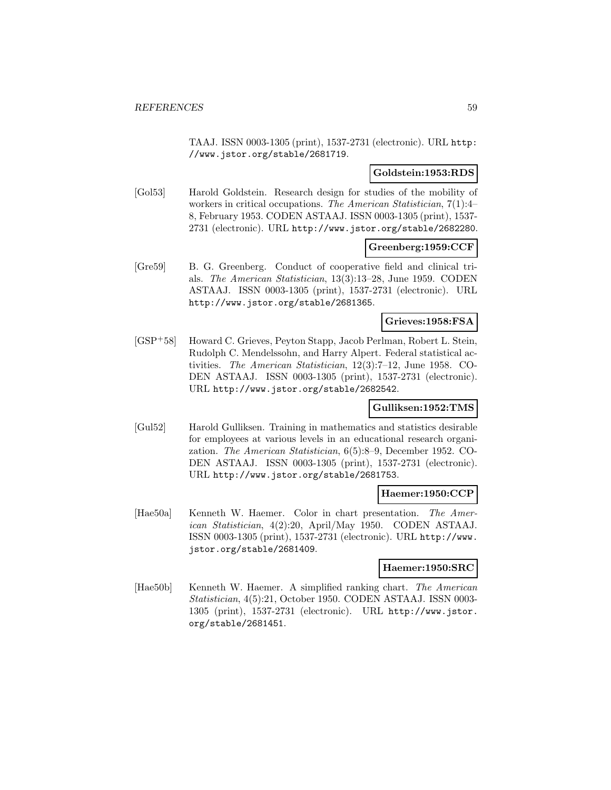TAAJ. ISSN 0003-1305 (print), 1537-2731 (electronic). URL http: //www.jstor.org/stable/2681719.

### **Goldstein:1953:RDS**

[Gol53] Harold Goldstein. Research design for studies of the mobility of workers in critical occupations. The American Statistician, 7(1):4– 8, February 1953. CODEN ASTAAJ. ISSN 0003-1305 (print), 1537- 2731 (electronic). URL http://www.jstor.org/stable/2682280.

### **Greenberg:1959:CCF**

[Gre59] B. G. Greenberg. Conduct of cooperative field and clinical trials. The American Statistician, 13(3):13–28, June 1959. CODEN ASTAAJ. ISSN 0003-1305 (print), 1537-2731 (electronic). URL http://www.jstor.org/stable/2681365.

#### **Grieves:1958:FSA**

[GSP<sup>+</sup>58] Howard C. Grieves, Peyton Stapp, Jacob Perlman, Robert L. Stein, Rudolph C. Mendelssohn, and Harry Alpert. Federal statistical activities. The American Statistician, 12(3):7–12, June 1958. CO-DEN ASTAAJ. ISSN 0003-1305 (print), 1537-2731 (electronic). URL http://www.jstor.org/stable/2682542.

### **Gulliksen:1952:TMS**

[Gul52] Harold Gulliksen. Training in mathematics and statistics desirable for employees at various levels in an educational research organization. The American Statistician, 6(5):8–9, December 1952. CO-DEN ASTAAJ. ISSN 0003-1305 (print), 1537-2731 (electronic). URL http://www.jstor.org/stable/2681753.

### **Haemer:1950:CCP**

[Hae50a] Kenneth W. Haemer. Color in chart presentation. The American Statistician, 4(2):20, April/May 1950. CODEN ASTAAJ. ISSN 0003-1305 (print), 1537-2731 (electronic). URL http://www. jstor.org/stable/2681409.

#### **Haemer:1950:SRC**

[Hae50b] Kenneth W. Haemer. A simplified ranking chart. The American Statistician, 4(5):21, October 1950. CODEN ASTAAJ. ISSN 0003- 1305 (print), 1537-2731 (electronic). URL http://www.jstor. org/stable/2681451.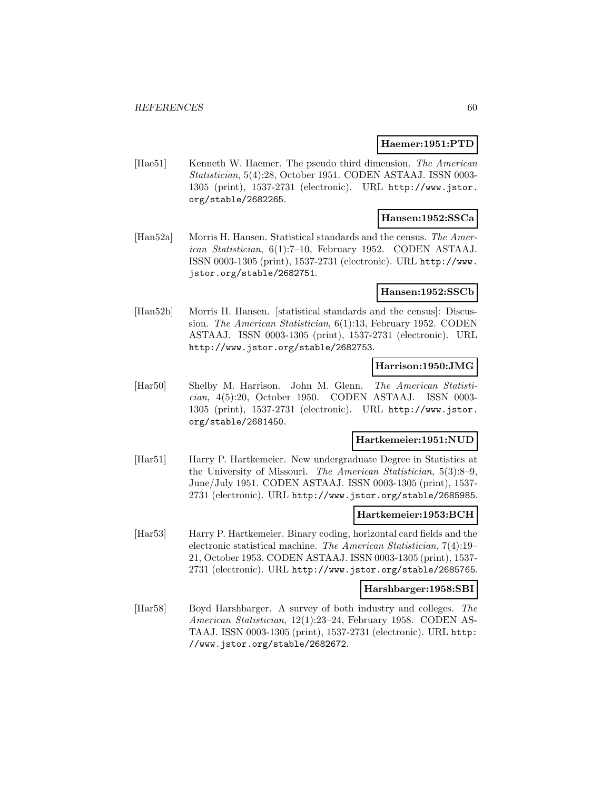#### **Haemer:1951:PTD**

[Hae51] Kenneth W. Haemer. The pseudo third dimension. The American Statistician, 5(4):28, October 1951. CODEN ASTAAJ. ISSN 0003- 1305 (print), 1537-2731 (electronic). URL http://www.jstor. org/stable/2682265.

## **Hansen:1952:SSCa**

[Han52a] Morris H. Hansen. Statistical standards and the census. The American Statistician, 6(1):7–10, February 1952. CODEN ASTAAJ. ISSN 0003-1305 (print), 1537-2731 (electronic). URL http://www. jstor.org/stable/2682751.

#### **Hansen:1952:SSCb**

[Han52b] Morris H. Hansen. [statistical standards and the census]: Discussion. The American Statistician, 6(1):13, February 1952. CODEN ASTAAJ. ISSN 0003-1305 (print), 1537-2731 (electronic). URL http://www.jstor.org/stable/2682753.

### **Harrison:1950:JMG**

[Har50] Shelby M. Harrison. John M. Glenn. The American Statistician, 4(5):20, October 1950. CODEN ASTAAJ. ISSN 0003- 1305 (print), 1537-2731 (electronic). URL http://www.jstor. org/stable/2681450.

### **Hartkemeier:1951:NUD**

[Har51] Harry P. Hartkemeier. New undergraduate Degree in Statistics at the University of Missouri. The American Statistician, 5(3):8–9, June/July 1951. CODEN ASTAAJ. ISSN 0003-1305 (print), 1537- 2731 (electronic). URL http://www.jstor.org/stable/2685985.

### **Hartkemeier:1953:BCH**

[Har53] Harry P. Hartkemeier. Binary coding, horizontal card fields and the electronic statistical machine. The American Statistician, 7(4):19– 21, October 1953. CODEN ASTAAJ. ISSN 0003-1305 (print), 1537- 2731 (electronic). URL http://www.jstor.org/stable/2685765.

#### **Harshbarger:1958:SBI**

[Har58] Boyd Harshbarger. A survey of both industry and colleges. The American Statistician, 12(1):23–24, February 1958. CODEN AS-TAAJ. ISSN 0003-1305 (print), 1537-2731 (electronic). URL http: //www.jstor.org/stable/2682672.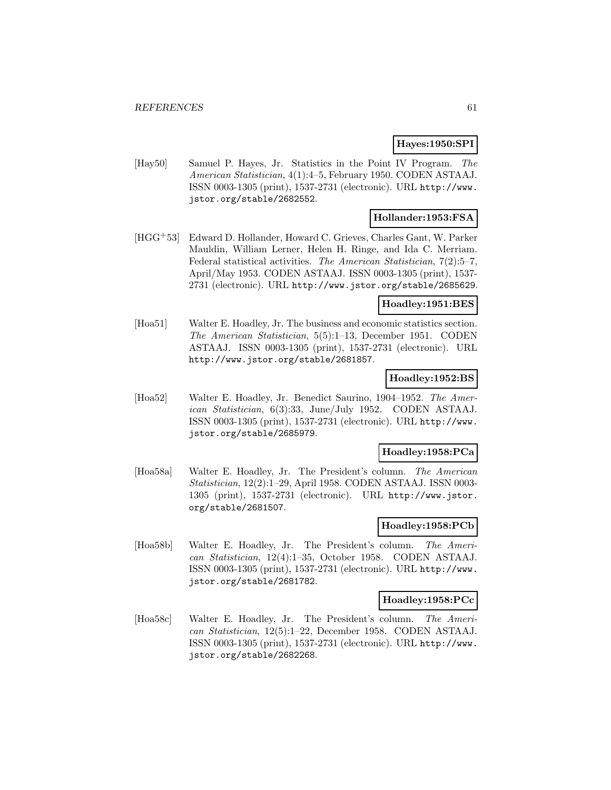### **Hayes:1950:SPI**

[Hay50] Samuel P. Hayes, Jr. Statistics in the Point IV Program. The American Statistician, 4(1):4–5, February 1950. CODEN ASTAAJ. ISSN 0003-1305 (print), 1537-2731 (electronic). URL http://www. jstor.org/stable/2682552.

# **Hollander:1953:FSA**

[HGG<sup>+</sup>53] Edward D. Hollander, Howard C. Grieves, Charles Gant, W. Parker Mauldin, William Lerner, Helen H. Ringe, and Ida C. Merriam. Federal statistical activities. The American Statistician, 7(2):5–7, April/May 1953. CODEN ASTAAJ. ISSN 0003-1305 (print), 1537- 2731 (electronic). URL http://www.jstor.org/stable/2685629.

#### **Hoadley:1951:BES**

[Hoa51] Walter E. Hoadley, Jr. The business and economic statistics section. The American Statistician, 5(5):1–13, December 1951. CODEN ASTAAJ. ISSN 0003-1305 (print), 1537-2731 (electronic). URL http://www.jstor.org/stable/2681857.

### **Hoadley:1952:BS**

[Hoa52] Walter E. Hoadley, Jr. Benedict Saurino, 1904–1952. The American Statistician, 6(3):33, June/July 1952. CODEN ASTAAJ. ISSN 0003-1305 (print), 1537-2731 (electronic). URL http://www. jstor.org/stable/2685979.

### **Hoadley:1958:PCa**

[Hoa58a] Walter E. Hoadley, Jr. The President's column. The American Statistician, 12(2):1–29, April 1958. CODEN ASTAAJ. ISSN 0003- 1305 (print), 1537-2731 (electronic). URL http://www.jstor. org/stable/2681507.

### **Hoadley:1958:PCb**

[Hoa58b] Walter E. Hoadley, Jr. The President's column. The American Statistician, 12(4):1–35, October 1958. CODEN ASTAAJ. ISSN 0003-1305 (print), 1537-2731 (electronic). URL http://www. jstor.org/stable/2681782.

#### **Hoadley:1958:PCc**

[Hoa58c] Walter E. Hoadley, Jr. The President's column. The American Statistician, 12(5):1–22, December 1958. CODEN ASTAAJ. ISSN 0003-1305 (print), 1537-2731 (electronic). URL http://www. jstor.org/stable/2682268.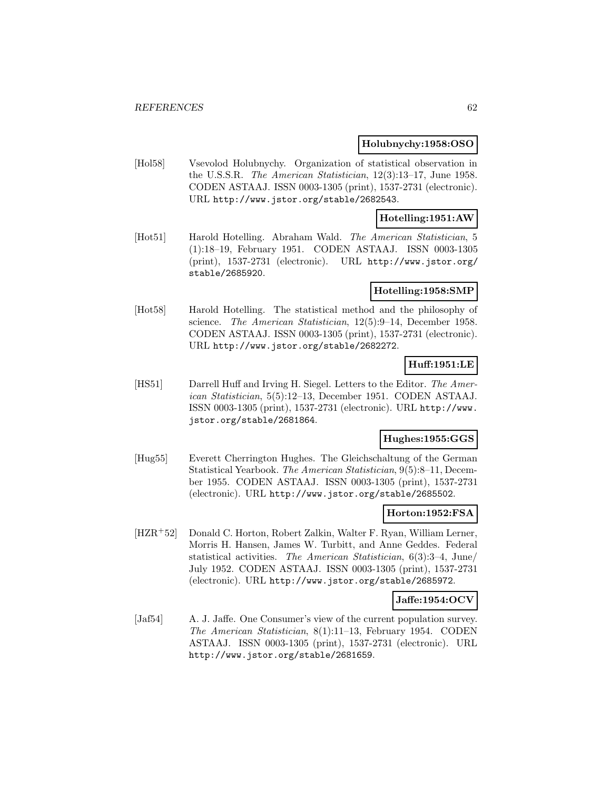### **Holubnychy:1958:OSO**

[Hol58] Vsevolod Holubnychy. Organization of statistical observation in the U.S.S.R. The American Statistician, 12(3):13–17, June 1958. CODEN ASTAAJ. ISSN 0003-1305 (print), 1537-2731 (electronic). URL http://www.jstor.org/stable/2682543.

### **Hotelling:1951:AW**

[Hot51] Harold Hotelling. Abraham Wald. The American Statistician, 5 (1):18–19, February 1951. CODEN ASTAAJ. ISSN 0003-1305 (print), 1537-2731 (electronic). URL http://www.jstor.org/ stable/2685920.

### **Hotelling:1958:SMP**

[Hot58] Harold Hotelling. The statistical method and the philosophy of science. The American Statistician, 12(5):9–14, December 1958. CODEN ASTAAJ. ISSN 0003-1305 (print), 1537-2731 (electronic). URL http://www.jstor.org/stable/2682272.

### **Huff:1951:LE**

[HS51] Darrell Huff and Irving H. Siegel. Letters to the Editor. The American Statistician, 5(5):12–13, December 1951. CODEN ASTAAJ. ISSN 0003-1305 (print), 1537-2731 (electronic). URL http://www. jstor.org/stable/2681864.

### **Hughes:1955:GGS**

[Hug55] Everett Cherrington Hughes. The Gleichschaltung of the German Statistical Yearbook. The American Statistician, 9(5):8–11, December 1955. CODEN ASTAAJ. ISSN 0003-1305 (print), 1537-2731 (electronic). URL http://www.jstor.org/stable/2685502.

#### **Horton:1952:FSA**

[HZR<sup>+</sup>52] Donald C. Horton, Robert Zalkin, Walter F. Ryan, William Lerner, Morris H. Hansen, James W. Turbitt, and Anne Geddes. Federal statistical activities. The American Statistician, 6(3):3–4, June/ July 1952. CODEN ASTAAJ. ISSN 0003-1305 (print), 1537-2731 (electronic). URL http://www.jstor.org/stable/2685972.

## **Jaffe:1954:OCV**

[Jaf54] A. J. Jaffe. One Consumer's view of the current population survey. The American Statistician, 8(1):11–13, February 1954. CODEN ASTAAJ. ISSN 0003-1305 (print), 1537-2731 (electronic). URL http://www.jstor.org/stable/2681659.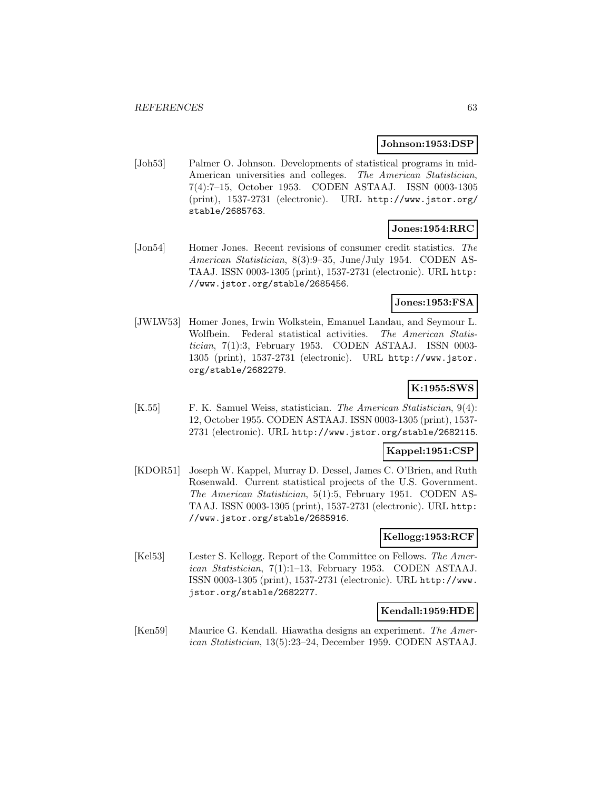### **Johnson:1953:DSP**

[Joh53] Palmer O. Johnson. Developments of statistical programs in mid-American universities and colleges. The American Statistician, 7(4):7–15, October 1953. CODEN ASTAAJ. ISSN 0003-1305 (print), 1537-2731 (electronic). URL http://www.jstor.org/ stable/2685763.

# **Jones:1954:RRC**

[Jon54] Homer Jones. Recent revisions of consumer credit statistics. The American Statistician, 8(3):9–35, June/July 1954. CODEN AS-TAAJ. ISSN 0003-1305 (print), 1537-2731 (electronic). URL http: //www.jstor.org/stable/2685456.

### **Jones:1953:FSA**

[JWLW53] Homer Jones, Irwin Wolkstein, Emanuel Landau, and Seymour L. Wolfbein. Federal statistical activities. The American Statistician, 7(1):3, February 1953. CODEN ASTAAJ. ISSN 0003- 1305 (print), 1537-2731 (electronic). URL http://www.jstor. org/stable/2682279.

## **K:1955:SWS**

[K.55] F. K. Samuel Weiss, statistician. The American Statistician, 9(4): 12, October 1955. CODEN ASTAAJ. ISSN 0003-1305 (print), 1537- 2731 (electronic). URL http://www.jstor.org/stable/2682115.

## **Kappel:1951:CSP**

[KDOR51] Joseph W. Kappel, Murray D. Dessel, James C. O'Brien, and Ruth Rosenwald. Current statistical projects of the U.S. Government. The American Statistician, 5(1):5, February 1951. CODEN AS-TAAJ. ISSN 0003-1305 (print), 1537-2731 (electronic). URL http: //www.jstor.org/stable/2685916.

### **Kellogg:1953:RCF**

[Kel53] Lester S. Kellogg. Report of the Committee on Fellows. The American Statistician, 7(1):1–13, February 1953. CODEN ASTAAJ. ISSN 0003-1305 (print), 1537-2731 (electronic). URL http://www. jstor.org/stable/2682277.

#### **Kendall:1959:HDE**

[Ken59] Maurice G. Kendall. Hiawatha designs an experiment. The American Statistician, 13(5):23–24, December 1959. CODEN ASTAAJ.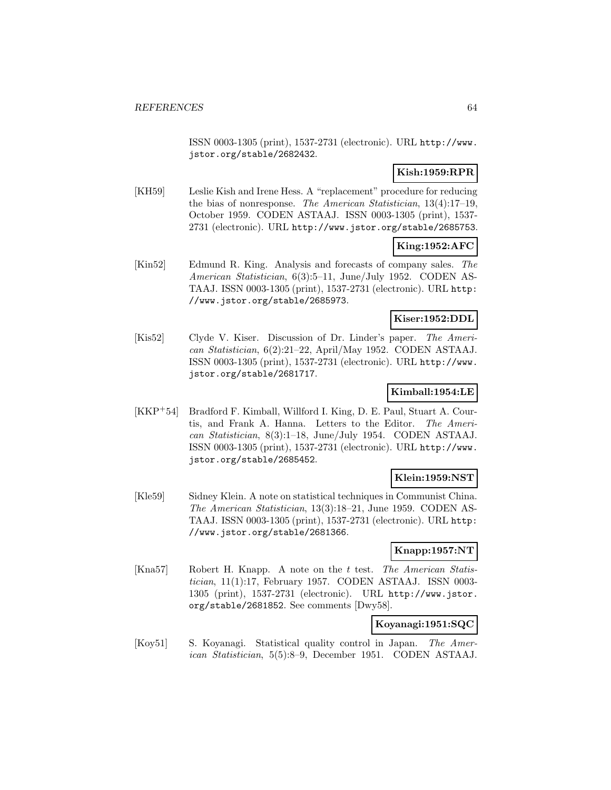ISSN 0003-1305 (print), 1537-2731 (electronic). URL http://www. jstor.org/stable/2682432.

# **Kish:1959:RPR**

[KH59] Leslie Kish and Irene Hess. A "replacement" procedure for reducing the bias of nonresponse. The American Statistician, 13(4):17–19, October 1959. CODEN ASTAAJ. ISSN 0003-1305 (print), 1537- 2731 (electronic). URL http://www.jstor.org/stable/2685753.

# **King:1952:AFC**

[Kin52] Edmund R. King. Analysis and forecasts of company sales. The American Statistician, 6(3):5–11, June/July 1952. CODEN AS-TAAJ. ISSN 0003-1305 (print), 1537-2731 (electronic). URL http: //www.jstor.org/stable/2685973.

# **Kiser:1952:DDL**

[Kis52] Clyde V. Kiser. Discussion of Dr. Linder's paper. The American Statistician, 6(2):21–22, April/May 1952. CODEN ASTAAJ. ISSN 0003-1305 (print), 1537-2731 (electronic). URL http://www. jstor.org/stable/2681717.

# **Kimball:1954:LE**

[KKP<sup>+</sup>54] Bradford F. Kimball, Willford I. King, D. E. Paul, Stuart A. Courtis, and Frank A. Hanna. Letters to the Editor. The American Statistician, 8(3):1–18, June/July 1954. CODEN ASTAAJ. ISSN 0003-1305 (print), 1537-2731 (electronic). URL http://www. jstor.org/stable/2685452.

# **Klein:1959:NST**

[Kle59] Sidney Klein. A note on statistical techniques in Communist China. The American Statistician, 13(3):18–21, June 1959. CODEN AS-TAAJ. ISSN 0003-1305 (print), 1537-2731 (electronic). URL http: //www.jstor.org/stable/2681366.

# **Knapp:1957:NT**

[Kna57] Robert H. Knapp. A note on the t test. The American Statistician, 11(1):17, February 1957. CODEN ASTAAJ. ISSN 0003- 1305 (print), 1537-2731 (electronic). URL http://www.jstor. org/stable/2681852. See comments [Dwy58].

## **Koyanagi:1951:SQC**

[Koy51] S. Koyanagi. Statistical quality control in Japan. The American Statistician, 5(5):8–9, December 1951. CODEN ASTAAJ.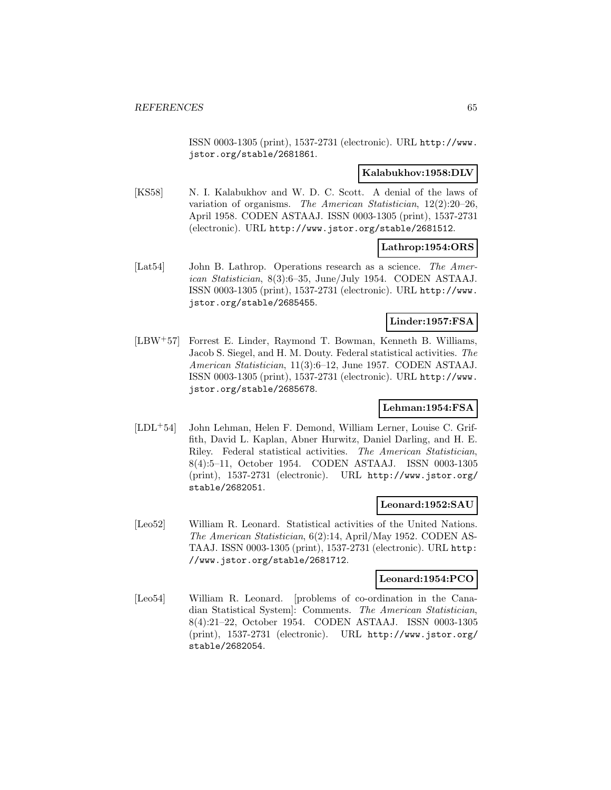ISSN 0003-1305 (print), 1537-2731 (electronic). URL http://www. jstor.org/stable/2681861.

### **Kalabukhov:1958:DLV**

[KS58] N. I. Kalabukhov and W. D. C. Scott. A denial of the laws of variation of organisms. The American Statistician, 12(2):20–26, April 1958. CODEN ASTAAJ. ISSN 0003-1305 (print), 1537-2731 (electronic). URL http://www.jstor.org/stable/2681512.

### **Lathrop:1954:ORS**

[Lat54] John B. Lathrop. Operations research as a science. The American Statistician, 8(3):6–35, June/July 1954. CODEN ASTAAJ. ISSN 0003-1305 (print), 1537-2731 (electronic). URL http://www. jstor.org/stable/2685455.

### **Linder:1957:FSA**

[LBW<sup>+</sup>57] Forrest E. Linder, Raymond T. Bowman, Kenneth B. Williams, Jacob S. Siegel, and H. M. Douty. Federal statistical activities. The American Statistician, 11(3):6–12, June 1957. CODEN ASTAAJ. ISSN 0003-1305 (print), 1537-2731 (electronic). URL http://www. jstor.org/stable/2685678.

### **Lehman:1954:FSA**

[LDL<sup>+</sup>54] John Lehman, Helen F. Demond, William Lerner, Louise C. Griffith, David L. Kaplan, Abner Hurwitz, Daniel Darling, and H. E. Riley. Federal statistical activities. The American Statistician, 8(4):5–11, October 1954. CODEN ASTAAJ. ISSN 0003-1305 (print), 1537-2731 (electronic). URL http://www.jstor.org/ stable/2682051.

### **Leonard:1952:SAU**

[Leo52] William R. Leonard. Statistical activities of the United Nations. The American Statistician, 6(2):14, April/May 1952. CODEN AS-TAAJ. ISSN 0003-1305 (print), 1537-2731 (electronic). URL http: //www.jstor.org/stable/2681712.

### **Leonard:1954:PCO**

[Leo54] William R. Leonard. [problems of co-ordination in the Canadian Statistical System]: Comments. The American Statistician, 8(4):21–22, October 1954. CODEN ASTAAJ. ISSN 0003-1305 (print), 1537-2731 (electronic). URL http://www.jstor.org/ stable/2682054.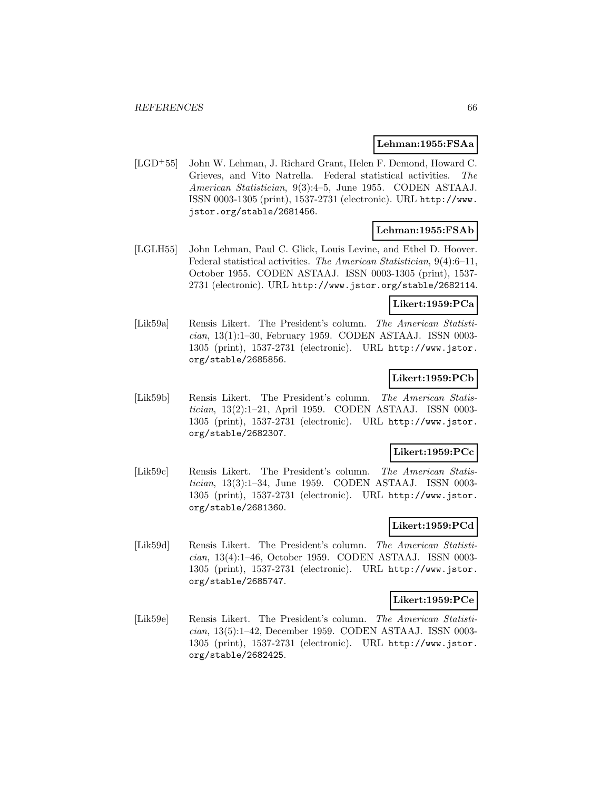### **Lehman:1955:FSAa**

[LGD<sup>+</sup>55] John W. Lehman, J. Richard Grant, Helen F. Demond, Howard C. Grieves, and Vito Natrella. Federal statistical activities. The American Statistician, 9(3):4–5, June 1955. CODEN ASTAAJ. ISSN 0003-1305 (print), 1537-2731 (electronic). URL http://www. jstor.org/stable/2681456.

# **Lehman:1955:FSAb**

[LGLH55] John Lehman, Paul C. Glick, Louis Levine, and Ethel D. Hoover. Federal statistical activities. The American Statistician, 9(4):6–11, October 1955. CODEN ASTAAJ. ISSN 0003-1305 (print), 1537- 2731 (electronic). URL http://www.jstor.org/stable/2682114.

### **Likert:1959:PCa**

[Lik59a] Rensis Likert. The President's column. The American Statistician, 13(1):1–30, February 1959. CODEN ASTAAJ. ISSN 0003- 1305 (print), 1537-2731 (electronic). URL http://www.jstor. org/stable/2685856.

# **Likert:1959:PCb**

[Lik59b] Rensis Likert. The President's column. The American Statistician, 13(2):1–21, April 1959. CODEN ASTAAJ. ISSN 0003- 1305 (print), 1537-2731 (electronic). URL http://www.jstor. org/stable/2682307.

## **Likert:1959:PCc**

[Lik59c] Rensis Likert. The President's column. The American Statistician, 13(3):1–34, June 1959. CODEN ASTAAJ. ISSN 0003- 1305 (print), 1537-2731 (electronic). URL http://www.jstor. org/stable/2681360.

# **Likert:1959:PCd**

[Lik59d] Rensis Likert. The President's column. The American Statistician, 13(4):1–46, October 1959. CODEN ASTAAJ. ISSN 0003- 1305 (print), 1537-2731 (electronic). URL http://www.jstor. org/stable/2685747.

### **Likert:1959:PCe**

[Lik59e] Rensis Likert. The President's column. The American Statistician, 13(5):1–42, December 1959. CODEN ASTAAJ. ISSN 0003- 1305 (print), 1537-2731 (electronic). URL http://www.jstor. org/stable/2682425.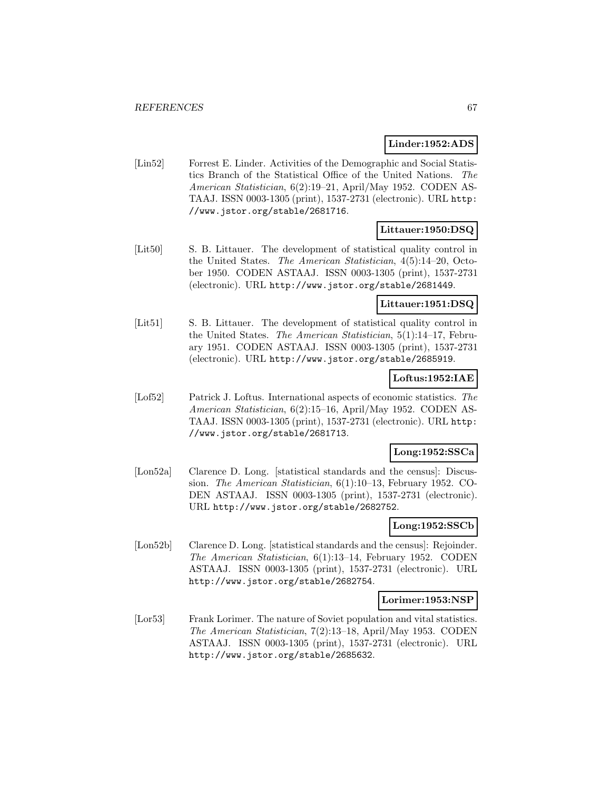### **Linder:1952:ADS**

[Lin52] Forrest E. Linder. Activities of the Demographic and Social Statistics Branch of the Statistical Office of the United Nations. The American Statistician, 6(2):19–21, April/May 1952. CODEN AS-TAAJ. ISSN 0003-1305 (print), 1537-2731 (electronic). URL http: //www.jstor.org/stable/2681716.

# **Littauer:1950:DSQ**

[Lit50] S. B. Littauer. The development of statistical quality control in the United States. The American Statistician, 4(5):14–20, October 1950. CODEN ASTAAJ. ISSN 0003-1305 (print), 1537-2731 (electronic). URL http://www.jstor.org/stable/2681449.

### **Littauer:1951:DSQ**

[Lit51] S. B. Littauer. The development of statistical quality control in the United States. The American Statistician, 5(1):14–17, February 1951. CODEN ASTAAJ. ISSN 0003-1305 (print), 1537-2731 (electronic). URL http://www.jstor.org/stable/2685919.

## **Loftus:1952:IAE**

[Lof52] Patrick J. Loftus. International aspects of economic statistics. The American Statistician, 6(2):15–16, April/May 1952. CODEN AS-TAAJ. ISSN 0003-1305 (print), 1537-2731 (electronic). URL http: //www.jstor.org/stable/2681713.

## **Long:1952:SSCa**

[Lon52a] Clarence D. Long. [statistical standards and the census]: Discussion. The American Statistician, 6(1):10–13, February 1952. CO-DEN ASTAAJ. ISSN 0003-1305 (print), 1537-2731 (electronic). URL http://www.jstor.org/stable/2682752.

# **Long:1952:SSCb**

[Lon52b] Clarence D. Long. [statistical standards and the census]: Rejoinder. The American Statistician, 6(1):13–14, February 1952. CODEN ASTAAJ. ISSN 0003-1305 (print), 1537-2731 (electronic). URL http://www.jstor.org/stable/2682754.

### **Lorimer:1953:NSP**

[Lor53] Frank Lorimer. The nature of Soviet population and vital statistics. The American Statistician, 7(2):13–18, April/May 1953. CODEN ASTAAJ. ISSN 0003-1305 (print), 1537-2731 (electronic). URL http://www.jstor.org/stable/2685632.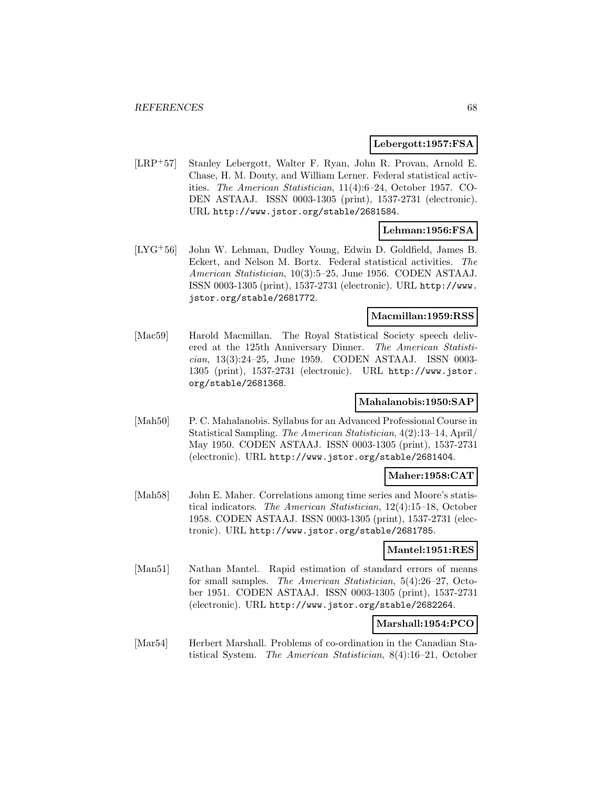#### **Lebergott:1957:FSA**

[LRP<sup>+</sup>57] Stanley Lebergott, Walter F. Ryan, John R. Provan, Arnold E. Chase, H. M. Douty, and William Lerner. Federal statistical activities. The American Statistician, 11(4):6–24, October 1957. CO-DEN ASTAAJ. ISSN 0003-1305 (print), 1537-2731 (electronic). URL http://www.jstor.org/stable/2681584.

## **Lehman:1956:FSA**

[LYG<sup>+</sup>56] John W. Lehman, Dudley Young, Edwin D. Goldfield, James B. Eckert, and Nelson M. Bortz. Federal statistical activities. The American Statistician, 10(3):5–25, June 1956. CODEN ASTAAJ. ISSN 0003-1305 (print), 1537-2731 (electronic). URL http://www. jstor.org/stable/2681772.

## **Macmillan:1959:RSS**

[Mac59] Harold Macmillan. The Royal Statistical Society speech delivered at the 125th Anniversary Dinner. The American Statistician, 13(3):24–25, June 1959. CODEN ASTAAJ. ISSN 0003- 1305 (print), 1537-2731 (electronic). URL http://www.jstor. org/stable/2681368.

### **Mahalanobis:1950:SAP**

[Mah50] P. C. Mahalanobis. Syllabus for an Advanced Professional Course in Statistical Sampling. The American Statistician, 4(2):13–14, April/ May 1950. CODEN ASTAAJ. ISSN 0003-1305 (print), 1537-2731 (electronic). URL http://www.jstor.org/stable/2681404.

### **Maher:1958:CAT**

[Mah58] John E. Maher. Correlations among time series and Moore's statistical indicators. The American Statistician, 12(4):15–18, October 1958. CODEN ASTAAJ. ISSN 0003-1305 (print), 1537-2731 (electronic). URL http://www.jstor.org/stable/2681785.

### **Mantel:1951:RES**

[Man51] Nathan Mantel. Rapid estimation of standard errors of means for small samples. The American Statistician, 5(4):26–27, October 1951. CODEN ASTAAJ. ISSN 0003-1305 (print), 1537-2731 (electronic). URL http://www.jstor.org/stable/2682264.

### **Marshall:1954:PCO**

[Mar54] Herbert Marshall. Problems of co-ordination in the Canadian Statistical System. The American Statistician, 8(4):16–21, October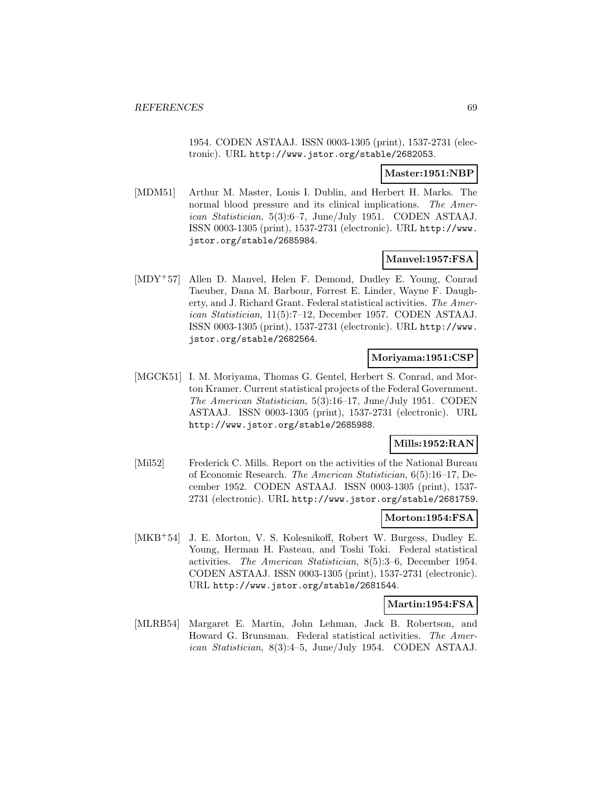1954. CODEN ASTAAJ. ISSN 0003-1305 (print), 1537-2731 (electronic). URL http://www.jstor.org/stable/2682053.

### **Master:1951:NBP**

[MDM51] Arthur M. Master, Louis I. Dublin, and Herbert H. Marks. The normal blood pressure and its clinical implications. The American Statistician, 5(3):6–7, June/July 1951. CODEN ASTAAJ. ISSN 0003-1305 (print), 1537-2731 (electronic). URL http://www. jstor.org/stable/2685984.

## **Manvel:1957:FSA**

[MDY<sup>+</sup>57] Allen D. Manvel, Helen F. Demond, Dudley E. Young, Conrad Taeuber, Dana M. Barbour, Forrest E. Linder, Wayne F. Daugherty, and J. Richard Grant. Federal statistical activities. The American Statistician, 11(5):7–12, December 1957. CODEN ASTAAJ. ISSN 0003-1305 (print), 1537-2731 (electronic). URL http://www. jstor.org/stable/2682564.

#### **Moriyama:1951:CSP**

[MGCK51] I. M. Moriyama, Thomas G. Gentel, Herbert S. Conrad, and Morton Kramer. Current statistical projects of the Federal Government. The American Statistician, 5(3):16–17, June/July 1951. CODEN ASTAAJ. ISSN 0003-1305 (print), 1537-2731 (electronic). URL http://www.jstor.org/stable/2685988.

# **Mills:1952:RAN**

[Mil52] Frederick C. Mills. Report on the activities of the National Bureau of Economic Research. The American Statistician, 6(5):16–17, December 1952. CODEN ASTAAJ. ISSN 0003-1305 (print), 1537- 2731 (electronic). URL http://www.jstor.org/stable/2681759.

## **Morton:1954:FSA**

[MKB<sup>+</sup>54] J. E. Morton, V. S. Kolesnikoff, Robert W. Burgess, Dudley E. Young, Herman H. Fasteau, and Toshi Toki. Federal statistical activities. The American Statistician, 8(5):3–6, December 1954. CODEN ASTAAJ. ISSN 0003-1305 (print), 1537-2731 (electronic). URL http://www.jstor.org/stable/2681544.

### **Martin:1954:FSA**

[MLRB54] Margaret E. Martin, John Lehman, Jack B. Robertson, and Howard G. Brunsman. Federal statistical activities. The American Statistician, 8(3):4–5, June/July 1954. CODEN ASTAAJ.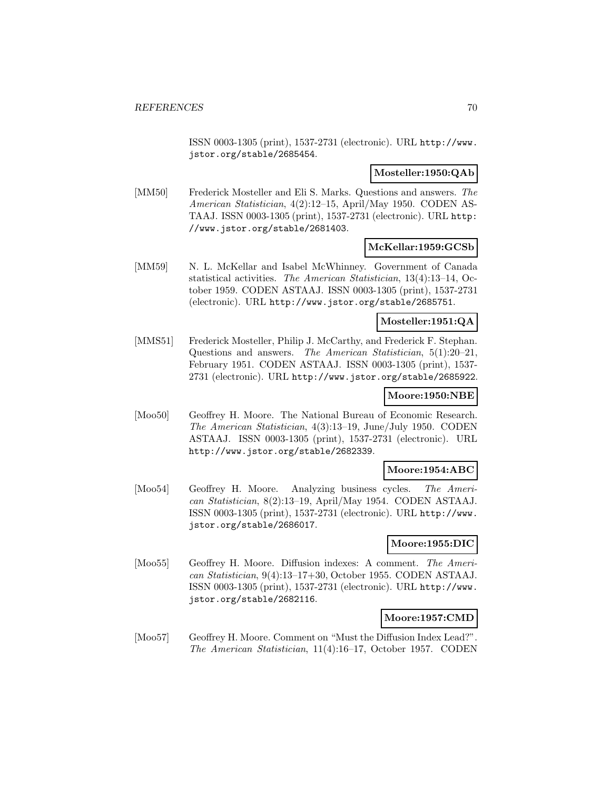ISSN 0003-1305 (print), 1537-2731 (electronic). URL http://www. jstor.org/stable/2685454.

### **Mosteller:1950:QAb**

[MM50] Frederick Mosteller and Eli S. Marks. Questions and answers. The American Statistician, 4(2):12–15, April/May 1950. CODEN AS-TAAJ. ISSN 0003-1305 (print), 1537-2731 (electronic). URL http: //www.jstor.org/stable/2681403.

## **McKellar:1959:GCSb**

[MM59] N. L. McKellar and Isabel McWhinney. Government of Canada statistical activities. The American Statistician, 13(4):13–14, October 1959. CODEN ASTAAJ. ISSN 0003-1305 (print), 1537-2731 (electronic). URL http://www.jstor.org/stable/2685751.

### **Mosteller:1951:QA**

[MMS51] Frederick Mosteller, Philip J. McCarthy, and Frederick F. Stephan. Questions and answers. The American Statistician, 5(1):20–21, February 1951. CODEN ASTAAJ. ISSN 0003-1305 (print), 1537- 2731 (electronic). URL http://www.jstor.org/stable/2685922.

## **Moore:1950:NBE**

[Moo50] Geoffrey H. Moore. The National Bureau of Economic Research. The American Statistician, 4(3):13–19, June/July 1950. CODEN ASTAAJ. ISSN 0003-1305 (print), 1537-2731 (electronic). URL http://www.jstor.org/stable/2682339.

## **Moore:1954:ABC**

[Moo54] Geoffrey H. Moore. Analyzing business cycles. The American Statistician, 8(2):13–19, April/May 1954. CODEN ASTAAJ. ISSN 0003-1305 (print), 1537-2731 (electronic). URL http://www. jstor.org/stable/2686017.

### **Moore:1955:DIC**

[Moo55] Geoffrey H. Moore. Diffusion indexes: A comment. The American Statistician, 9(4):13–17+30, October 1955. CODEN ASTAAJ. ISSN 0003-1305 (print), 1537-2731 (electronic). URL http://www. jstor.org/stable/2682116.

### **Moore:1957:CMD**

[Moo57] Geoffrey H. Moore. Comment on "Must the Diffusion Index Lead?". The American Statistician, 11(4):16–17, October 1957. CODEN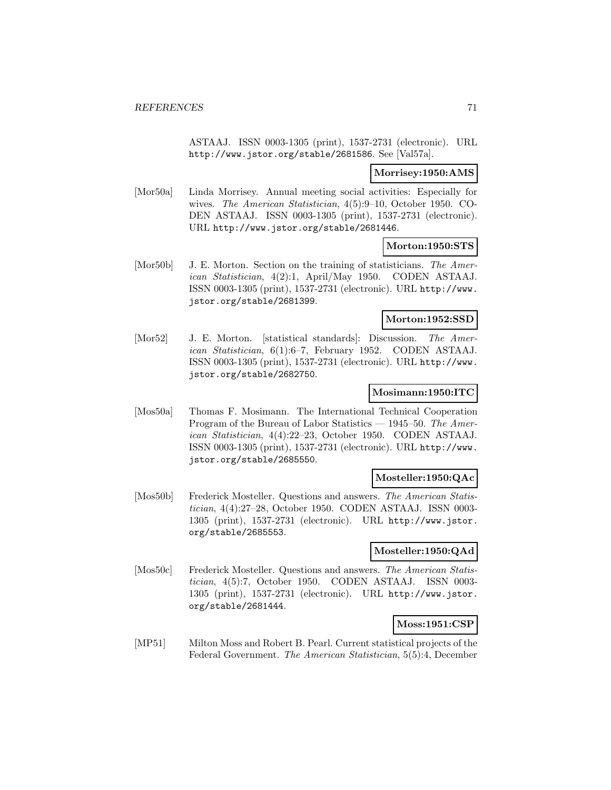ASTAAJ. ISSN 0003-1305 (print), 1537-2731 (electronic). URL http://www.jstor.org/stable/2681586. See [Val57a].

#### **Morrisey:1950:AMS**

[Mor50a] Linda Morrisey. Annual meeting social activities: Especially for wives. The American Statistician, 4(5):9–10, October 1950. CO-DEN ASTAAJ. ISSN 0003-1305 (print), 1537-2731 (electronic). URL http://www.jstor.org/stable/2681446.

## **Morton:1950:STS**

[Mor50b] J. E. Morton. Section on the training of statisticians. The American Statistician, 4(2):1, April/May 1950. CODEN ASTAAJ. ISSN 0003-1305 (print), 1537-2731 (electronic). URL http://www. jstor.org/stable/2681399.

### **Morton:1952:SSD**

[Mor52] J. E. Morton. [statistical standards]: Discussion. The American Statistician, 6(1):6–7, February 1952. CODEN ASTAAJ. ISSN 0003-1305 (print), 1537-2731 (electronic). URL http://www. jstor.org/stable/2682750.

### **Mosimann:1950:ITC**

[Mos50a] Thomas F. Mosimann. The International Technical Cooperation Program of the Bureau of Labor Statistics — 1945–50. The American Statistician, 4(4):22–23, October 1950. CODEN ASTAAJ. ISSN 0003-1305 (print), 1537-2731 (electronic). URL http://www. jstor.org/stable/2685550.

## **Mosteller:1950:QAc**

[Mos50b] Frederick Mosteller. Questions and answers. The American Statistician, 4(4):27–28, October 1950. CODEN ASTAAJ. ISSN 0003- 1305 (print), 1537-2731 (electronic). URL http://www.jstor. org/stable/2685553.

# **Mosteller:1950:QAd**

[Mos50c] Frederick Mosteller. Questions and answers. The American Statistician, 4(5):7, October 1950. CODEN ASTAAJ. ISSN 0003- 1305 (print), 1537-2731 (electronic). URL http://www.jstor. org/stable/2681444.

### **Moss:1951:CSP**

[MP51] Milton Moss and Robert B. Pearl. Current statistical projects of the Federal Government. The American Statistician, 5(5):4, December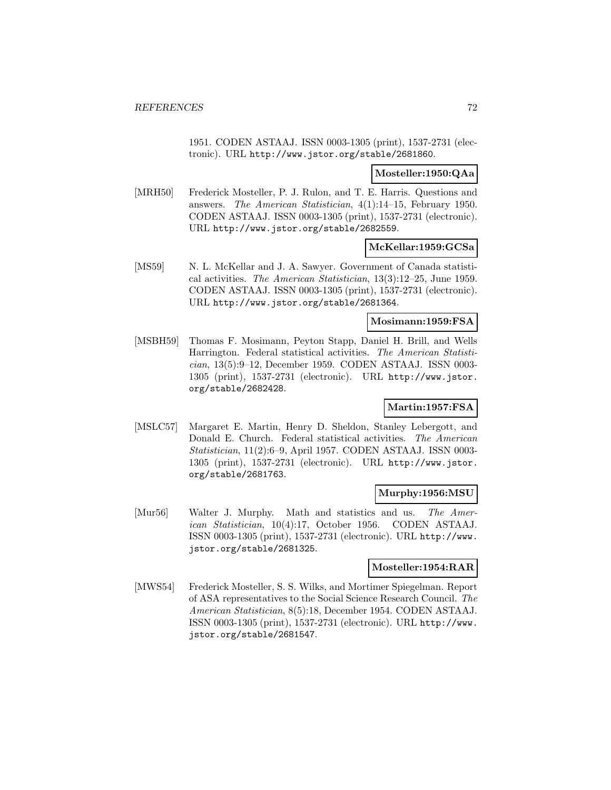1951. CODEN ASTAAJ. ISSN 0003-1305 (print), 1537-2731 (electronic). URL http://www.jstor.org/stable/2681860.

### **Mosteller:1950:QAa**

[MRH50] Frederick Mosteller, P. J. Rulon, and T. E. Harris. Questions and answers. The American Statistician, 4(1):14–15, February 1950. CODEN ASTAAJ. ISSN 0003-1305 (print), 1537-2731 (electronic). URL http://www.jstor.org/stable/2682559.

### **McKellar:1959:GCSa**

[MS59] N. L. McKellar and J. A. Sawyer. Government of Canada statistical activities. The American Statistician, 13(3):12–25, June 1959. CODEN ASTAAJ. ISSN 0003-1305 (print), 1537-2731 (electronic). URL http://www.jstor.org/stable/2681364.

## **Mosimann:1959:FSA**

[MSBH59] Thomas F. Mosimann, Peyton Stapp, Daniel H. Brill, and Wells Harrington. Federal statistical activities. The American Statistician, 13(5):9–12, December 1959. CODEN ASTAAJ. ISSN 0003- 1305 (print), 1537-2731 (electronic). URL http://www.jstor. org/stable/2682428.

## **Martin:1957:FSA**

[MSLC57] Margaret E. Martin, Henry D. Sheldon, Stanley Lebergott, and Donald E. Church. Federal statistical activities. The American Statistician, 11(2):6–9, April 1957. CODEN ASTAAJ. ISSN 0003- 1305 (print), 1537-2731 (electronic). URL http://www.jstor. org/stable/2681763.

## **Murphy:1956:MSU**

[Mur56] Walter J. Murphy. Math and statistics and us. The American Statistician, 10(4):17, October 1956. CODEN ASTAAJ. ISSN 0003-1305 (print), 1537-2731 (electronic). URL http://www. jstor.org/stable/2681325.

### **Mosteller:1954:RAR**

[MWS54] Frederick Mosteller, S. S. Wilks, and Mortimer Spiegelman. Report of ASA representatives to the Social Science Research Council. The American Statistician, 8(5):18, December 1954. CODEN ASTAAJ. ISSN 0003-1305 (print), 1537-2731 (electronic). URL http://www. jstor.org/stable/2681547.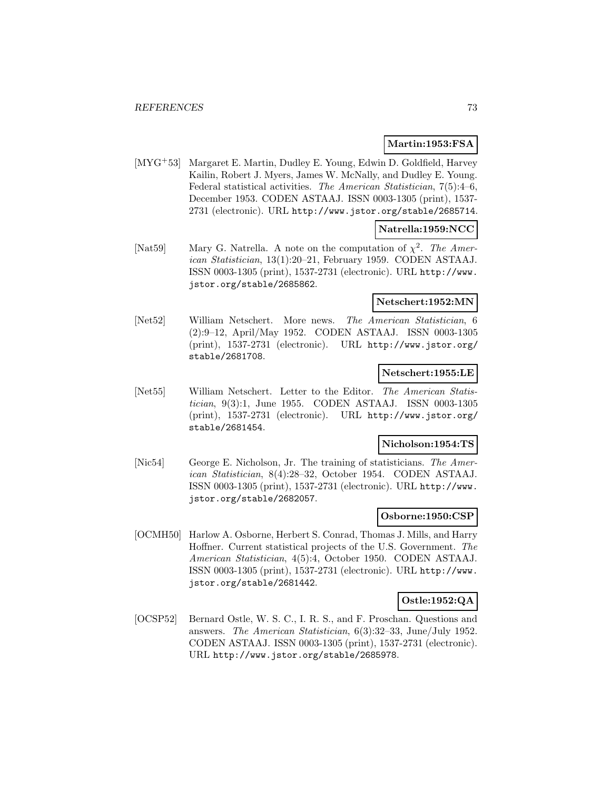## **Martin:1953:FSA**

[MYG<sup>+</sup>53] Margaret E. Martin, Dudley E. Young, Edwin D. Goldfield, Harvey Kailin, Robert J. Myers, James W. McNally, and Dudley E. Young. Federal statistical activities. The American Statistician, 7(5):4–6, December 1953. CODEN ASTAAJ. ISSN 0003-1305 (print), 1537- 2731 (electronic). URL http://www.jstor.org/stable/2685714.

## **Natrella:1959:NCC**

[Nat59] Mary G. Natrella. A note on the computation of  $\chi^2$ . The American Statistician, 13(1):20–21, February 1959. CODEN ASTAAJ. ISSN 0003-1305 (print), 1537-2731 (electronic). URL http://www. jstor.org/stable/2685862.

## **Netschert:1952:MN**

[Net52] William Netschert. More news. The American Statistician, 6 (2):9–12, April/May 1952. CODEN ASTAAJ. ISSN 0003-1305 (print), 1537-2731 (electronic). URL http://www.jstor.org/ stable/2681708.

#### **Netschert:1955:LE**

[Net55] William Netschert. Letter to the Editor. The American Statistician, 9(3):1, June 1955. CODEN ASTAAJ. ISSN 0003-1305 (print), 1537-2731 (electronic). URL http://www.jstor.org/ stable/2681454.

## **Nicholson:1954:TS**

[Nic54] George E. Nicholson, Jr. The training of statisticians. The American Statistician, 8(4):28–32, October 1954. CODEN ASTAAJ. ISSN 0003-1305 (print), 1537-2731 (electronic). URL http://www. jstor.org/stable/2682057.

#### **Osborne:1950:CSP**

[OCMH50] Harlow A. Osborne, Herbert S. Conrad, Thomas J. Mills, and Harry Hoffner. Current statistical projects of the U.S. Government. The American Statistician, 4(5):4, October 1950. CODEN ASTAAJ. ISSN 0003-1305 (print), 1537-2731 (electronic). URL http://www. jstor.org/stable/2681442.

## **Ostle:1952:QA**

[OCSP52] Bernard Ostle, W. S. C., I. R. S., and F. Proschan. Questions and answers. The American Statistician, 6(3):32–33, June/July 1952. CODEN ASTAAJ. ISSN 0003-1305 (print), 1537-2731 (electronic). URL http://www.jstor.org/stable/2685978.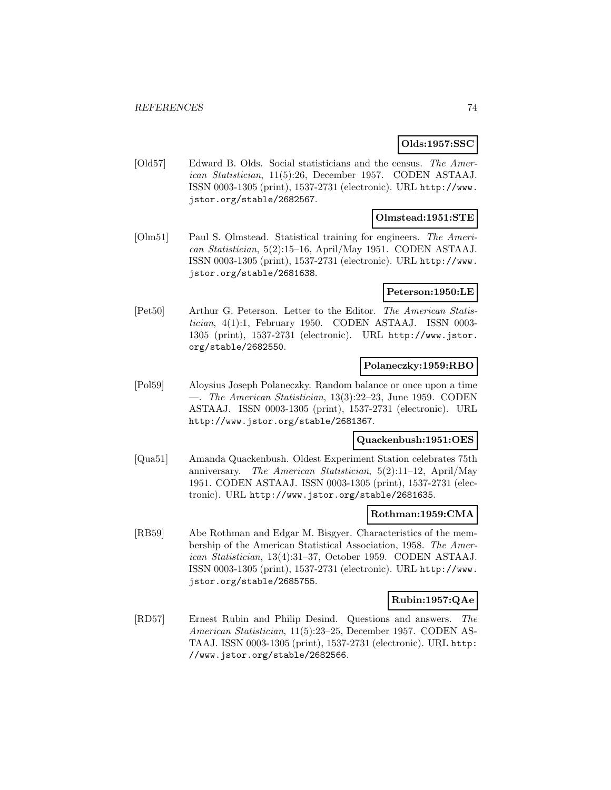## **Olds:1957:SSC**

[Old57] Edward B. Olds. Social statisticians and the census. The American Statistician, 11(5):26, December 1957. CODEN ASTAAJ. ISSN 0003-1305 (print), 1537-2731 (electronic). URL http://www. jstor.org/stable/2682567.

## **Olmstead:1951:STE**

[Olm51] Paul S. Olmstead. Statistical training for engineers. The American Statistician, 5(2):15–16, April/May 1951. CODEN ASTAAJ. ISSN 0003-1305 (print), 1537-2731 (electronic). URL http://www. jstor.org/stable/2681638.

#### **Peterson:1950:LE**

[Pet50] Arthur G. Peterson. Letter to the Editor. The American Statistician, 4(1):1, February 1950. CODEN ASTAAJ. ISSN 0003-1305 (print), 1537-2731 (electronic). URL http://www.jstor. org/stable/2682550.

## **Polaneczky:1959:RBO**

[Pol59] Aloysius Joseph Polaneczky. Random balance or once upon a time —. The American Statistician,  $13(3):22-23$ , June 1959. CODEN ASTAAJ. ISSN 0003-1305 (print), 1537-2731 (electronic). URL http://www.jstor.org/stable/2681367.

#### **Quackenbush:1951:OES**

[Qua51] Amanda Quackenbush. Oldest Experiment Station celebrates 75th anniversary. The American Statistician, 5(2):11–12, April/May 1951. CODEN ASTAAJ. ISSN 0003-1305 (print), 1537-2731 (electronic). URL http://www.jstor.org/stable/2681635.

## **Rothman:1959:CMA**

[RB59] Abe Rothman and Edgar M. Bisgyer. Characteristics of the membership of the American Statistical Association, 1958. The American Statistician, 13(4):31–37, October 1959. CODEN ASTAAJ. ISSN 0003-1305 (print), 1537-2731 (electronic). URL http://www. jstor.org/stable/2685755.

## **Rubin:1957:QAe**

[RD57] Ernest Rubin and Philip Desind. Questions and answers. The American Statistician, 11(5):23–25, December 1957. CODEN AS-TAAJ. ISSN 0003-1305 (print), 1537-2731 (electronic). URL http: //www.jstor.org/stable/2682566.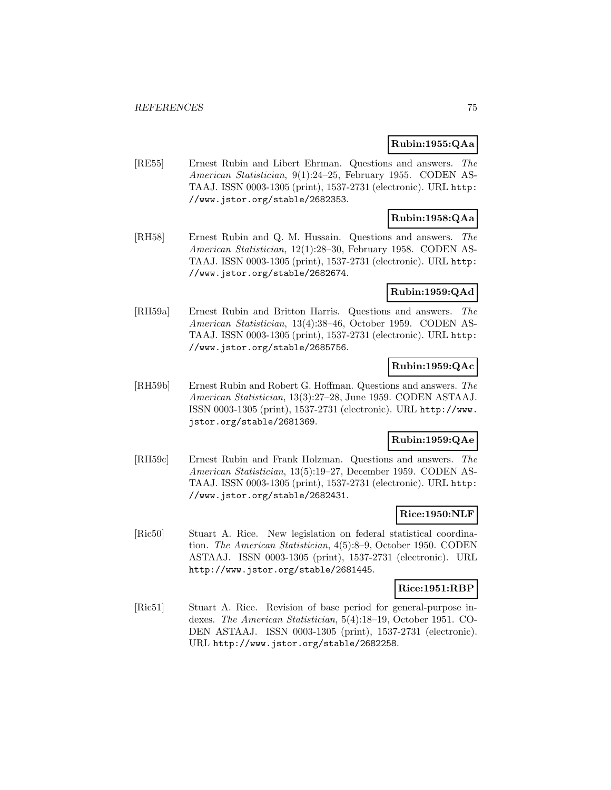## **Rubin:1955:QAa**

[RE55] Ernest Rubin and Libert Ehrman. Questions and answers. The American Statistician, 9(1):24–25, February 1955. CODEN AS-TAAJ. ISSN 0003-1305 (print), 1537-2731 (electronic). URL http: //www.jstor.org/stable/2682353.

# **Rubin:1958:QAa**

[RH58] Ernest Rubin and Q. M. Hussain. Questions and answers. The American Statistician, 12(1):28–30, February 1958. CODEN AS-TAAJ. ISSN 0003-1305 (print), 1537-2731 (electronic). URL http: //www.jstor.org/stable/2682674.

## **Rubin:1959:QAd**

[RH59a] Ernest Rubin and Britton Harris. Questions and answers. The American Statistician, 13(4):38–46, October 1959. CODEN AS-TAAJ. ISSN 0003-1305 (print), 1537-2731 (electronic). URL http: //www.jstor.org/stable/2685756.

# **Rubin:1959:QAc**

[RH59b] Ernest Rubin and Robert G. Hoffman. Questions and answers. The American Statistician, 13(3):27–28, June 1959. CODEN ASTAAJ. ISSN 0003-1305 (print), 1537-2731 (electronic). URL http://www. jstor.org/stable/2681369.

## **Rubin:1959:QAe**

[RH59c] Ernest Rubin and Frank Holzman. Questions and answers. The American Statistician, 13(5):19–27, December 1959. CODEN AS-TAAJ. ISSN 0003-1305 (print), 1537-2731 (electronic). URL http: //www.jstor.org/stable/2682431.

#### **Rice:1950:NLF**

[Ric50] Stuart A. Rice. New legislation on federal statistical coordination. The American Statistician, 4(5):8–9, October 1950. CODEN ASTAAJ. ISSN 0003-1305 (print), 1537-2731 (electronic). URL http://www.jstor.org/stable/2681445.

#### **Rice:1951:RBP**

[Ric51] Stuart A. Rice. Revision of base period for general-purpose indexes. The American Statistician, 5(4):18–19, October 1951. CO-DEN ASTAAJ. ISSN 0003-1305 (print), 1537-2731 (electronic). URL http://www.jstor.org/stable/2682258.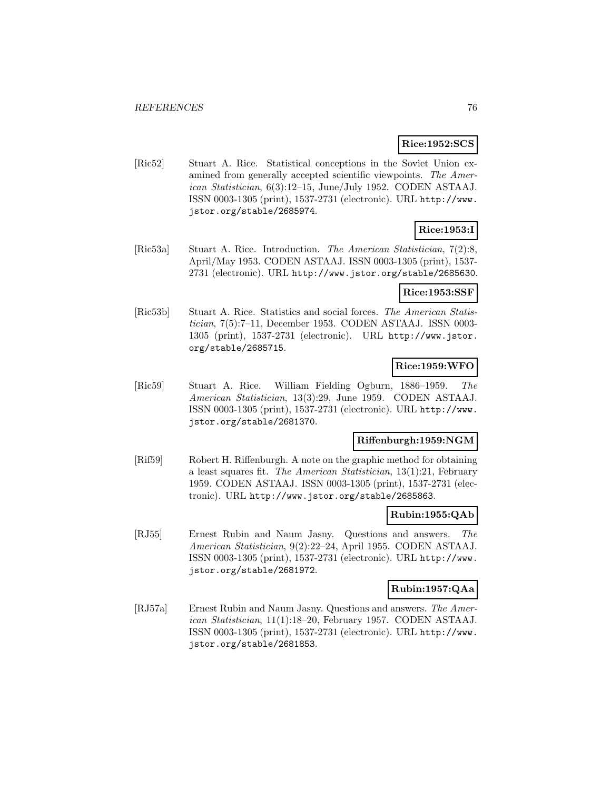## **Rice:1952:SCS**

[Ric52] Stuart A. Rice. Statistical conceptions in the Soviet Union examined from generally accepted scientific viewpoints. The American Statistician, 6(3):12–15, June/July 1952. CODEN ASTAAJ. ISSN 0003-1305 (print), 1537-2731 (electronic). URL http://www. jstor.org/stable/2685974.

# **Rice:1953:I**

[Ric53a] Stuart A. Rice. Introduction. The American Statistician, 7(2):8, April/May 1953. CODEN ASTAAJ. ISSN 0003-1305 (print), 1537- 2731 (electronic). URL http://www.jstor.org/stable/2685630.

#### **Rice:1953:SSF**

[Ric53b] Stuart A. Rice. Statistics and social forces. The American Statistician, 7(5):7–11, December 1953. CODEN ASTAAJ. ISSN 0003- 1305 (print), 1537-2731 (electronic). URL http://www.jstor. org/stable/2685715.

## **Rice:1959:WFO**

[Ric59] Stuart A. Rice. William Fielding Ogburn, 1886–1959. The American Statistician, 13(3):29, June 1959. CODEN ASTAAJ. ISSN 0003-1305 (print), 1537-2731 (electronic). URL http://www. jstor.org/stable/2681370.

#### **Riffenburgh:1959:NGM**

[Rif59] Robert H. Riffenburgh. A note on the graphic method for obtaining a least squares fit. The American Statistician, 13(1):21, February 1959. CODEN ASTAAJ. ISSN 0003-1305 (print), 1537-2731 (electronic). URL http://www.jstor.org/stable/2685863.

#### **Rubin:1955:QAb**

[RJ55] Ernest Rubin and Naum Jasny. Questions and answers. The American Statistician, 9(2):22–24, April 1955. CODEN ASTAAJ. ISSN 0003-1305 (print), 1537-2731 (electronic). URL http://www. jstor.org/stable/2681972.

## **Rubin:1957:QAa**

[RJ57a] Ernest Rubin and Naum Jasny. Questions and answers. The American Statistician, 11(1):18–20, February 1957. CODEN ASTAAJ. ISSN 0003-1305 (print), 1537-2731 (electronic). URL http://www. jstor.org/stable/2681853.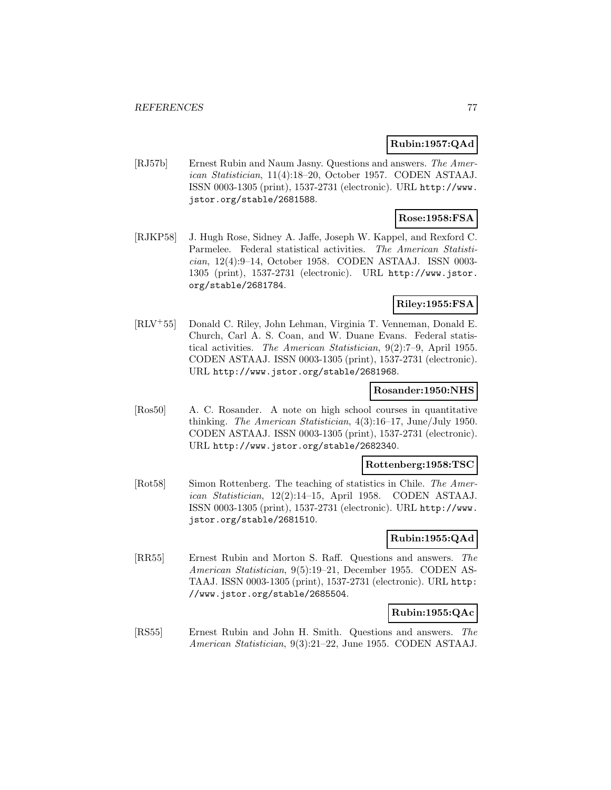## **Rubin:1957:QAd**

[RJ57b] Ernest Rubin and Naum Jasny. Questions and answers. The American Statistician, 11(4):18–20, October 1957. CODEN ASTAAJ. ISSN 0003-1305 (print), 1537-2731 (electronic). URL http://www. jstor.org/stable/2681588.

## **Rose:1958:FSA**

[RJKP58] J. Hugh Rose, Sidney A. Jaffe, Joseph W. Kappel, and Rexford C. Parmelee. Federal statistical activities. The American Statistician, 12(4):9–14, October 1958. CODEN ASTAAJ. ISSN 0003- 1305 (print), 1537-2731 (electronic). URL http://www.jstor. org/stable/2681784.

## **Riley:1955:FSA**

[RLV<sup>+</sup>55] Donald C. Riley, John Lehman, Virginia T. Venneman, Donald E. Church, Carl A. S. Coan, and W. Duane Evans. Federal statistical activities. The American Statistician, 9(2):7–9, April 1955. CODEN ASTAAJ. ISSN 0003-1305 (print), 1537-2731 (electronic). URL http://www.jstor.org/stable/2681968.

#### **Rosander:1950:NHS**

[Ros50] A. C. Rosander. A note on high school courses in quantitative thinking. The American Statistician, 4(3):16–17, June/July 1950. CODEN ASTAAJ. ISSN 0003-1305 (print), 1537-2731 (electronic). URL http://www.jstor.org/stable/2682340.

#### **Rottenberg:1958:TSC**

[Rot58] Simon Rottenberg. The teaching of statistics in Chile. The American Statistician, 12(2):14–15, April 1958. CODEN ASTAAJ. ISSN 0003-1305 (print), 1537-2731 (electronic). URL http://www. jstor.org/stable/2681510.

## **Rubin:1955:QAd**

[RR55] Ernest Rubin and Morton S. Raff. Questions and answers. The American Statistician, 9(5):19–21, December 1955. CODEN AS-TAAJ. ISSN 0003-1305 (print), 1537-2731 (electronic). URL http: //www.jstor.org/stable/2685504.

## **Rubin:1955:QAc**

[RS55] Ernest Rubin and John H. Smith. Questions and answers. The American Statistician, 9(3):21–22, June 1955. CODEN ASTAAJ.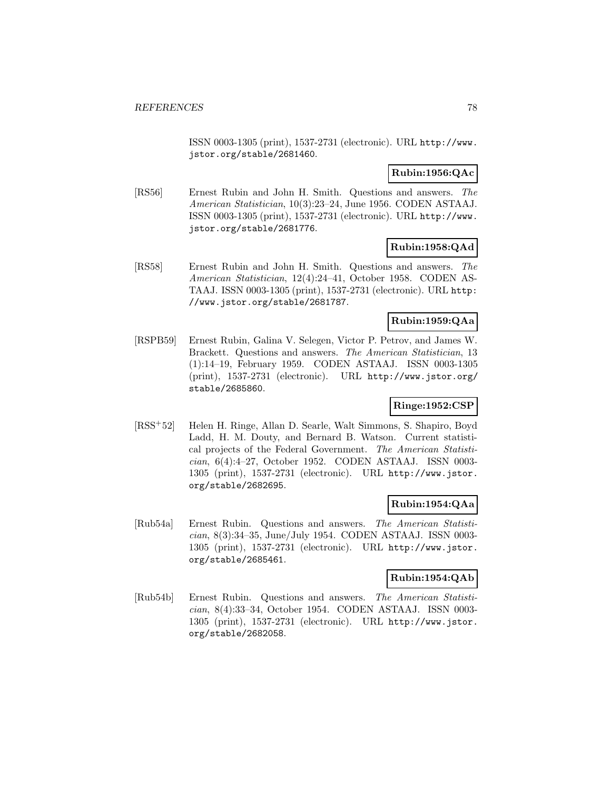ISSN 0003-1305 (print), 1537-2731 (electronic). URL http://www. jstor.org/stable/2681460.

## **Rubin:1956:QAc**

[RS56] Ernest Rubin and John H. Smith. Questions and answers. The American Statistician, 10(3):23–24, June 1956. CODEN ASTAAJ. ISSN 0003-1305 (print), 1537-2731 (electronic). URL http://www. jstor.org/stable/2681776.

## **Rubin:1958:QAd**

[RS58] Ernest Rubin and John H. Smith. Questions and answers. The American Statistician, 12(4):24–41, October 1958. CODEN AS-TAAJ. ISSN 0003-1305 (print), 1537-2731 (electronic). URL http: //www.jstor.org/stable/2681787.

# **Rubin:1959:QAa**

[RSPB59] Ernest Rubin, Galina V. Selegen, Victor P. Petrov, and James W. Brackett. Questions and answers. The American Statistician, 13 (1):14–19, February 1959. CODEN ASTAAJ. ISSN 0003-1305 (print), 1537-2731 (electronic). URL http://www.jstor.org/ stable/2685860.

## **Ringe:1952:CSP**

[RSS<sup>+</sup>52] Helen H. Ringe, Allan D. Searle, Walt Simmons, S. Shapiro, Boyd Ladd, H. M. Douty, and Bernard B. Watson. Current statistical projects of the Federal Government. The American Statistician, 6(4):4–27, October 1952. CODEN ASTAAJ. ISSN 0003- 1305 (print), 1537-2731 (electronic). URL http://www.jstor. org/stable/2682695.

## **Rubin:1954:QAa**

[Rub54a] Ernest Rubin. Questions and answers. The American Statistician, 8(3):34–35, June/July 1954. CODEN ASTAAJ. ISSN 0003- 1305 (print), 1537-2731 (electronic). URL http://www.jstor. org/stable/2685461.

# **Rubin:1954:QAb**

[Rub54b] Ernest Rubin. Questions and answers. The American Statistician, 8(4):33–34, October 1954. CODEN ASTAAJ. ISSN 0003- 1305 (print), 1537-2731 (electronic). URL http://www.jstor. org/stable/2682058.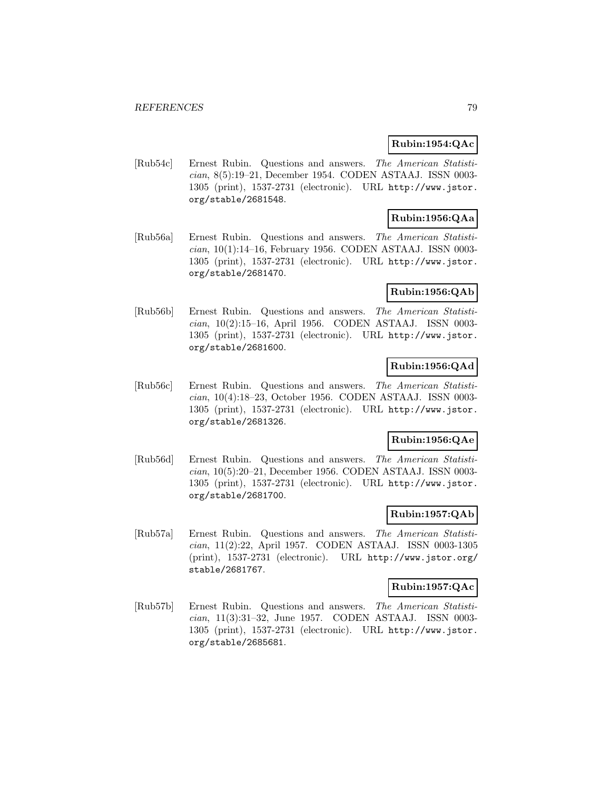## **Rubin:1954:QAc**

[Rub54c] Ernest Rubin. Questions and answers. The American Statistician, 8(5):19–21, December 1954. CODEN ASTAAJ. ISSN 0003- 1305 (print), 1537-2731 (electronic). URL http://www.jstor. org/stable/2681548.

# **Rubin:1956:QAa**

[Rub56a] Ernest Rubin. Questions and answers. The American Statistician, 10(1):14–16, February 1956. CODEN ASTAAJ. ISSN 0003- 1305 (print), 1537-2731 (electronic). URL http://www.jstor. org/stable/2681470.

#### **Rubin:1956:QAb**

[Rub56b] Ernest Rubin. Questions and answers. The American Statistician, 10(2):15–16, April 1956. CODEN ASTAAJ. ISSN 0003- 1305 (print), 1537-2731 (electronic). URL http://www.jstor. org/stable/2681600.

## **Rubin:1956:QAd**

[Rub56c] Ernest Rubin. Questions and answers. The American Statistician, 10(4):18–23, October 1956. CODEN ASTAAJ. ISSN 0003- 1305 (print), 1537-2731 (electronic). URL http://www.jstor. org/stable/2681326.

## **Rubin:1956:QAe**

[Rub56d] Ernest Rubin. Questions and answers. The American Statistician, 10(5):20–21, December 1956. CODEN ASTAAJ. ISSN 0003- 1305 (print), 1537-2731 (electronic). URL http://www.jstor. org/stable/2681700.

## **Rubin:1957:QAb**

[Rub57a] Ernest Rubin. Questions and answers. The American Statistician, 11(2):22, April 1957. CODEN ASTAAJ. ISSN 0003-1305 (print), 1537-2731 (electronic). URL http://www.jstor.org/ stable/2681767.

#### **Rubin:1957:QAc**

[Rub57b] Ernest Rubin. Questions and answers. The American Statistician, 11(3):31–32, June 1957. CODEN ASTAAJ. ISSN 0003- 1305 (print), 1537-2731 (electronic). URL http://www.jstor. org/stable/2685681.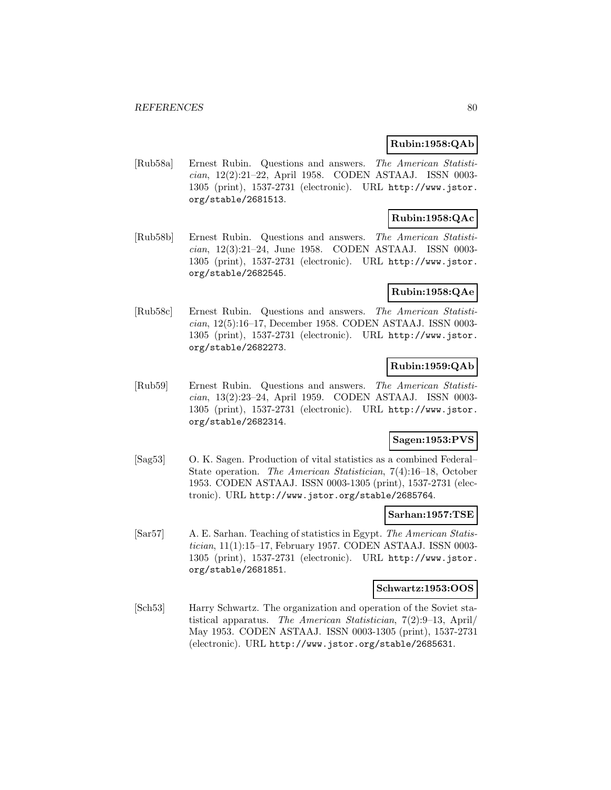#### **Rubin:1958:QAb**

[Rub58a] Ernest Rubin. Questions and answers. The American Statistician, 12(2):21–22, April 1958. CODEN ASTAAJ. ISSN 0003- 1305 (print), 1537-2731 (electronic). URL http://www.jstor. org/stable/2681513.

# **Rubin:1958:QAc**

[Rub58b] Ernest Rubin. Questions and answers. The American Statistician, 12(3):21–24, June 1958. CODEN ASTAAJ. ISSN 0003- 1305 (print), 1537-2731 (electronic). URL http://www.jstor. org/stable/2682545.

## **Rubin:1958:QAe**

[Rub58c] Ernest Rubin. Questions and answers. The American Statistician, 12(5):16–17, December 1958. CODEN ASTAAJ. ISSN 0003- 1305 (print), 1537-2731 (electronic). URL http://www.jstor. org/stable/2682273.

## **Rubin:1959:QAb**

[Rub59] Ernest Rubin. Questions and answers. The American Statistician, 13(2):23–24, April 1959. CODEN ASTAAJ. ISSN 0003- 1305 (print), 1537-2731 (electronic). URL http://www.jstor. org/stable/2682314.

## **Sagen:1953:PVS**

[Sag53] O. K. Sagen. Production of vital statistics as a combined Federal– State operation. The American Statistician, 7(4):16–18, October 1953. CODEN ASTAAJ. ISSN 0003-1305 (print), 1537-2731 (electronic). URL http://www.jstor.org/stable/2685764.

#### **Sarhan:1957:TSE**

[Sar57] A. E. Sarhan. Teaching of statistics in Egypt. The American Statistician, 11(1):15–17, February 1957. CODEN ASTAAJ. ISSN 0003- 1305 (print), 1537-2731 (electronic). URL http://www.jstor. org/stable/2681851.

#### **Schwartz:1953:OOS**

[Sch53] Harry Schwartz. The organization and operation of the Soviet statistical apparatus. The American Statistician, 7(2):9–13, April/ May 1953. CODEN ASTAAJ. ISSN 0003-1305 (print), 1537-2731 (electronic). URL http://www.jstor.org/stable/2685631.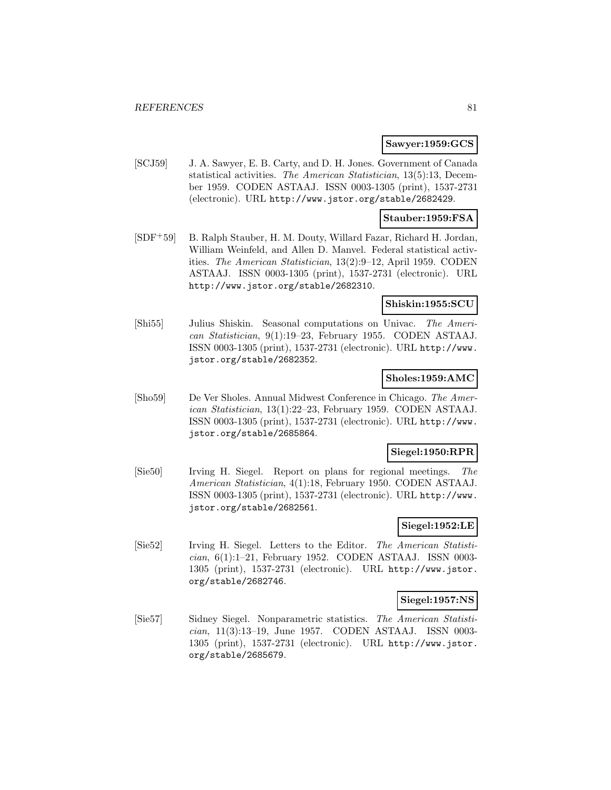#### **Sawyer:1959:GCS**

[SCJ59] J. A. Sawyer, E. B. Carty, and D. H. Jones. Government of Canada statistical activities. The American Statistician, 13(5):13, December 1959. CODEN ASTAAJ. ISSN 0003-1305 (print), 1537-2731 (electronic). URL http://www.jstor.org/stable/2682429.

#### **Stauber:1959:FSA**

[SDF<sup>+</sup>59] B. Ralph Stauber, H. M. Douty, Willard Fazar, Richard H. Jordan, William Weinfeld, and Allen D. Manvel. Federal statistical activities. The American Statistician, 13(2):9–12, April 1959. CODEN ASTAAJ. ISSN 0003-1305 (print), 1537-2731 (electronic). URL http://www.jstor.org/stable/2682310.

### **Shiskin:1955:SCU**

[Shi55] Julius Shiskin. Seasonal computations on Univac. The American Statistician, 9(1):19–23, February 1955. CODEN ASTAAJ. ISSN 0003-1305 (print), 1537-2731 (electronic). URL http://www. jstor.org/stable/2682352.

### **Sholes:1959:AMC**

[Sho59] De Ver Sholes. Annual Midwest Conference in Chicago. The American Statistician, 13(1):22–23, February 1959. CODEN ASTAAJ. ISSN 0003-1305 (print), 1537-2731 (electronic). URL http://www. jstor.org/stable/2685864.

#### **Siegel:1950:RPR**

[Sie50] Irving H. Siegel. Report on plans for regional meetings. The American Statistician, 4(1):18, February 1950. CODEN ASTAAJ. ISSN 0003-1305 (print), 1537-2731 (electronic). URL http://www. jstor.org/stable/2682561.

## **Siegel:1952:LE**

[Sie52] Irving H. Siegel. Letters to the Editor. The American Statistician, 6(1):1–21, February 1952. CODEN ASTAAJ. ISSN 0003- 1305 (print), 1537-2731 (electronic). URL http://www.jstor. org/stable/2682746.

#### **Siegel:1957:NS**

[Sie57] Sidney Siegel. Nonparametric statistics. The American Statistician, 11(3):13–19, June 1957. CODEN ASTAAJ. ISSN 0003- 1305 (print), 1537-2731 (electronic). URL http://www.jstor. org/stable/2685679.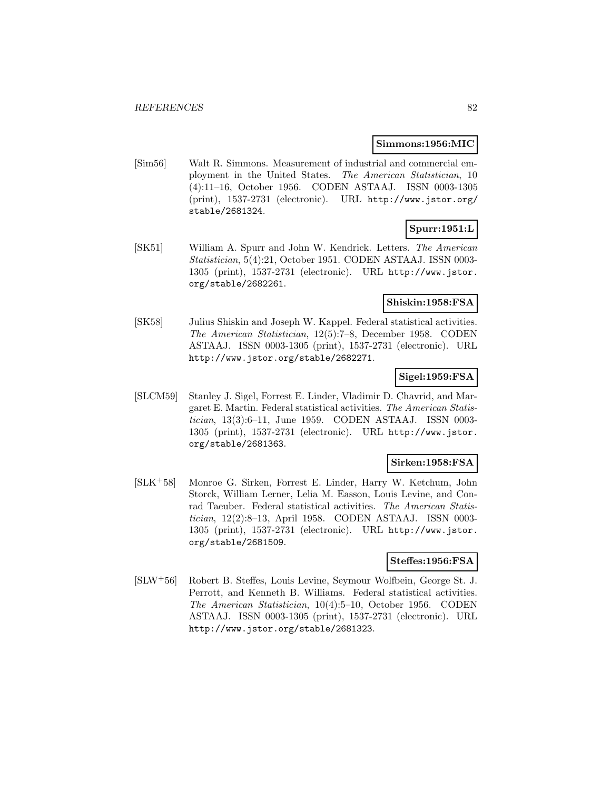#### **Simmons:1956:MIC**

[Sim56] Walt R. Simmons. Measurement of industrial and commercial employment in the United States. The American Statistician, 10 (4):11–16, October 1956. CODEN ASTAAJ. ISSN 0003-1305 (print), 1537-2731 (electronic). URL http://www.jstor.org/ stable/2681324.

## **Spurr:1951:L**

[SK51] William A. Spurr and John W. Kendrick. Letters. The American Statistician, 5(4):21, October 1951. CODEN ASTAAJ. ISSN 0003- 1305 (print), 1537-2731 (electronic). URL http://www.jstor. org/stable/2682261.

## **Shiskin:1958:FSA**

[SK58] Julius Shiskin and Joseph W. Kappel. Federal statistical activities. The American Statistician, 12(5):7–8, December 1958. CODEN ASTAAJ. ISSN 0003-1305 (print), 1537-2731 (electronic). URL http://www.jstor.org/stable/2682271.

# **Sigel:1959:FSA**

[SLCM59] Stanley J. Sigel, Forrest E. Linder, Vladimir D. Chavrid, and Margaret E. Martin. Federal statistical activities. The American Statistician, 13(3):6–11, June 1959. CODEN ASTAAJ. ISSN 0003- 1305 (print), 1537-2731 (electronic). URL http://www.jstor. org/stable/2681363.

## **Sirken:1958:FSA**

[SLK<sup>+</sup>58] Monroe G. Sirken, Forrest E. Linder, Harry W. Ketchum, John Storck, William Lerner, Lelia M. Easson, Louis Levine, and Conrad Taeuber. Federal statistical activities. The American Statistician, 12(2):8–13, April 1958. CODEN ASTAAJ. ISSN 0003- 1305 (print), 1537-2731 (electronic). URL http://www.jstor. org/stable/2681509.

## **Steffes:1956:FSA**

[SLW<sup>+</sup>56] Robert B. Steffes, Louis Levine, Seymour Wolfbein, George St. J. Perrott, and Kenneth B. Williams. Federal statistical activities. The American Statistician, 10(4):5–10, October 1956. CODEN ASTAAJ. ISSN 0003-1305 (print), 1537-2731 (electronic). URL http://www.jstor.org/stable/2681323.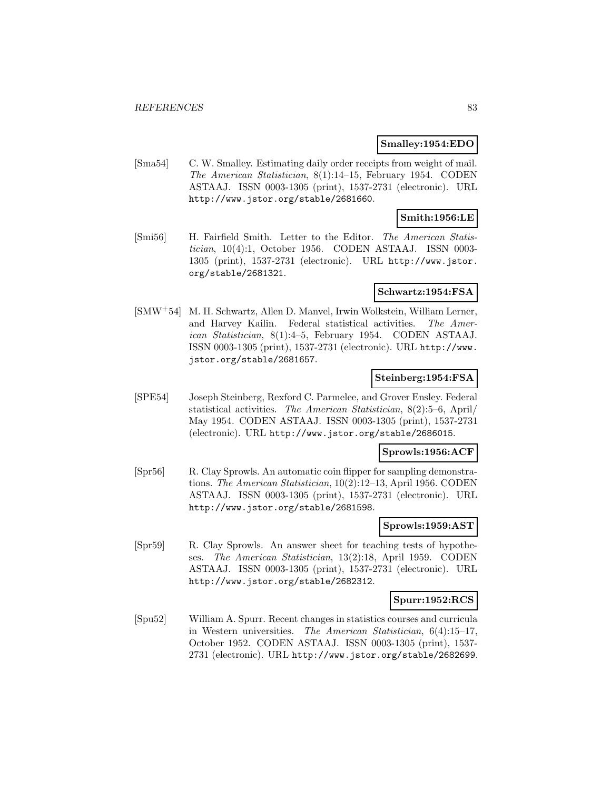#### **Smalley:1954:EDO**

[Sma54] C. W. Smalley. Estimating daily order receipts from weight of mail. The American Statistician, 8(1):14–15, February 1954. CODEN ASTAAJ. ISSN 0003-1305 (print), 1537-2731 (electronic). URL http://www.jstor.org/stable/2681660.

## **Smith:1956:LE**

[Smi56] H. Fairfield Smith. Letter to the Editor. The American Statistician, 10(4):1, October 1956. CODEN ASTAAJ. ISSN 0003- 1305 (print), 1537-2731 (electronic). URL http://www.jstor. org/stable/2681321.

#### **Schwartz:1954:FSA**

[SMW<sup>+</sup>54] M. H. Schwartz, Allen D. Manvel, Irwin Wolkstein, William Lerner, and Harvey Kailin. Federal statistical activities. The American Statistician, 8(1):4–5, February 1954. CODEN ASTAAJ. ISSN 0003-1305 (print), 1537-2731 (electronic). URL http://www. jstor.org/stable/2681657.

## **Steinberg:1954:FSA**

[SPE54] Joseph Steinberg, Rexford C. Parmelee, and Grover Ensley. Federal statistical activities. The American Statistician, 8(2):5–6, April/ May 1954. CODEN ASTAAJ. ISSN 0003-1305 (print), 1537-2731 (electronic). URL http://www.jstor.org/stable/2686015.

#### **Sprowls:1956:ACF**

[Spr56] R. Clay Sprowls. An automatic coin flipper for sampling demonstrations. The American Statistician, 10(2):12–13, April 1956. CODEN ASTAAJ. ISSN 0003-1305 (print), 1537-2731 (electronic). URL http://www.jstor.org/stable/2681598.

## **Sprowls:1959:AST**

[Spr59] R. Clay Sprowls. An answer sheet for teaching tests of hypotheses. The American Statistician, 13(2):18, April 1959. CODEN ASTAAJ. ISSN 0003-1305 (print), 1537-2731 (electronic). URL http://www.jstor.org/stable/2682312.

#### **Spurr:1952:RCS**

[Spu52] William A. Spurr. Recent changes in statistics courses and curricula in Western universities. The American Statistician, 6(4):15–17, October 1952. CODEN ASTAAJ. ISSN 0003-1305 (print), 1537- 2731 (electronic). URL http://www.jstor.org/stable/2682699.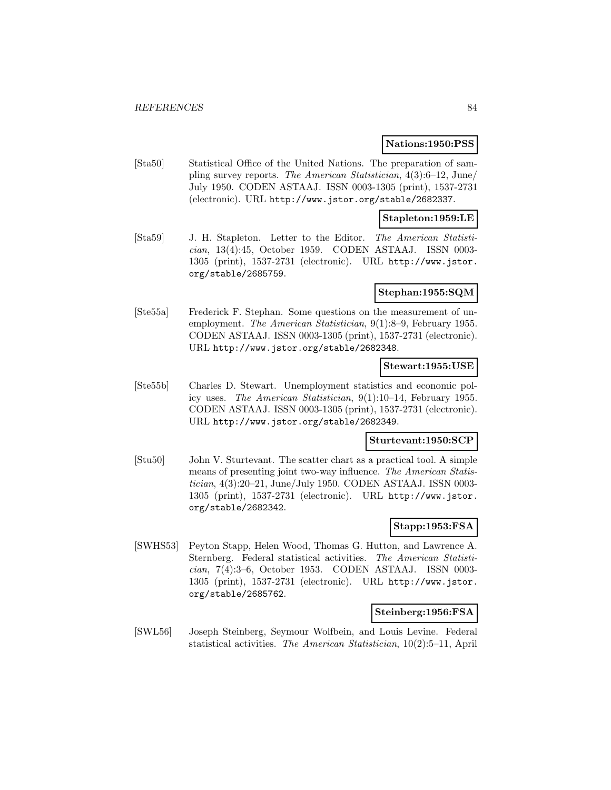#### **Nations:1950:PSS**

[Sta50] Statistical Office of the United Nations. The preparation of sampling survey reports. The American Statistician, 4(3):6–12, June/ July 1950. CODEN ASTAAJ. ISSN 0003-1305 (print), 1537-2731 (electronic). URL http://www.jstor.org/stable/2682337.

#### **Stapleton:1959:LE**

[Sta59] J. H. Stapleton. Letter to the Editor. The American Statistician, 13(4):45, October 1959. CODEN ASTAAJ. ISSN 0003- 1305 (print), 1537-2731 (electronic). URL http://www.jstor. org/stable/2685759.

#### **Stephan:1955:SQM**

[Ste55a] Frederick F. Stephan. Some questions on the measurement of unemployment. The American Statistician, 9(1):8–9, February 1955. CODEN ASTAAJ. ISSN 0003-1305 (print), 1537-2731 (electronic). URL http://www.jstor.org/stable/2682348.

#### **Stewart:1955:USE**

[Ste55b] Charles D. Stewart. Unemployment statistics and economic policy uses. The American Statistician, 9(1):10–14, February 1955. CODEN ASTAAJ. ISSN 0003-1305 (print), 1537-2731 (electronic). URL http://www.jstor.org/stable/2682349.

## **Sturtevant:1950:SCP**

[Stu50] John V. Sturtevant. The scatter chart as a practical tool. A simple means of presenting joint two-way influence. The American Statistician, 4(3):20–21, June/July 1950. CODEN ASTAAJ. ISSN 0003- 1305 (print), 1537-2731 (electronic). URL http://www.jstor. org/stable/2682342.

# **Stapp:1953:FSA**

[SWHS53] Peyton Stapp, Helen Wood, Thomas G. Hutton, and Lawrence A. Sternberg. Federal statistical activities. The American Statistician, 7(4):3–6, October 1953. CODEN ASTAAJ. ISSN 0003- 1305 (print), 1537-2731 (electronic). URL http://www.jstor. org/stable/2685762.

#### **Steinberg:1956:FSA**

[SWL56] Joseph Steinberg, Seymour Wolfbein, and Louis Levine. Federal statistical activities. The American Statistician, 10(2):5–11, April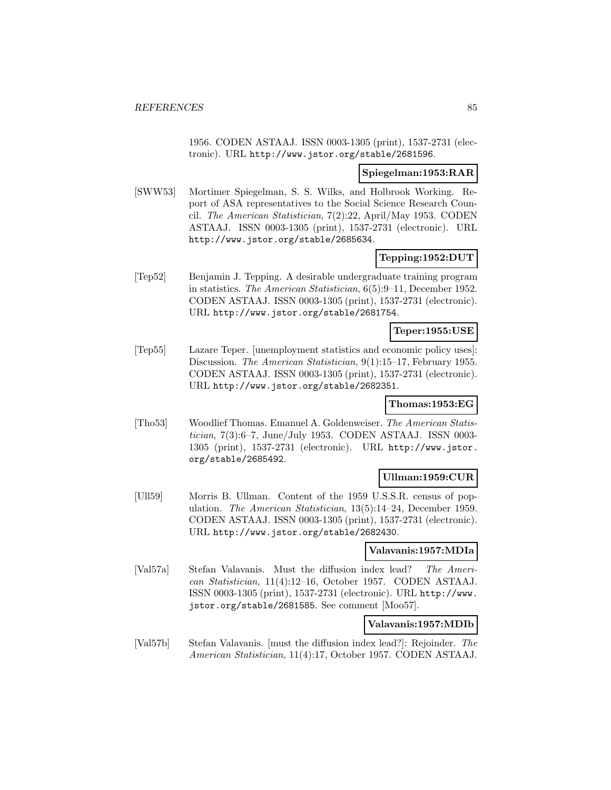1956. CODEN ASTAAJ. ISSN 0003-1305 (print), 1537-2731 (electronic). URL http://www.jstor.org/stable/2681596.

#### **Spiegelman:1953:RAR**

[SWW53] Mortimer Spiegelman, S. S. Wilks, and Holbrook Working. Report of ASA representatives to the Social Science Research Council. The American Statistician, 7(2):22, April/May 1953. CODEN ASTAAJ. ISSN 0003-1305 (print), 1537-2731 (electronic). URL http://www.jstor.org/stable/2685634.

#### **Tepping:1952:DUT**

[Tep52] Benjamin J. Tepping. A desirable undergraduate training program in statistics. The American Statistician, 6(5):9–11, December 1952. CODEN ASTAAJ. ISSN 0003-1305 (print), 1537-2731 (electronic). URL http://www.jstor.org/stable/2681754.

#### **Teper:1955:USE**

[Tep55] Lazare Teper. [unemployment statistics and economic policy uses]: Discussion. The American Statistician, 9(1):15–17, February 1955. CODEN ASTAAJ. ISSN 0003-1305 (print), 1537-2731 (electronic). URL http://www.jstor.org/stable/2682351.

## **Thomas:1953:EG**

[Tho53] Woodlief Thomas. Emanuel A. Goldenweiser. The American Statistician, 7(3):6–7, June/July 1953. CODEN ASTAAJ. ISSN 0003- 1305 (print), 1537-2731 (electronic). URL http://www.jstor. org/stable/2685492.

## **Ullman:1959:CUR**

[Ull59] Morris B. Ullman. Content of the 1959 U.S.S.R. census of population. The American Statistician, 13(5):14–24, December 1959. CODEN ASTAAJ. ISSN 0003-1305 (print), 1537-2731 (electronic). URL http://www.jstor.org/stable/2682430.

#### **Valavanis:1957:MDIa**

[Val57a] Stefan Valavanis. Must the diffusion index lead? The American Statistician, 11(4):12–16, October 1957. CODEN ASTAAJ. ISSN 0003-1305 (print), 1537-2731 (electronic). URL http://www. jstor.org/stable/2681585. See comment [Moo57].

## **Valavanis:1957:MDIb**

[Val57b] Stefan Valavanis. [must the diffusion index lead?]: Rejoinder. The American Statistician, 11(4):17, October 1957. CODEN ASTAAJ.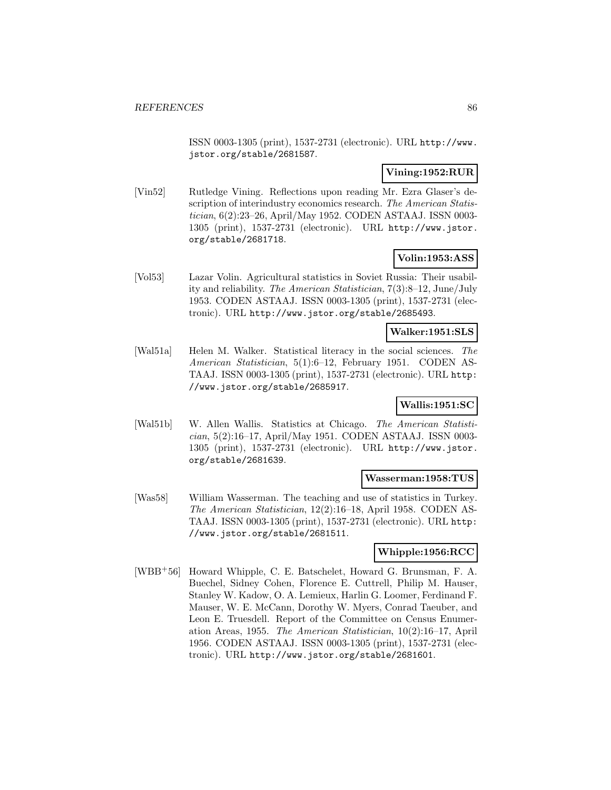ISSN 0003-1305 (print), 1537-2731 (electronic). URL http://www. jstor.org/stable/2681587.

## **Vining:1952:RUR**

[Vin52] Rutledge Vining. Reflections upon reading Mr. Ezra Glaser's description of interindustry economics research. The American Statistician, 6(2):23–26, April/May 1952. CODEN ASTAAJ. ISSN 0003- 1305 (print), 1537-2731 (electronic). URL http://www.jstor. org/stable/2681718.

## **Volin:1953:ASS**

[Vol53] Lazar Volin. Agricultural statistics in Soviet Russia: Their usability and reliability. The American Statistician, 7(3):8–12, June/July 1953. CODEN ASTAAJ. ISSN 0003-1305 (print), 1537-2731 (electronic). URL http://www.jstor.org/stable/2685493.

#### **Walker:1951:SLS**

[Wal51a] Helen M. Walker. Statistical literacy in the social sciences. The American Statistician, 5(1):6–12, February 1951. CODEN AS-TAAJ. ISSN 0003-1305 (print), 1537-2731 (electronic). URL http: //www.jstor.org/stable/2685917.

# **Wallis:1951:SC**

[Wal51b] W. Allen Wallis. Statistics at Chicago. The American Statistician, 5(2):16–17, April/May 1951. CODEN ASTAAJ. ISSN 0003- 1305 (print), 1537-2731 (electronic). URL http://www.jstor. org/stable/2681639.

#### **Wasserman:1958:TUS**

[Was58] William Wasserman. The teaching and use of statistics in Turkey. The American Statistician, 12(2):16–18, April 1958. CODEN AS-TAAJ. ISSN 0003-1305 (print), 1537-2731 (electronic). URL http: //www.jstor.org/stable/2681511.

## **Whipple:1956:RCC**

[WBB<sup>+</sup>56] Howard Whipple, C. E. Batschelet, Howard G. Brunsman, F. A. Buechel, Sidney Cohen, Florence E. Cuttrell, Philip M. Hauser, Stanley W. Kadow, O. A. Lemieux, Harlin G. Loomer, Ferdinand F. Mauser, W. E. McCann, Dorothy W. Myers, Conrad Taeuber, and Leon E. Truesdell. Report of the Committee on Census Enumeration Areas, 1955. The American Statistician, 10(2):16–17, April 1956. CODEN ASTAAJ. ISSN 0003-1305 (print), 1537-2731 (electronic). URL http://www.jstor.org/stable/2681601.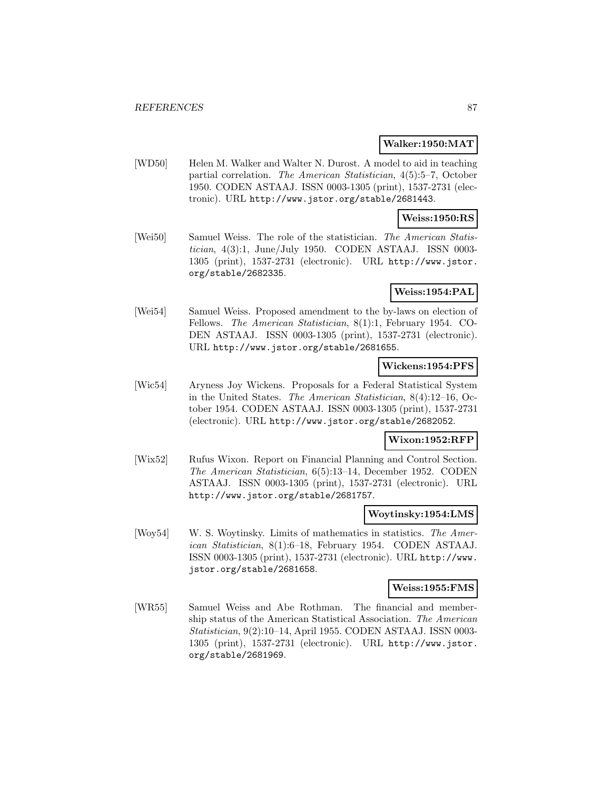#### **Walker:1950:MAT**

[WD50] Helen M. Walker and Walter N. Durost. A model to aid in teaching partial correlation. The American Statistician, 4(5):5–7, October 1950. CODEN ASTAAJ. ISSN 0003-1305 (print), 1537-2731 (electronic). URL http://www.jstor.org/stable/2681443.

#### **Weiss:1950:RS**

[Wei50] Samuel Weiss. The role of the statistician. The American Statistician, 4(3):1, June/July 1950. CODEN ASTAAJ. ISSN 0003- 1305 (print), 1537-2731 (electronic). URL http://www.jstor. org/stable/2682335.

#### **Weiss:1954:PAL**

[Wei54] Samuel Weiss. Proposed amendment to the by-laws on election of Fellows. The American Statistician, 8(1):1, February 1954. CO-DEN ASTAAJ. ISSN 0003-1305 (print), 1537-2731 (electronic). URL http://www.jstor.org/stable/2681655.

#### **Wickens:1954:PFS**

[Wic54] Aryness Joy Wickens. Proposals for a Federal Statistical System in the United States. The American Statistician, 8(4):12–16, October 1954. CODEN ASTAAJ. ISSN 0003-1305 (print), 1537-2731 (electronic). URL http://www.jstor.org/stable/2682052.

## **Wixon:1952:RFP**

[Wix52] Rufus Wixon. Report on Financial Planning and Control Section. The American Statistician, 6(5):13–14, December 1952. CODEN ASTAAJ. ISSN 0003-1305 (print), 1537-2731 (electronic). URL http://www.jstor.org/stable/2681757.

#### **Woytinsky:1954:LMS**

[Woy54] W. S. Woytinsky. Limits of mathematics in statistics. The American Statistician, 8(1):6–18, February 1954. CODEN ASTAAJ. ISSN 0003-1305 (print), 1537-2731 (electronic). URL http://www. jstor.org/stable/2681658.

#### **Weiss:1955:FMS**

[WR55] Samuel Weiss and Abe Rothman. The financial and membership status of the American Statistical Association. The American Statistician, 9(2):10–14, April 1955. CODEN ASTAAJ. ISSN 0003- 1305 (print), 1537-2731 (electronic). URL http://www.jstor. org/stable/2681969.